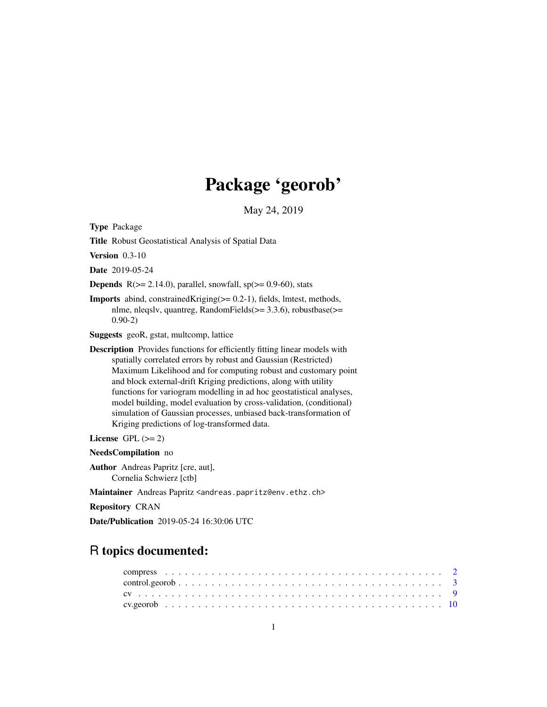# Package 'georob'

May 24, 2019

<span id="page-0-0"></span>Type Package

Title Robust Geostatistical Analysis of Spatial Data

Version 0.3-10

Date 2019-05-24

**Depends**  $R$ ( $>= 2.14.0$ ), parallel, snowfall, sp( $>= 0.9-60$ ), stats

Imports abind, constrainedKriging(>= 0.2-1), fields, lmtest, methods, nlme, nleqslv, quantreg, RandomFields(>= 3.3.6), robustbase(>= 0.90-2)

Suggests geoR, gstat, multcomp, lattice

Description Provides functions for efficiently fitting linear models with spatially correlated errors by robust and Gaussian (Restricted) Maximum Likelihood and for computing robust and customary point and block external-drift Kriging predictions, along with utility functions for variogram modelling in ad hoc geostatistical analyses, model building, model evaluation by cross-validation, (conditional) simulation of Gaussian processes, unbiased back-transformation of Kriging predictions of log-transformed data.

License GPL  $(>= 2)$ 

NeedsCompilation no

Author Andreas Papritz [cre, aut], Cornelia Schwierz [ctb]

Maintainer Andreas Papritz <andreas.papritz@env.ethz.ch>

Repository CRAN

Date/Publication 2019-05-24 16:30:06 UTC

# R topics documented:

| $control.georob \dots \dots \dots \dots \dots \dots \dots \dots \dots \dots \dots \dots \dots \dots \dots \dots \dots$ |  |  |  |  |  |  |  |  |  |  |  |  |  |  |  |  |  |  |  |
|------------------------------------------------------------------------------------------------------------------------|--|--|--|--|--|--|--|--|--|--|--|--|--|--|--|--|--|--|--|
|                                                                                                                        |  |  |  |  |  |  |  |  |  |  |  |  |  |  |  |  |  |  |  |
|                                                                                                                        |  |  |  |  |  |  |  |  |  |  |  |  |  |  |  |  |  |  |  |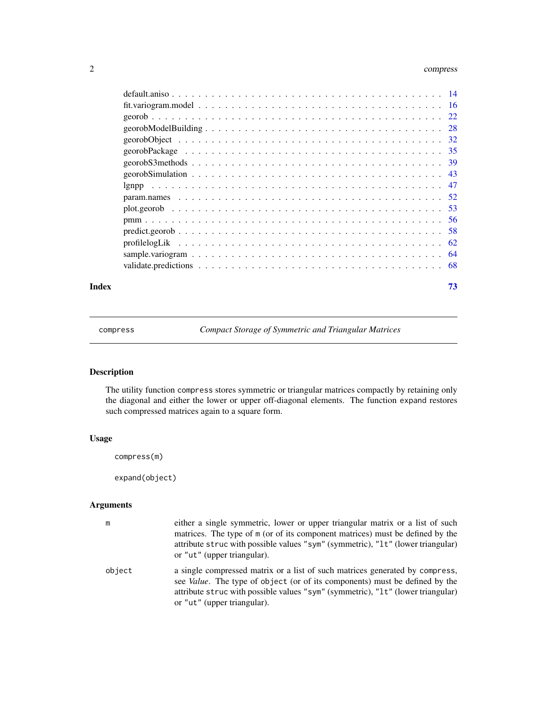### <span id="page-1-0"></span>2 compresses and the compresses of the compresses of the compresses of the compresses of the compresses of the compresses of the compresses of the compresses of the compresses of the compresses of the compresses of the com

### **Index** [73](#page-72-0)

<span id="page-1-1"></span>compress *Compact Storage of Symmetric and Triangular Matrices*

### <span id="page-1-2"></span>Description

The utility function compress stores symmetric or triangular matrices compactly by retaining only the diagonal and either the lower or upper off-diagonal elements. The function expand restores such compressed matrices again to a square form.

### Usage

compress(m)

expand(object)

### Arguments

| m      | either a single symmetric, lower or upper triangular matrix or a list of such<br>matrices. The type of m (or of its component matrices) must be defined by the<br>attribute struc with possible values "sym" (symmetric), "1t" (lower triangular)<br>or "ut" (upper triangular).      |
|--------|---------------------------------------------------------------------------------------------------------------------------------------------------------------------------------------------------------------------------------------------------------------------------------------|
| object | a single compressed matrix or a list of such matrices generated by compress,<br>see <i>Value</i> . The type of object (or of its components) must be defined by the<br>attribute struc with possible values "sym" (symmetric), "1t" (lower triangular)<br>or "ut" (upper triangular). |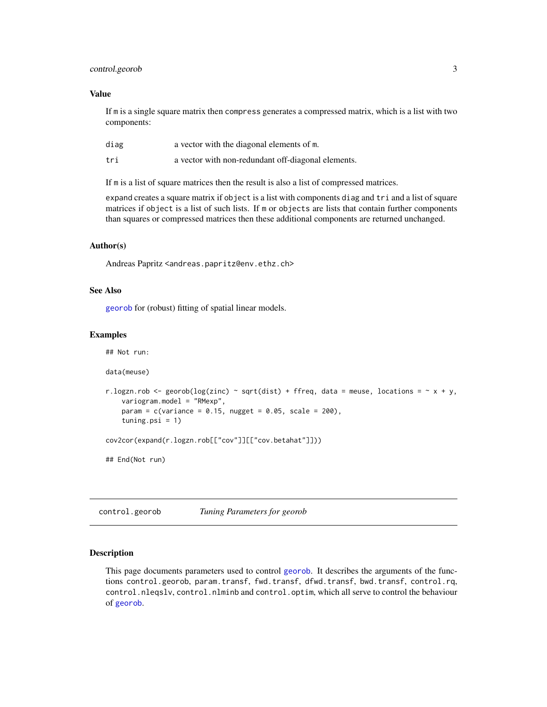### <span id="page-2-0"></span>control.georob 3

### Value

If m is a single square matrix then compress generates a compressed matrix, which is a list with two components:

| diag | a vector with the diagonal elements of m.          |
|------|----------------------------------------------------|
| tri  | a vector with non-redundant off-diagonal elements. |

If m is a list of square matrices then the result is also a list of compressed matrices.

expand creates a square matrix if object is a list with components diag and tri and a list of square matrices if object is a list of such lists. If m or objects are lists that contain further components than squares or compressed matrices then these additional components are returned unchanged.

### Author(s)

Andreas Papritz <andreas.papritz@env.ethz.ch>

### See Also

[georob](#page-21-1) for (robust) fitting of spatial linear models.

### Examples

```
## Not run:
data(meuse)
r.logzn.rob <- georob(log(zinc) ~ sqrt(dist) + ffreq, data = meuse, locations = \sim x + y,
    variogram.model = "RMexp",
   param = c(variance = 0.15, nugget = 0.05, scale = 200),tuning.psi = 1)cov2cor(expand(r.logzn.rob[["cov"]][["cov.betahat"]]))
## End(Not run)
```
<span id="page-2-1"></span>control.georob *Tuning Parameters for georob*

### <span id="page-2-2"></span>Description

This page documents parameters used to control [georob](#page-21-1). It describes the arguments of the functions control.georob, param.transf, fwd.transf, dfwd.transf, bwd.transf, control.rq, control.nleqslv, control.nlminb and control.optim, which all serve to control the behaviour of [georob](#page-21-1).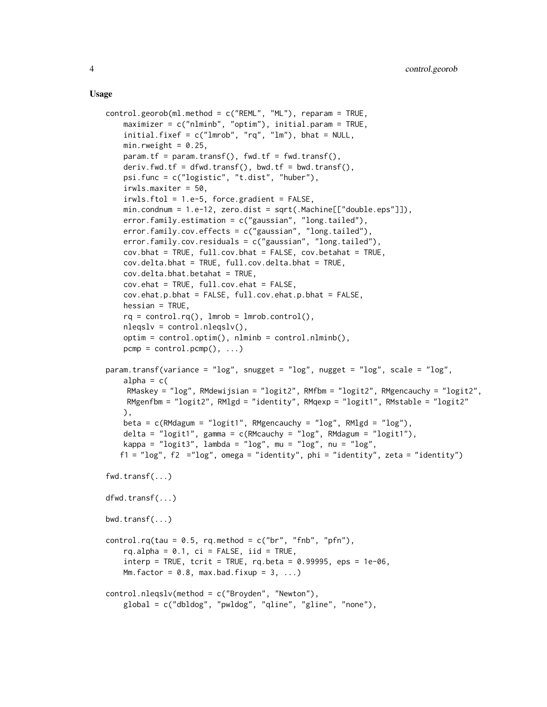#### Usage

```
control.georob(ml.method = c("REML", "ML"), reparam = TRUE,
    maximizer = c("nlmin", "optim"), initial.param = TRUE,
    initial.fixef = c("lmrob", "rq", "lm"), bhat = NULL,
    min.rweight = 0.25,
    param.tf = param.transf(), fwd.tf = fwd.transf(),
    deriv.fwd.tf = dfwd.transf(), bwd.tf = bwd.transf(),
    psi.func = c("logistic", "t.dist", "huber"),
    irwls.maxiter = 50,
    irwls.ftol = 1.e-5, force.gradient = FALSE,
    min.condnum = 1.e-12, zero.dist = sqrt(.Machine[["double.eps"]),
    error.family.estimation = c("gaussian", "long.tailed"),
    error.family.cov.effects = c("gaussian", "long.tailed"),
    error.family.cov.residuals = c("gaussian", "long.tailed"),
    cov.bhat = TRUE, full.cov.bhat = FALSE, cov.bhathatovcov.delta.bhat = TRUE, full.cov.delta.bhat = TRUE,
    cov.delta.bhat.betahat = TRUE,
    cov.ehat = TRUE, full.cov.ehat = FALSE,
    cov.ehat.p.bhat = FALSE, full.cov.ehat.p.bhat = FALSE,
    hessian = TRUE,rq = control.rq(), lmrob = lmrob.control(),
    nleqslv = control.nleqslv(),
    optim = control.optim(), nlminb = control.nlminb(),
    pcmp = control.pcmp(), ...)param.transf(variance = "log", snugget = "log", nugget = "log", scale = "log",
    alpha = c(RMaskey = "log", RMdewijsian = "logit2", RMfbm = "logit2", RMgencauchy = "logit2",
    RMgenfbm = "logit2", RMlgd = "identity", RMqexp = "logit1", RMstable = "logit2"
    ),
   beta = c(RMdagum = "logit1", RMgencauchy = "log", RMlgd = "log"),
    delta = "logit1", gamma = c(RMcauchy = "log", RMdagum = "logit1"),
   kappa = "\log i 3", \log b 4 = "\log", \log b 2", \log b 1", \log b 3",
   f1 = "log", f2 = "log", \text{omega} = "identity", \text{phi} = "identity", zeta = "identity")fwd.transf(...)
dfwd.transf(...)
bwd.transf(...)
control.rq(tau = 0.5, rq.method = c("br", "fnb", "pfn"),rq.alpha = 0.1, ci = FALSE, iid = TRUE,
    \text{interp} = \text{TRUE}, \text{terit} = \text{TRUE}, \text{rq}.\text{beta} = 0.99995, \text{eps} = 1\text{e-06},Mm.factor = 0.8, max.bad.fixup = 3, ...)
control.nleqslv(method = c("Broyden", "Newton"),
    global = c("dbldog", "pwldog", "qline", "gline", "none"),
```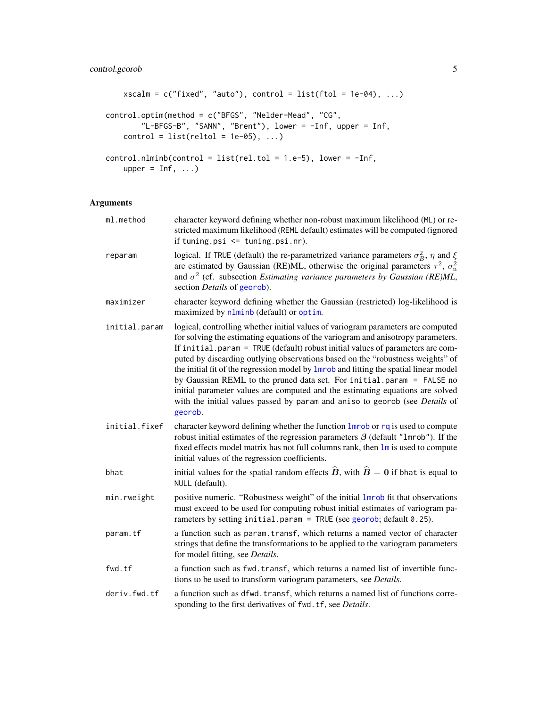```
xscalm = c("fixed", "auto"), control = list(ftol = 1e-04), ...)control.optim(method = c("BFGS", "Nelder-Mead", "CG",
       "L-BFGS-B", "SANN", "Brent"), lower = -Inf, upper = Inf,
    control = list(relto1 = 1e-05), ...control.nlminb(control = list(rel.tol = 1.e-5), lower = -Inf,upper = Inf, ...
```
### Arguments

| ml.method     | character keyword defining whether non-robust maximum likelihood (ML) or re-<br>stricted maximum likelihood (REML default) estimates will be computed (ignored<br>if tuning.psi $\leq$ tuning.psi.nr).                                                                                                                                                                                                                                                                                                                                                                                                                                                                                |
|---------------|---------------------------------------------------------------------------------------------------------------------------------------------------------------------------------------------------------------------------------------------------------------------------------------------------------------------------------------------------------------------------------------------------------------------------------------------------------------------------------------------------------------------------------------------------------------------------------------------------------------------------------------------------------------------------------------|
| reparam       | logical. If TRUE (default) the re-parametrized variance parameters $\sigma_B^2$ , $\eta$ and $\xi$<br>are estimated by Gaussian (RE)ML, otherwise the original parameters $\tau^2$ , $\sigma_n^2$<br>and $\sigma^2$ (cf. subsection <i>Estimating variance parameters by Gaussian (RE)ML</i> ,<br>section <i>Details</i> of georob).                                                                                                                                                                                                                                                                                                                                                  |
| maximizer     | character keyword defining whether the Gaussian (restricted) log-likelihood is<br>maximized by nlminb (default) or optim.                                                                                                                                                                                                                                                                                                                                                                                                                                                                                                                                                             |
| initial.param | logical, controlling whether initial values of variogram parameters are computed<br>for solving the estimating equations of the variogram and anisotropy parameters.<br>If initial.param = TRUE (default) robust initial values of parameters are com-<br>puted by discarding outlying observations based on the "robustness weights" of<br>the initial fit of the regression model by lmrob and fitting the spatial linear model<br>by Gaussian REML to the pruned data set. For initial.param = FALSE no<br>initial parameter values are computed and the estimating equations are solved<br>with the initial values passed by param and aniso to georob (see Details of<br>georob. |
| initial.fixef | character keyword defining whether the function lmrob or rq is used to compute<br>robust initial estimates of the regression parameters $\beta$ (default "1mrob"). If the<br>fixed effects model matrix has not full columns rank, then $\text{Im}$ is used to compute<br>initial values of the regression coefficients.                                                                                                                                                                                                                                                                                                                                                              |
| bhat          | initial values for the spatial random effects $\hat{B}$ , with $\hat{B} = 0$ if bhat is equal to<br>NULL (default).                                                                                                                                                                                                                                                                                                                                                                                                                                                                                                                                                                   |
| min.rweight   | positive numeric. "Robustness weight" of the initial <i>Imrob</i> fit that observations<br>must exceed to be used for computing robust initial estimates of variogram pa-<br>rameters by setting initial.param = TRUE (see georob; default $0.25$ ).                                                                                                                                                                                                                                                                                                                                                                                                                                  |
| param.tf      | a function such as param. transf, which returns a named vector of character<br>strings that define the transformations to be applied to the variogram parameters<br>for model fitting, see Details.                                                                                                                                                                                                                                                                                                                                                                                                                                                                                   |
| fwd.tf        | a function such as fwd. transf, which returns a named list of invertible func-<br>tions to be used to transform variogram parameters, see Details.                                                                                                                                                                                                                                                                                                                                                                                                                                                                                                                                    |
| deriv.fwd.tf  | a function such as dfwd. transf, which returns a named list of functions corre-<br>sponding to the first derivatives of fwd. tf, see Details.                                                                                                                                                                                                                                                                                                                                                                                                                                                                                                                                         |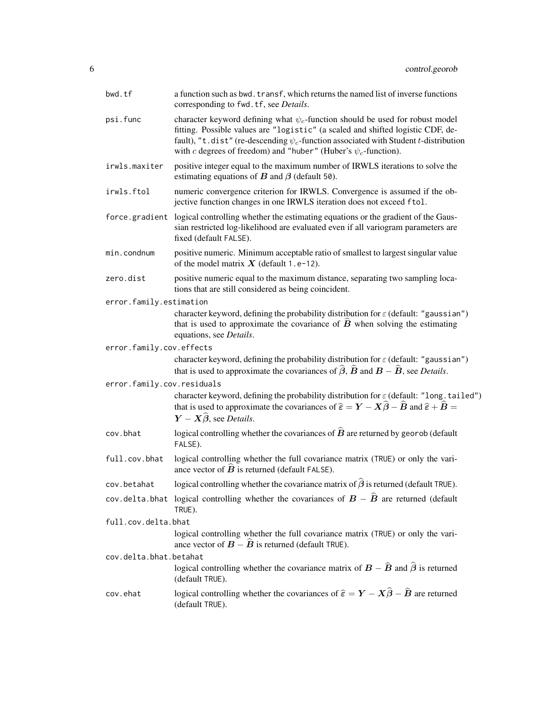| bwd.tf                     | a function such as bwd. transf, which returns the named list of inverse functions<br>corresponding to fwd. tf, see Details.                                                                                                                                                                                                                |
|----------------------------|--------------------------------------------------------------------------------------------------------------------------------------------------------------------------------------------------------------------------------------------------------------------------------------------------------------------------------------------|
| psi.func                   | character keyword defining what $\psi_c$ -function should be used for robust model<br>fitting. Possible values are "logistic" (a scaled and shifted logistic CDF, de-<br>fault), "t.dist" (re-descending $\psi_c$ -function associated with Student t-distribution<br>with c degrees of freedom) and "huber" (Huber's $\psi_c$ -function). |
| irwls.maxiter              | positive integer equal to the maximum number of IRWLS iterations to solve the<br>estimating equations of $B$ and $\beta$ (default 50).                                                                                                                                                                                                     |
| irwls.ftol                 | numeric convergence criterion for IRWLS. Convergence is assumed if the ob-<br>jective function changes in one IRWLS iteration does not exceed ftol.                                                                                                                                                                                        |
| force.gradient             | logical controlling whether the estimating equations or the gradient of the Gaus-<br>sian restricted log-likelihood are evaluated even if all variogram parameters are<br>fixed (default FALSE).                                                                                                                                           |
| min.condnum                | positive numeric. Minimum acceptable ratio of smallest to largest singular value<br>of the model matrix $X$ (default 1.e-12).                                                                                                                                                                                                              |
| zero.dist                  | positive numeric equal to the maximum distance, separating two sampling loca-<br>tions that are still considered as being coincident.                                                                                                                                                                                                      |
| error.family.estimation    |                                                                                                                                                                                                                                                                                                                                            |
|                            | character keyword, defining the probability distribution for $\varepsilon$ (default: "gaussian")<br>that is used to approximate the covariance of $\vec{B}$ when solving the estimating<br>equations, see Details.                                                                                                                         |
| error.family.cov.effects   |                                                                                                                                                                                                                                                                                                                                            |
|                            | character keyword, defining the probability distribution for $\varepsilon$ (default: "gaussian")<br>that is used to approximate the covariances of $\hat{\beta}$ , $\hat{B}$ and $B - \hat{B}$ , see <i>Details</i> .                                                                                                                      |
| error.family.cov.residuals |                                                                                                                                                                                                                                                                                                                                            |
|                            | character keyword, defining the probability distribution for $\varepsilon$ (default: "long.tailed")<br>that is used to approximate the covariances of $\hat{\epsilon} = \mathbf{Y} - \mathbf{X}\hat{\boldsymbol{\beta}} - \hat{\mathbf{B}}$ and $\hat{\epsilon} + \hat{\mathbf{B}} =$<br>$Y - X\hat{\beta}$ , see Details.                 |
| cov.bhat                   | logical controlling whether the covariances of $\hat{B}$ are returned by georob (default<br>FALSE).                                                                                                                                                                                                                                        |
| full.cov.bhat              | logical controlling whether the full covariance matrix (TRUE) or only the vari-<br>ance vector of $\vec{B}$ is returned (default FALSE).                                                                                                                                                                                                   |
| cov.betahat                | logical controlling whether the covariance matrix of $\hat{\beta}$ is returned (default TRUE).                                                                                                                                                                                                                                             |
|                            | cov.delta.bhat logical controlling whether the covariances of $B - \hat{B}$ are returned (default<br>TRUE).                                                                                                                                                                                                                                |
| full.cov.delta.bhat        |                                                                                                                                                                                                                                                                                                                                            |
|                            | logical controlling whether the full covariance matrix (TRUE) or only the vari-<br>ance vector of $\mathbf{B} - \hat{\mathbf{B}}$ is returned (default TRUE).                                                                                                                                                                              |
| cov.delta.bhat.betahat     |                                                                                                                                                                                                                                                                                                                                            |
|                            | logical controlling whether the covariance matrix of $B - \hat{B}$ and $\hat{\beta}$ is returned<br>(default TRUE).                                                                                                                                                                                                                        |
| cov.ehat                   | logical controlling whether the covariances of $\hat{\epsilon} = Y - X\hat{\beta} - \hat{B}$ are returned<br>(default TRUE).                                                                                                                                                                                                               |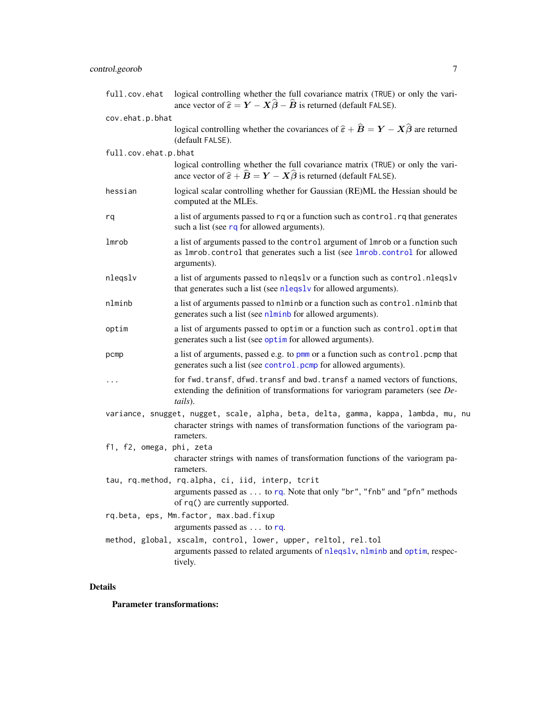# control.georob 7

| full.cov.ehat            | logical controlling whether the full covariance matrix (TRUE) or only the vari-<br>ance vector of $\hat{\epsilon} = Y - X\hat{\beta} - \hat{B}$ is returned (default FALSE).     |
|--------------------------|----------------------------------------------------------------------------------------------------------------------------------------------------------------------------------|
| cov.ehat.p.bhat          |                                                                                                                                                                                  |
|                          | logical controlling whether the covariances of $\hat{\epsilon} + \hat{B} = Y - X\hat{\beta}$ are returned<br>(default FALSE).                                                    |
| full.cov.ehat.p.bhat     | logical controlling whether the full covariance matrix (TRUE) or only the vari-<br>ance vector of $\hat{\epsilon} + \hat{B} = Y - X\hat{\beta}$ is returned (default FALSE).     |
| hessian                  | logical scalar controlling whether for Gaussian (RE)ML the Hessian should be<br>computed at the MLEs.                                                                            |
| rq                       | a list of arguments passed to rq or a function such as control. rq that generates<br>such a list (see rq for allowed arguments).                                                 |
| lmrob                    | a list of arguments passed to the control argument of lmrob or a function such<br>as 1mrob.control that generates such a list (see 1mrob.control for allowed<br>arguments).      |
| nlegslv                  | a list of arguments passed to nleqslv or a function such as control.nleqslv<br>that generates such a list (see nleqslv for allowed arguments).                                   |
| nlminb                   | a list of arguments passed to nlminb or a function such as control. nlminb that<br>generates such a list (see nlminb for allowed arguments).                                     |
| optim                    | a list of arguments passed to optim or a function such as control. optim that<br>generates such a list (see optime for allowed arguments).                                       |
| pcmp                     | a list of arguments, passed e.g. to pmm or a function such as control. pcmp that<br>generates such a list (see control.pcmp for allowed arguments).                              |
| $\cdots$                 | for fwd. transf, dfwd. transf and bwd. transf a named vectors of functions,<br>extending the definition of transformations for variogram parameters (see De-<br>tails).          |
|                          | variance, snugget, nugget, scale, alpha, beta, delta, gamma, kappa, lambda, mu, nu<br>character strings with names of transformation functions of the variogram pa-<br>rameters. |
| f1, f2, omega, phi, zeta | character strings with names of transformation functions of the variogram pa-<br>rameters.                                                                                       |
|                          | tau, rq.method, rq.alpha, ci, iid, interp, tcrit<br>arguments passed as $\dots$ to rq. Note that only "br", "fnb" and "pfn" methods<br>of rq() are currently supported.          |
|                          | rq.beta, eps, Mm.factor, max.bad.fixup<br>arguments passed as $\dots$ to rq.                                                                                                     |
|                          | method, global, xscalm, control, lower, upper, reltol, rel.tol<br>arguments passed to related arguments of nleqslv, nlminb and optim, respec-<br>tively.                         |

### Details

Parameter transformations: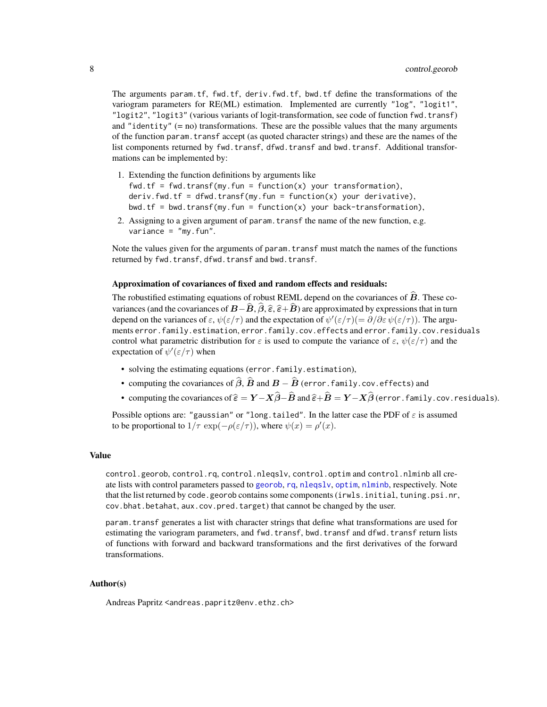The arguments param.tf, fwd.tf, deriv.fwd.tf, bwd.tf define the transformations of the variogram parameters for RE(ML) estimation. Implemented are currently "log", "logit1", "logit2", "logit3" (various variants of logit-transformation, see code of function fwd.transf) and "identity" (= no) transformations. These are the possible values that the many arguments of the function param.transf accept (as quoted character strings) and these are the names of the list components returned by fwd.transf, dfwd.transf and bwd.transf. Additional transformations can be implemented by:

- 1. Extending the function definitions by arguments like fwd.tf = fwd.transf(my.fun = function(x) your transformation), deriv.fwd.tf = dfwd.transf(my.fun = function(x) your derivative), bwd.tf = bwd.transf(my.fun = function(x) your back-transformation),
- 2. Assigning to a given argument of param.transf the name of the new function, e.g. variance =  $"my.fun".$

Note the values given for the arguments of param.transf must match the names of the functions returned by fwd.transf, dfwd.transf and bwd.transf.

### Approximation of covariances of fixed and random effects and residuals:

The robustified estimating equations of robust REML depend on the covariances of  $B$ . These covariances (and the covariances of  $\vec{B}-\vec{B}, \vec{\beta}, \hat{\epsilon}, \hat{\epsilon}+\vec{B}$ ) are approximated by expressions that in turn depend on the variances of  $\varepsilon$ ,  $\psi(\varepsilon/\tau)$  and the expectation of  $\psi'(\varepsilon/\tau)$  =  $\partial/\partial \varepsilon \psi(\varepsilon/\tau)$ ). The arguments error.family.estimation, error.family.cov.effects and error.family.cov.residuals control what parametric distribution for  $\varepsilon$  is used to compute the variance of  $\varepsilon$ ,  $\psi(\varepsilon/\tau)$  and the expectation of  $\psi'(\varepsilon/\tau)$  when

- solving the estimating equations (error.family.estimation),
- computing the covariances of  $\widehat{\beta}$ ,  $\widehat{B}$  and  $B \widehat{B}$  (error.family.cov.effects) and
- computing the covariances of  $\hat{\epsilon} = Y X\hat{\beta} \hat{B}$  and  $\hat{\epsilon} + \hat{B} = Y X\hat{\beta}$  (error. family.cov.residuals).

Possible options are: "gaussian" or "long.tailed". In the latter case the PDF of  $\varepsilon$  is assumed to be proportional to  $1/\tau \exp(-\rho(\varepsilon/\tau))$ , where  $\psi(x) = \rho'(x)$ .

### Value

control.georob, control.rq, control.nleqslv, control.optim and control.nlminb all create lists with control parameters passed to [georob](#page-21-1), [rq](#page-0-0), [nleqslv](#page-0-0), [optim](#page-0-0), [nlminb](#page-0-0), respectively. Note that the list returned by code.georob contains some components (irwls.initial, tuning.psi.nr, cov.bhat.betahat, aux.cov.pred.target) that cannot be changed by the user.

param.transf generates a list with character strings that define what transformations are used for estimating the variogram parameters, and fwd.transf, bwd.transf and dfwd.transf return lists of functions with forward and backward transformations and the first derivatives of the forward transformations.

### Author(s)

Andreas Papritz <andreas.papritz@env.ethz.ch>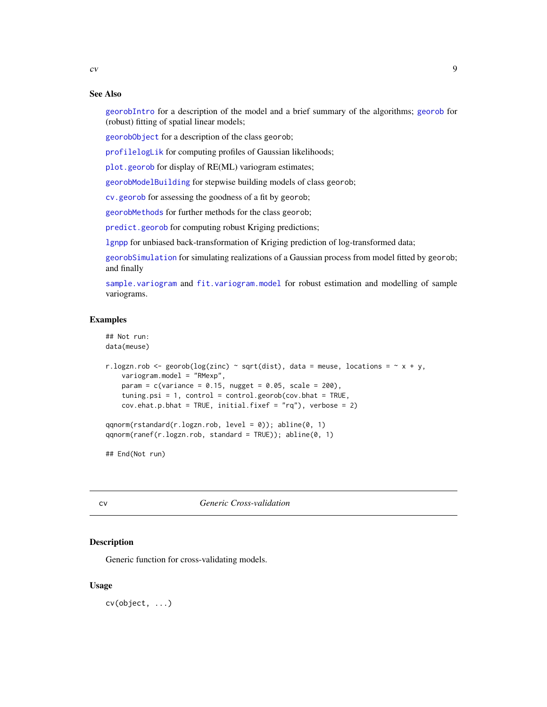### See Also

[georobIntro](#page-34-1) for a description of the model and a brief summary of the algorithms; [georob](#page-21-1) for (robust) fitting of spatial linear models;

[georobObject](#page-31-1) for a description of the class georob;

[profilelogLik](#page-61-1) for computing profiles of Gaussian likelihoods;

[plot.georob](#page-52-1) for display of RE(ML) variogram estimates;

[georobModelBuilding](#page-27-1) for stepwise building models of class georob;

[cv.georob](#page-9-1) for assessing the goodness of a fit by georob;

[georobMethods](#page-38-1) for further methods for the class georob;

[predict.georob](#page-57-1) for computing robust Kriging predictions;

[lgnpp](#page-46-1) for unbiased back-transformation of Kriging prediction of log-transformed data;

[georobSimulation](#page-42-1) for simulating realizations of a Gaussian process from model fitted by georob; and finally

[sample.variogram](#page-63-1) and [fit.variogram.model](#page-15-1) for robust estimation and modelling of sample variograms.

### Examples

```
## Not run:
data(meuse)
```

```
r.logzn.rob <- georob(log(zinc) ~ sqrt(dist), data = meuse, locations = \sim x + y,
   variogram.model = "RMexp",
   param = c(variance = 0.15, nugget = 0.05, scale = 200),
   tuning.psi = 1, control = control.georob(cov.bhat = TRUE,
   cov.ehat.p.bhat = TRUE, initial.fixef = "rq"), verbose = 2)
```

```
qqnorm(rstandard(r.logzn.rob, level = 0)); abline(0, 1)
qqnorm(ranef(r.logzn.rob, standard = TRUE)); abline(0, 1)
```
## End(Not run)

cv *Generic Cross-validation*

#### **Description**

Generic function for cross-validating models.

### Usage

cv(object, ...)

<span id="page-8-0"></span> $\alpha$  9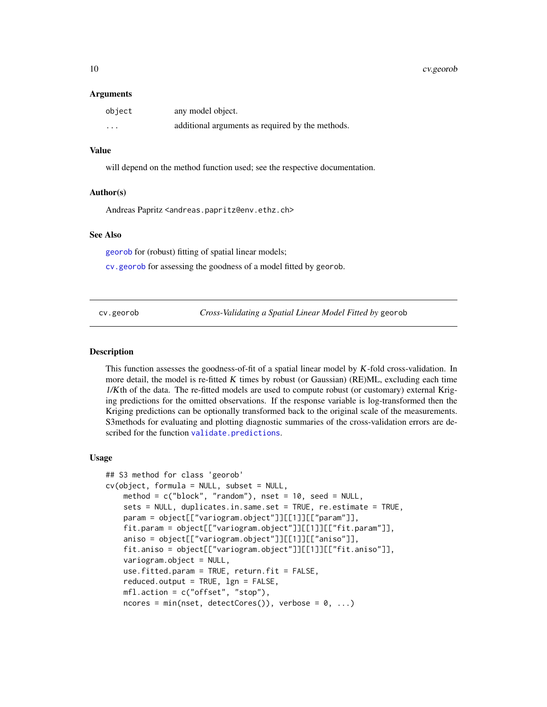### <span id="page-9-0"></span>10 cv.georob

#### **Arguments**

| object  | any model object.                                |
|---------|--------------------------------------------------|
| $\cdot$ | additional arguments as required by the methods. |

### Value

will depend on the method function used; see the respective documentation.

#### Author(s)

Andreas Papritz <andreas.papritz@env.ethz.ch>

### See Also

[georob](#page-21-1) for (robust) fitting of spatial linear models;

[cv.georob](#page-9-1) for assessing the goodness of a model fitted by georob.

<span id="page-9-1"></span>cv.georob *Cross-Validating a Spatial Linear Model Fitted by* georob

### **Description**

This function assesses the goodness-of-fit of a spatial linear model by  $K$ -fold cross-validation. In more detail, the model is re-fitted K times by robust (or Gaussian) (RE)ML, excluding each time 1/Kth of the data. The re-fitted models are used to compute robust (or customary) external Kriging predictions for the omitted observations. If the response variable is log-transformed then the Kriging predictions can be optionally transformed back to the original scale of the measurements. S3methods for evaluating and plotting diagnostic summaries of the cross-validation errors are described for the function [validate.predictions](#page-67-1).

### Usage

```
## S3 method for class 'georob'
cv(object, formula = NULL, subset = NULL,
   method = c("block", "random"), nset = 10, seed = NULL,
   sets = NULL, duplicates.in.same.set = TRUE, re.estimate = TRUE,
   param = object[["variogram.object"]][[1]][["param"]],
   fit.param = object[["variogram.object"]][[1]][["fit.param"]],
   aniso = object[["variogram.object"]][[1]][["aniso"]],
   fit.aniso = object[["variogram.object"]][[1]][["fit.aniso"]],
   variogram.object = NULL,
   use.fitted.param = TRUE, return.fit = FALSE,
   reduced.output = TRUE, 1gn = FALSE,mfl.action = c("offset", "stop"),
   ncores = min(nset, detectCores()), verbose = 0, ...)
```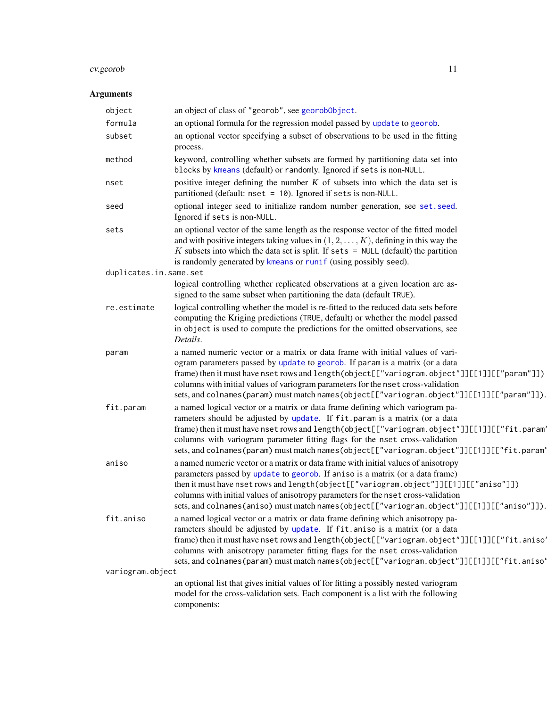# cv.georob 11

### Arguments

| object                 | an object of class of "georob", see georobObject.                                                                                                                                                                                                                                                                                                                                                                                                  |
|------------------------|----------------------------------------------------------------------------------------------------------------------------------------------------------------------------------------------------------------------------------------------------------------------------------------------------------------------------------------------------------------------------------------------------------------------------------------------------|
| formula                | an optional formula for the regression model passed by update to georob.                                                                                                                                                                                                                                                                                                                                                                           |
| subset                 | an optional vector specifying a subset of observations to be used in the fitting<br>process.                                                                                                                                                                                                                                                                                                                                                       |
| method                 | keyword, controlling whether subsets are formed by partitioning data set into<br>blocks by kmeans (default) or randomly. Ignored if sets is non-NULL.                                                                                                                                                                                                                                                                                              |
| nset                   | positive integer defining the number $K$ of subsets into which the data set is<br>partitioned (default: nset = 10). Ignored if sets is non-NULL.                                                                                                                                                                                                                                                                                                   |
| seed                   | optional integer seed to initialize random number generation, see set.seed.<br>Ignored if sets is non-NULL.                                                                                                                                                                                                                                                                                                                                        |
| sets                   | an optional vector of the same length as the response vector of the fitted model<br>and with positive integers taking values in $(1, 2, \ldots, K)$ , defining in this way the<br>$K$ subsets into which the data set is split. If sets = NULL (default) the partition<br>is randomly generated by kmeans or runif (using possibly seed).                                                                                                          |
| duplicates.in.same.set |                                                                                                                                                                                                                                                                                                                                                                                                                                                    |
|                        | logical controlling whether replicated observations at a given location are as-<br>signed to the same subset when partitioning the data (default TRUE).                                                                                                                                                                                                                                                                                            |
| re.estimate            | logical controlling whether the model is re-fitted to the reduced data sets before<br>computing the Kriging predictions (TRUE, default) or whether the model passed<br>in object is used to compute the predictions for the omitted observations, see<br>Details.                                                                                                                                                                                  |
| param                  | a named numeric vector or a matrix or data frame with initial values of vari-<br>ogram parameters passed by update to georob. If param is a matrix (or a data<br>frame) then it must have nset rows and length(object[["variogram.object"]][[1]][["param"]])<br>columns with initial values of variogram parameters for the nset cross-validation<br>sets, and colnames (param) must match names (object [["variogram.object"]][[1]][["param"]]).  |
| fit.param              | a named logical vector or a matrix or data frame defining which variogram pa-<br>rameters should be adjusted by update. If fit param is a matrix (or a data<br>frame) then it must have nset rows and length(object[["variogram.object"]][[1]][["fit.param'<br>columns with variogram parameter fitting flags for the nset cross-validation<br>sets, and colnames (param) must match names (object[["variogram.object"]][[1]][["fit.param'         |
| aniso                  | a named numeric vector or a matrix or data frame with initial values of anisotropy<br>parameters passed by update to georob. If aniso is a matrix (or a data frame)<br>then it must have nset rows and length (object[["variogram.object"]][[1]][["aniso"]])<br>columns with initial values of anisotropy parameters for the nset cross-validation<br>sets, and colnames (aniso) must match names (object [["variogram.object"]][[1]][["aniso"]]). |
| fit.aniso              | a named logical vector or a matrix or data frame defining which anisotropy pa-<br>rameters should be adjusted by update. If fit aniso is a matrix (or a data<br>frame) then it must have nset rows and length(object[["variogram.object"]][[1]][["fit.aniso'<br>columns with anisotropy parameter fitting flags for the nset cross-validation<br>sets, and colnames (param) must match names (object[["variogram.object"]][[1]][["fit.aniso'       |
| variogram.object       |                                                                                                                                                                                                                                                                                                                                                                                                                                                    |
|                        | an optional list that gives initial values of for fitting a possibly nested variogram<br>model for the cross-validation sets. Each component is a list with the following<br>components:                                                                                                                                                                                                                                                           |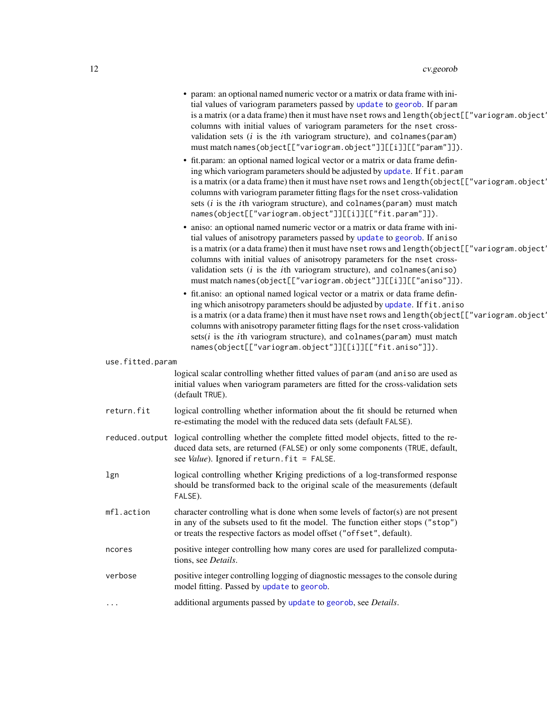|                  | • param: an optional named numeric vector or a matrix or data frame with ini-<br>tial values of variogram parameters passed by update to georob. If param<br>is a matrix (or a data frame) then it must have nset rows and length (object[["variogram.object']<br>columns with initial values of variogram parameters for the nset cross-<br>validation sets $(i$ is the <i>i</i> th variogram structure), and colnames (param)<br>must match names(object[["variogram.object"]][[i]][["param"]]).    |
|------------------|-------------------------------------------------------------------------------------------------------------------------------------------------------------------------------------------------------------------------------------------------------------------------------------------------------------------------------------------------------------------------------------------------------------------------------------------------------------------------------------------------------|
|                  | • fit.param: an optional named logical vector or a matrix or data frame defin-<br>ing which variogram parameters should be adjusted by update. If fit.param<br>is a matrix (or a data frame) then it must have nset rows and length (object [["variogram.object'<br>columns with variogram parameter fitting flags for the nset cross-validation<br>sets (i is the ith variogram structure), and colnames (param) must match<br>names(object[["variogram.object"]][[i]][["fit.param"]]).              |
|                  | • aniso: an optional named numeric vector or a matrix or data frame with ini-<br>tial values of anisotropy parameters passed by update to georob. If aniso<br>is a matrix (or a data frame) then it must have nset rows and length (object [["variogram.object'<br>columns with initial values of anisotropy parameters for the nset cross-<br>validation sets $(i$ is the <i>i</i> th variogram structure), and colnames (aniso)<br>must match names(object[["variogram.object"]][[i]][["aniso"]]).  |
|                  | • fit.aniso: an optional named logical vector or a matrix or data frame defin-<br>ing which anisotropy parameters should be adjusted by update. If fit. aniso<br>is a matrix (or a data frame) then it must have nset rows and length (object [["variogram.object'<br>columns with anisotropy parameter fitting flags for the nset cross-validation<br>sets $(i$ is the <i>i</i> th variogram structure), and colnames (param) must match<br>names(object[["variogram.object"]][[i]][["fit.aniso"]]). |
| use.fitted.param | logical scalar controlling whether fitted values of param (and aniso are used as<br>initial values when variogram parameters are fitted for the cross-validation sets<br>(default TRUE).                                                                                                                                                                                                                                                                                                              |
| return.fit       | logical controlling whether information about the fit should be returned when<br>re-estimating the model with the reduced data sets (default FALSE).                                                                                                                                                                                                                                                                                                                                                  |
|                  | reduced output logical controlling whether the complete fitted model objects, fitted to the re-<br>duced data sets, are returned (FALSE) or only some components (TRUE, default,<br>see Value). Ignored if return. fit = FALSE.                                                                                                                                                                                                                                                                       |
| lgn              | logical controlling whether Kriging predictions of a log-transformed response<br>should be transformed back to the original scale of the measurements (default<br>FALSE).                                                                                                                                                                                                                                                                                                                             |
| mfl.action       | character controlling what is done when some levels of factor(s) are not present<br>in any of the subsets used to fit the model. The function either stops ("stop")<br>or treats the respective factors as model offset ("offset", default).                                                                                                                                                                                                                                                          |
| ncores           | positive integer controlling how many cores are used for parallelized computa-<br>tions, see Details.                                                                                                                                                                                                                                                                                                                                                                                                 |
| verbose          | positive integer controlling logging of diagnostic messages to the console during<br>model fitting. Passed by update to georob.                                                                                                                                                                                                                                                                                                                                                                       |
| .                | additional arguments passed by update to georob, see Details.                                                                                                                                                                                                                                                                                                                                                                                                                                         |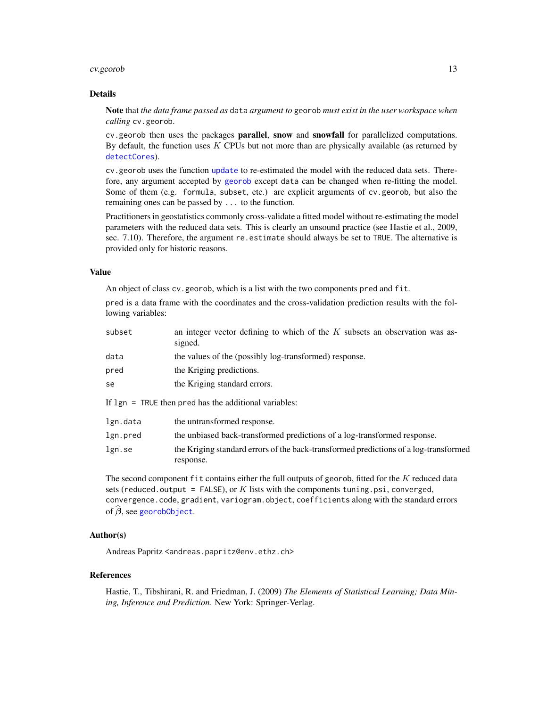### cv.georob 13

#### Details

Note that *the data frame passed as* data *argument to* georob *must exist in the user workspace when calling* cv.georob.

cv.georob then uses the packages parallel, snow and snowfall for parallelized computations. By default, the function uses  $K$  CPUs but not more than are physically available (as returned by [detectCores](#page-0-0)).

cv.georob uses the function [update](#page-0-0) to re-estimated the model with the reduced data sets. Therefore, any argument accepted by [georob](#page-21-1) except data can be changed when re-fitting the model. Some of them (e.g. formula, subset, etc.) are explicit arguments of cv.georob, but also the remaining ones can be passed by ... to the function.

Practitioners in geostatistics commonly cross-validate a fitted model without re-estimating the model parameters with the reduced data sets. This is clearly an unsound practice (see Hastie et al., 2009, sec. 7.10). Therefore, the argument re.estimate should always be set to TRUE. The alternative is provided only for historic reasons.

### Value

An object of class cv.georob, which is a list with the two components pred and fit.

pred is a data frame with the coordinates and the cross-validation prediction results with the following variables:

| subset                                                  | an integer vector defining to which of the $K$ subsets an observation was as-<br>signed. |  |  |  |
|---------------------------------------------------------|------------------------------------------------------------------------------------------|--|--|--|
| data                                                    | the values of the (possibly log-transformed) response.                                   |  |  |  |
| pred                                                    | the Kriging predictions.                                                                 |  |  |  |
| se                                                      | the Kriging standard errors.                                                             |  |  |  |
| If $lgn = TRUE$ then pred has the additional variables: |                                                                                          |  |  |  |

| lgn.data | the untransformed response.                                                          |
|----------|--------------------------------------------------------------------------------------|
| lgn.pred | the unbiased back-transformed predictions of a log-transformed response.             |
| lgn.se   | the Kriging standard errors of the back-transformed predictions of a log-transformed |
|          | response.                                                                            |

The second component fit contains either the full outputs of georob, fitted for the K reduced data sets (reduced.output = FALSE), or  $K$  lists with the components tuning.psi, converged, convergence.code, gradient, variogram.object, coefficients along with the standard errors of  $\widehat{\boldsymbol{\beta}}$ , see [georobObject](#page-31-1).

### Author(s)

Andreas Papritz <andreas.papritz@env.ethz.ch>

### References

Hastie, T., Tibshirani, R. and Friedman, J. (2009) *The Elements of Statistical Learning; Data Mining, Inference and Prediction*. New York: Springer-Verlag.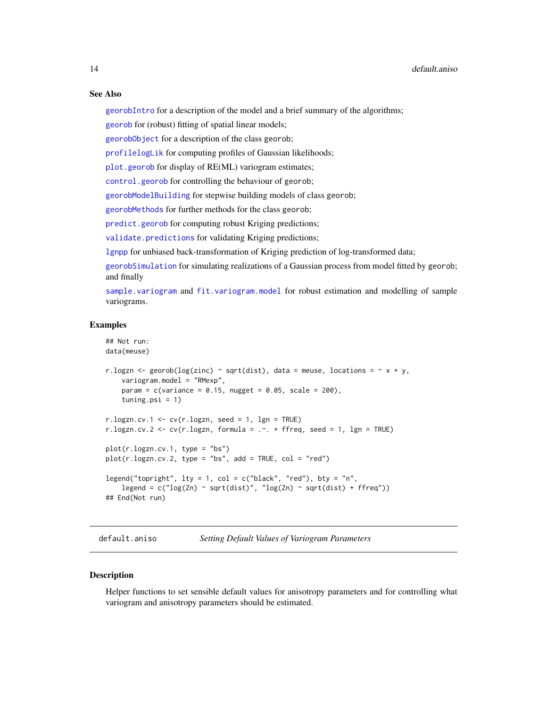[georobIntro](#page-34-1) for a description of the model and a brief summary of the algorithms;

[georob](#page-21-1) for (robust) fitting of spatial linear models;

[georobObject](#page-31-1) for a description of the class georob;

[profilelogLik](#page-61-1) for computing profiles of Gaussian likelihoods;

[plot.georob](#page-52-1) for display of RE(ML) variogram estimates;

[control.georob](#page-2-1) for controlling the behaviour of georob;

[georobModelBuilding](#page-27-1) for stepwise building models of class georob;

[georobMethods](#page-38-1) for further methods for the class georob;

[predict.georob](#page-57-1) for computing robust Kriging predictions;

[validate.predictions](#page-67-1) for validating Kriging predictions;

[lgnpp](#page-46-1) for unbiased back-transformation of Kriging prediction of log-transformed data;

[georobSimulation](#page-42-1) for simulating realizations of a Gaussian process from model fitted by georob; and finally

[sample.variogram](#page-63-1) and [fit.variogram.model](#page-15-1) for robust estimation and modelling of sample variograms.

### Examples

```
## Not run:
data(meuse)
r.logzn <- georob(log(zinc) ~ sqrt(dist), data = meuse, locations = \sim x + y,
    variogram.model = "RMexp",
    param = c(variance = 0.15, nugget = 0.05, scale = 200),tuning.psi = 1)
r.logzn.cv.1 \leq cv(r.logzn, seed = 1, Ign = TRUE)r.logzn.cv.2 <- cv(r.logzn, formula = . \sim. + ffreq, seed = 1, lgn = TRUE)
plot(r.logzn.cv.1, type = "bs")
plot(r.logzn.cv.2, type = "bs", add = TRUE, col = "red")legend("topright", lty = 1, col = c("black", "red"), bty = "n",legend = c("log(Zn) \sim sqrt(dist)", "log(Zn) \sim sqrt(dist) + ffreq"))## End(Not run)
```
<span id="page-13-2"></span>default.aniso *Setting Default Values of Variogram Parameters*

#### <span id="page-13-1"></span>Description

Helper functions to set sensible default values for anisotropy parameters and for controlling what variogram and anisotropy parameters should be estimated.

<span id="page-13-0"></span>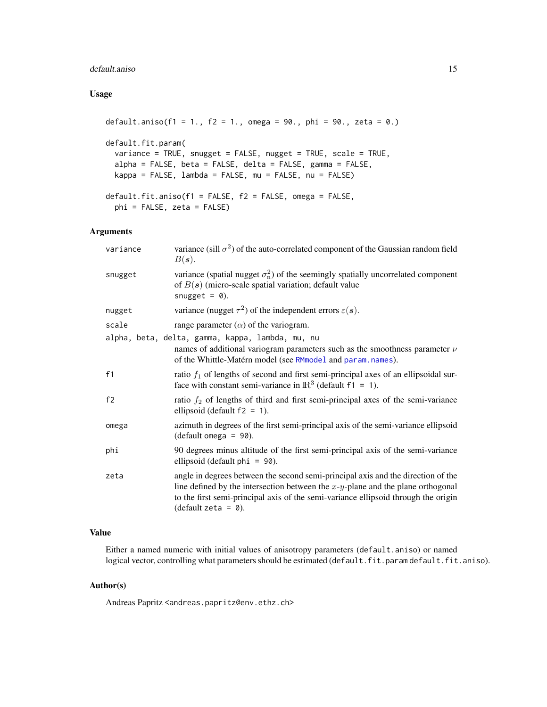### default.aniso 15

### Usage

```
default.aniso(f1 = 1., f2 = 1., omega = 90., phi = 90., zeta = 0.)
default.fit.param(
 variance = TRUE, snugget = FALSE, nugget = TRUE, scale = TRUE,
 alpha = FALSE, beta = FALSE, delta = FALSE, gamma = FALSE,
 kappa = FALSE, lambda = FALSE, mu = FALSE, nu = FALSE)
default.fit.aniso(f1 = FALSE, f2 = FALSE, omega = FALSE,
 phi = FALSE, zeta = FALSE)
```
### Arguments

| variance | variance (sill $\sigma^2$ ) of the auto-correlated component of the Gaussian random field<br>$B(s)$ .                                                                                                                                                                                       |
|----------|---------------------------------------------------------------------------------------------------------------------------------------------------------------------------------------------------------------------------------------------------------------------------------------------|
| snugget  | variance (spatial nugget $\sigma_n^2$ ) of the seemingly spatially uncorrelated component<br>of $B(s)$ (micro-scale spatial variation; default value<br>snugget = $\theta$ ).                                                                                                               |
| nugget   | variance (nugget $\tau^2$ ) of the independent errors $\varepsilon(s)$ .                                                                                                                                                                                                                    |
| scale    | range parameter $(\alpha)$ of the variogram.                                                                                                                                                                                                                                                |
|          | alpha, beta, delta, gamma, kappa, lambda, mu, nu<br>names of additional variogram parameters such as the smoothness parameter $\nu$<br>of the Whittle-Matérn model (see RMmodel and param.names).                                                                                           |
| f1       | ratio $f_1$ of lengths of second and first semi-principal axes of an ellipsoidal sur-<br>face with constant semi-variance in $\mathbb{R}^3$ (default f1 = 1).                                                                                                                               |
| f2       | ratio $f_2$ of lengths of third and first semi-principal axes of the semi-variance<br>ellipsoid (default $f2 = 1$ ).                                                                                                                                                                        |
| omega    | azimuth in degrees of the first semi-principal axis of the semi-variance ellipsoid<br>$(default \,omega = 90).$                                                                                                                                                                             |
| phi      | 90 degrees minus altitude of the first semi-principal axis of the semi-variance<br>ellipsoid (default $phi = 90$ ).                                                                                                                                                                         |
| zeta     | angle in degrees between the second semi-principal axis and the direction of the<br>line defined by the intersection between the $x-y$ -plane and the plane orthogonal<br>to the first semi-principal axis of the semi-variance ellipsoid through the origin<br>(default zeta = $\theta$ ). |

### Value

Either a named numeric with initial values of anisotropy parameters (default.aniso) or named logical vector, controlling what parameters should be estimated (default.fit.param default.fit.aniso).

### Author(s)

Andreas Papritz <andreas.papritz@env.ethz.ch>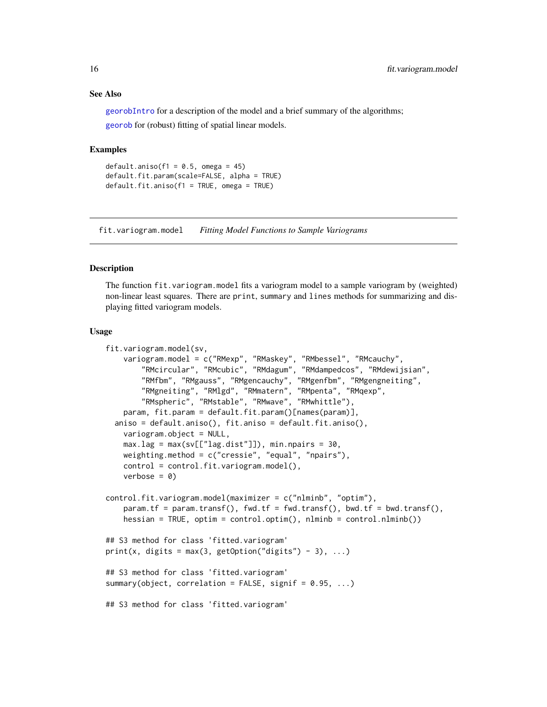### See Also

[georobIntro](#page-34-1) for a description of the model and a brief summary of the algorithms; [georob](#page-21-1) for (robust) fitting of spatial linear models.

#### Examples

```
default.aniso(f1 = 0.5, omega = 45)
default.fit.param(scale=FALSE, alpha = TRUE)
default.fit.aniso(f1 = TRUE, omega = TRUE)
```
<span id="page-15-1"></span>fit.variogram.model *Fitting Model Functions to Sample Variograms*

#### **Description**

The function fit.variogram.model fits a variogram model to a sample variogram by (weighted) non-linear least squares. There are print, summary and lines methods for summarizing and displaying fitted variogram models.

#### Usage

```
fit.variogram.model(sv,
   variogram.model = c("RMexp", "RMaskey", "RMbessel", "RMcauchy",
        "RMcircular", "RMcubic", "RMdagum", "RMdampedcos", "RMdewijsian",
        "RMfbm", "RMgauss", "RMgencauchy", "RMgenfbm", "RMgengneiting",
        "RMgneiting", "RMlgd", "RMmatern", "RMpenta", "RMqexp",
        "RMspheric", "RMstable", "RMwave", "RMwhittle"),
   param, fit.param = default.fit.param()[names(param)],
  aniso = default.aniso(), fit.aniso = default.fit.aniso(),
    variogram.object = NULL,
   max.lag = max(sv[["lag.dist"]]), min.npairs = 30,weighting.method = c("cressie", "equal", "npairs"),
    control = control.fit.variogram.model(),
    verbose = 0control.fit.variogram.model(maximizer = c("nlminb", "optim"),
    param.tf = param.transf(), fwd.tf = fwd.transf(), bwd.tf = bwd.transf(),
    hessian = TRUE, optim = control.optim(), nlminb = control.nlminb())
## S3 method for class 'fitted.variogram'
print(x, \text{ digits} = \text{max}(3, \text{ getOption("digits")} - 3), ...)## S3 method for class 'fitted.variogram'
summary(object, correlation = FALSE, signif = 0.95, ...)
## S3 method for class 'fitted.variogram'
```
<span id="page-15-0"></span>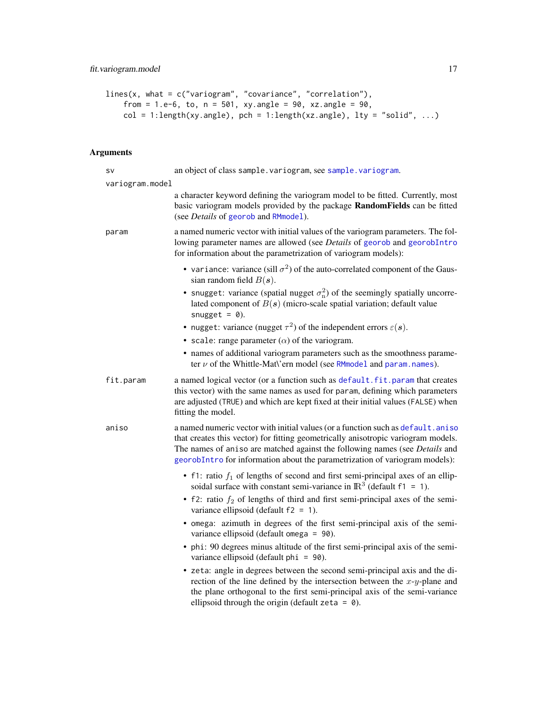```
lines(x, what = c("variogram", "covariance", "correlation"),
    from = 1.e-6, to, n = 501, xy.angle = 90, xz.angle = 90,
   col = 1:length(xy.angle), pch = 1:length(xz.angle), lty = "solid", ...)
```
### Arguments

| <b>SV</b>       | an object of class sample. variogram, see sample. variogram.                                                                                                                                                                                                                                                                       |
|-----------------|------------------------------------------------------------------------------------------------------------------------------------------------------------------------------------------------------------------------------------------------------------------------------------------------------------------------------------|
| variogram.model |                                                                                                                                                                                                                                                                                                                                    |
|                 | a character keyword defining the variogram model to be fitted. Currently, most<br>basic variogram models provided by the package RandomFields can be fitted<br>(see Details of georob and RMmodel).                                                                                                                                |
| param           | a named numeric vector with initial values of the variogram parameters. The fol-<br>lowing parameter names are allowed (see Details of georob and georobIntro<br>for information about the parametrization of variogram models):                                                                                                   |
|                 | • variance: variance (sill $\sigma^2$ ) of the auto-correlated component of the Gaus-<br>sian random field $B(s)$ .                                                                                                                                                                                                                |
|                 | • snugget: variance (spatial nugget $\sigma_n^2$ ) of the seemingly spatially uncorre-<br>lated component of $B(s)$ (micro-scale spatial variation; default value<br>snugget = $\theta$ ).                                                                                                                                         |
|                 | • nugget: variance (nugget $\tau^2$ ) of the independent errors $\varepsilon(s)$ .                                                                                                                                                                                                                                                 |
|                 | • scale: range parameter $(\alpha)$ of the variogram.                                                                                                                                                                                                                                                                              |
|                 | • names of additional variogram parameters such as the smoothness parame-<br>ter $\nu$ of the Whittle-Mat\'ern model (see RMmodel and param.names).                                                                                                                                                                                |
| fit.param       | a named logical vector (or a function such as default.fit.param that creates<br>this vector) with the same names as used for param, defining which parameters<br>are adjusted (TRUE) and which are kept fixed at their initial values (FALSE) when<br>fitting the model.                                                           |
| aniso           | a named numeric vector with initial values (or a function such as default.aniso<br>that creates this vector) for fitting geometrically anisotropic variogram models.<br>The names of aniso are matched against the following names (see Details and<br>georobIntro for information about the parametrization of variogram models): |
|                 | • f1: ratio $f_1$ of lengths of second and first semi-principal axes of an ellip-<br>soidal surface with constant semi-variance in $\mathbb{R}^3$ (default f1 = 1).                                                                                                                                                                |
|                 | • f2: ratio $f_2$ of lengths of third and first semi-principal axes of the semi-<br>variance ellipsoid (default $f2 = 1$ ).                                                                                                                                                                                                        |
|                 | • omega: azimuth in degrees of the first semi-principal axis of the semi-<br>variance ellipsoid (default omega = 90).                                                                                                                                                                                                              |
|                 | • phi: 90 degrees minus altitude of the first semi-principal axis of the semi-<br>variance ellipsoid (default phi = 90).                                                                                                                                                                                                           |
|                 | • zeta: angle in degrees between the second semi-principal axis and the di-<br>rection of the line defined by the intersection between the $x-y$ -plane and<br>the plane orthogonal to the first semi-principal axis of the semi-variance<br>ellipsoid through the origin (default zeta = $\theta$ ).                              |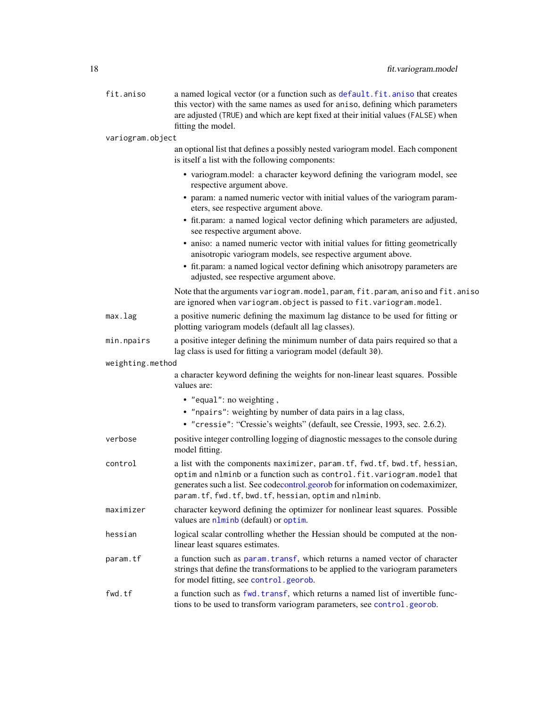# 18 fit.variogram.model

| fit.aniso        | a named logical vector (or a function such as default.fit.aniso that creates<br>this vector) with the same names as used for aniso, defining which parameters<br>are adjusted (TRUE) and which are kept fixed at their initial values (FALSE) when<br>fitting the model.                       |
|------------------|------------------------------------------------------------------------------------------------------------------------------------------------------------------------------------------------------------------------------------------------------------------------------------------------|
| variogram.object |                                                                                                                                                                                                                                                                                                |
|                  | an optional list that defines a possibly nested variogram model. Each component<br>is itself a list with the following components:                                                                                                                                                             |
|                  | • variogram.model: a character keyword defining the variogram model, see<br>respective argument above.                                                                                                                                                                                         |
|                  | • param: a named numeric vector with initial values of the variogram param-<br>eters, see respective argument above.                                                                                                                                                                           |
|                  | • fit.param: a named logical vector defining which parameters are adjusted,<br>see respective argument above.                                                                                                                                                                                  |
|                  | • aniso: a named numeric vector with initial values for fitting geometrically<br>anisotropic variogram models, see respective argument above.                                                                                                                                                  |
|                  | • fit.param: a named logical vector defining which anisotropy parameters are<br>adjusted, see respective argument above.                                                                                                                                                                       |
|                  | Note that the arguments variogram.model, param, fit.param, aniso and fit.aniso<br>are ignored when variogram. object is passed to fit. variogram. model.                                                                                                                                       |
| max.lag          | a positive numeric defining the maximum lag distance to be used for fitting or<br>plotting variogram models (default all lag classes).                                                                                                                                                         |
| min.npairs       | a positive integer defining the minimum number of data pairs required so that a<br>lag class is used for fitting a variogram model (default 30).                                                                                                                                               |
| weighting.method |                                                                                                                                                                                                                                                                                                |
|                  | a character keyword defining the weights for non-linear least squares. Possible<br>values are:                                                                                                                                                                                                 |
|                  | • "equal": no weighting,                                                                                                                                                                                                                                                                       |
|                  | • "npairs": weighting by number of data pairs in a lag class,                                                                                                                                                                                                                                  |
|                  | • "cressie": "Cressie's weights" (default, see Cressie, 1993, sec. 2.6.2).                                                                                                                                                                                                                     |
| verbose          | positive integer controlling logging of diagnostic messages to the console during<br>model fitting.                                                                                                                                                                                            |
| control          | a list with the components maximizer, param.tf, fwd.tf, bwd.tf, hessian,<br>optim and nlminb or a function such as control.fit.variogram.model that<br>generates such a list. See codecontrol.georob for information on codemaximizer,<br>param.tf, fwd.tf, bwd.tf, hessian, optim and nlminb. |
| maximizer        | character keyword defining the optimizer for nonlinear least squares. Possible<br>values are nlminb (default) or optim.                                                                                                                                                                        |
| hessian          | logical scalar controlling whether the Hessian should be computed at the non-<br>linear least squares estimates.                                                                                                                                                                               |
| param.tf         | a function such as param. transf, which returns a named vector of character<br>strings that define the transformations to be applied to the variogram parameters<br>for model fitting, see control.georob.                                                                                     |
| fwd.tf           | a function such as fwd. transf, which returns a named list of invertible func-<br>tions to be used to transform variogram parameters, see control.georob.                                                                                                                                      |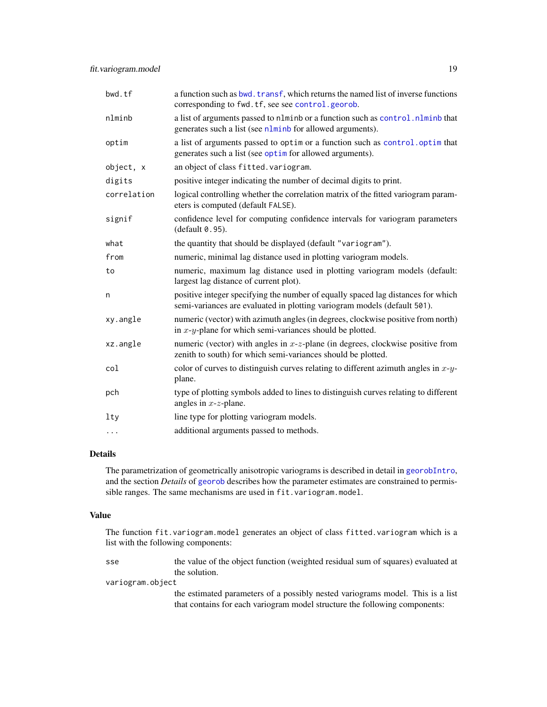| a function such as bwd. transf, which returns the named list of inverse functions<br>corresponding to fwd.tf, see see control.georob.                        |
|--------------------------------------------------------------------------------------------------------------------------------------------------------------|
| a list of arguments passed to nlminb or a function such as control. nlminb that<br>generates such a list (see nlminb for allowed arguments).                 |
| a list of arguments passed to optim or a function such as control. optim that<br>generates such a list (see optim for allowed arguments).                    |
| an object of class fitted. variogram.                                                                                                                        |
| positive integer indicating the number of decimal digits to print.                                                                                           |
| logical controlling whether the correlation matrix of the fitted variogram param-<br>eters is computed (default FALSE).                                      |
| confidence level for computing confidence intervals for variogram parameters<br>(default 0.95).                                                              |
| the quantity that should be displayed (default "variogram").                                                                                                 |
| numeric, minimal lag distance used in plotting variogram models.                                                                                             |
| numeric, maximum lag distance used in plotting variogram models (default:<br>largest lag distance of current plot).                                          |
| positive integer specifying the number of equally spaced lag distances for which<br>semi-variances are evaluated in plotting variogram models (default 501). |
| numeric (vector) with azimuth angles (in degrees, clockwise positive from north)<br>in $x-y$ -plane for which semi-variances should be plotted.              |
| numeric (vector) with angles in $x$ - $z$ -plane (in degrees, clockwise positive from<br>zenith to south) for which semi-variances should be plotted.        |
| color of curves to distinguish curves relating to different azimuth angles in $x-y$ -<br>plane.                                                              |
| type of plotting symbols added to lines to distinguish curves relating to different<br>angles in $x$ - $z$ -plane.                                           |
| line type for plotting variogram models.                                                                                                                     |
| additional arguments passed to methods.                                                                                                                      |
|                                                                                                                                                              |

### Details

The parametrization of geometrically anisotropic variograms is described in detail in [georobIntro](#page-34-1), and the section *Details* of [georob](#page-21-1) describes how the parameter estimates are constrained to permissible ranges. The same mechanisms are used in fit.variogram.model.

### Value

The function fit.variogram.model generates an object of class fitted.variogram which is a list with the following components:

sse the value of the object function (weighted residual sum of squares) evaluated at the solution.

variogram.object

the estimated parameters of a possibly nested variograms model. This is a list that contains for each variogram model structure the following components: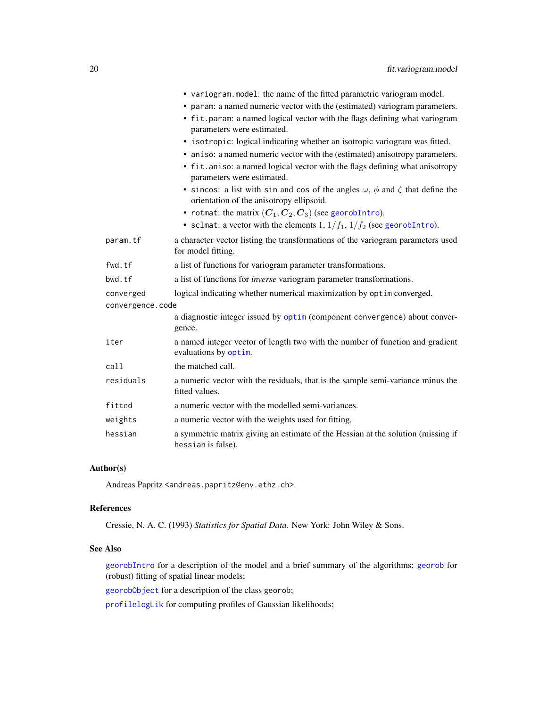|                  | • variogram.model: the name of the fitted parametric variogram model.                                                                     |
|------------------|-------------------------------------------------------------------------------------------------------------------------------------------|
|                  | • param: a named numeric vector with the (estimated) variogram parameters.                                                                |
|                  | • fit.param: a named logical vector with the flags defining what variogram<br>parameters were estimated.                                  |
|                  | • isotropic: logical indicating whether an isotropic variogram was fitted.                                                                |
|                  | • aniso: a named numeric vector with the (estimated) anisotropy parameters.                                                               |
|                  | • fit. aniso: a named logical vector with the flags defining what anisotropy<br>parameters were estimated.                                |
|                  | • sincos: a list with sin and cos of the angles $\omega$ , $\phi$ and $\zeta$ that define the<br>orientation of the anisotropy ellipsoid. |
|                  | • rotmat: the matrix $(C_1, C_2, C_3)$ (see georobIntro).                                                                                 |
|                  | • sclmat: a vector with the elements 1, $1/f_1$ , $1/f_2$ (see georobIntro).                                                              |
| param.tf         | a character vector listing the transformations of the variogram parameters used<br>for model fitting.                                     |
| fwd.tf           | a list of functions for variogram parameter transformations.                                                                              |
| bwd.tf           | a list of functions for <i>inverse</i> variogram parameter transformations.                                                               |
| converged        | logical indicating whether numerical maximization by optim converged.                                                                     |
| convergence.code |                                                                                                                                           |
|                  | a diagnostic integer issued by optim (component convergence) about conver-<br>gence.                                                      |
| iter             | a named integer vector of length two with the number of function and gradient<br>evaluations by optim.                                    |
| call             | the matched call.                                                                                                                         |
| residuals        | a numeric vector with the residuals, that is the sample semi-variance minus the<br>fitted values.                                         |
| fitted           | a numeric vector with the modelled semi-variances.                                                                                        |
| weights          | a numeric vector with the weights used for fitting.                                                                                       |
| hessian          | a symmetric matrix giving an estimate of the Hessian at the solution (missing if<br>hessian is false).                                    |

### Author(s)

Andreas Papritz <andreas.papritz@env.ethz.ch>.

### References

Cressie, N. A. C. (1993) *Statistics for Spatial Data*. New York: John Wiley & Sons.

### See Also

[georobIntro](#page-34-1) for a description of the model and a brief summary of the algorithms; [georob](#page-21-1) for (robust) fitting of spatial linear models;

[georobObject](#page-31-1) for a description of the class georob;

[profilelogLik](#page-61-1) for computing profiles of Gaussian likelihoods;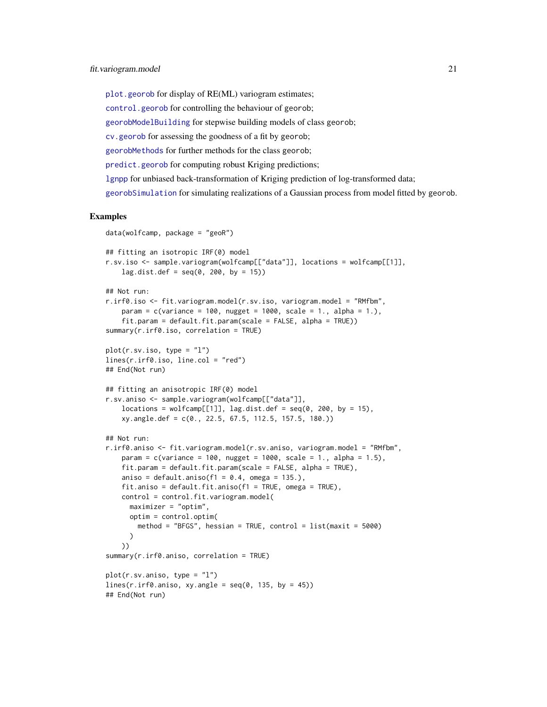[plot.georob](#page-52-1) for display of RE(ML) variogram estimates; [control.georob](#page-2-1) for controlling the behaviour of georob; [georobModelBuilding](#page-27-1) for stepwise building models of class georob; [cv.georob](#page-9-1) for assessing the goodness of a fit by georob; [georobMethods](#page-38-1) for further methods for the class georob; [predict.georob](#page-57-1) for computing robust Kriging predictions; [lgnpp](#page-46-1) for unbiased back-transformation of Kriging prediction of log-transformed data;

[georobSimulation](#page-42-1) for simulating realizations of a Gaussian process from model fitted by georob.

### Examples

```
data(wolfcamp, package = "geoR")
```

```
## fitting an isotropic IRF(0) model
r.sv.iso <- sample.variogram(wolfcamp[["data"]], locations = wolfcamp[[1]],
    lag.dist.def = seq(0, 200, by = 15))## Not run:
r.irf0.iso <- fit.variogram.model(r.sv.iso, variogram.model = "RMfbm",
    param = c(variance = 100, nugget = 1000, scale = 1., alpha = 1.),
    fit.param = default.fit.param(scale = FALSE, alpha = TRUE))
summary(r.irf0.iso, correlation = TRUE)
plot(r.sv.iso, type = "l")
lines(r.irf0.iso, line.col = "red")
## End(Not run)
## fitting an anisotropic IRF(0) model
r.sv.aniso <- sample.variogram(wolfcamp[["data"]],
    locations = wolfcamp[[1]], lag.dist.def = seq(0, 200, by = 15),
   xy.angle.def = c(0., 22.5, 67.5, 112.5, 157.5, 180.))
## Not run:
r.irf0.aniso <- fit.variogram.model(r.sv.aniso, variogram.model = "RMfbm",
    param = c(variance = 100, nugget = 1000, scale = 1., alpha = 1.5),fit.param = default.fit.param(scale = FALSE, alpha = TRUE),
   aniso = default.aniso(f1 = 0.4, omega = 135.),
   fit.aniso = default.fit.aniso(f1 = TRUE, omega = TRUE),
   control = control.fit.variogram.model(
     maximizer = "optim",
     optim = control.optim(
       method = "BFGS", hessian = TRUE, control = list(maxit = 5000)\lambda))
summary(r.irf0.aniso, correlation = TRUE)
plot(r.sv.aniso, type = "l")
lines(r.irf0.aniso, xy.angle = seq(0, 135, by = 45))## End(Not run)
```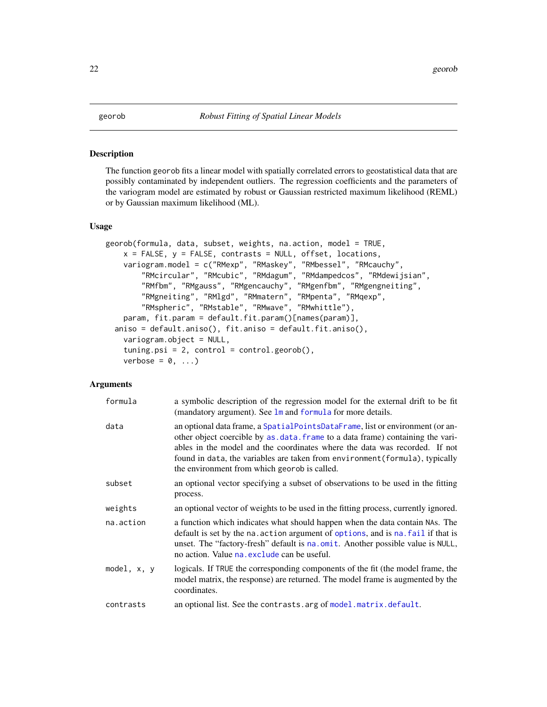### <span id="page-21-1"></span><span id="page-21-0"></span>Description

The function georob fits a linear model with spatially correlated errors to geostatistical data that are possibly contaminated by independent outliers. The regression coefficients and the parameters of the variogram model are estimated by robust or Gaussian restricted maximum likelihood (REML) or by Gaussian maximum likelihood (ML).

### Usage

```
georob(formula, data, subset, weights, na.action, model = TRUE,
    x = FALSE, y = FALSE, contrasts = NULL, offset, locations,
    variogram.model = c("RMexp", "RMaskey", "RMbessel", "RMcauchy",
        "RMcircular", "RMcubic", "RMdagum", "RMdampedcos", "RMdewijsian",
        "RMfbm", "RMgauss", "RMgencauchy", "RMgenfbm", "RMgengneiting",
        "RMgneiting", "RMlgd", "RMmatern", "RMpenta", "RMqexp",
        "RMspheric", "RMstable", "RMwave", "RMwhittle"),
    param, fit.param = default.fit.param()[names(param)],
  aniso = default.aniso(), fit.aniso = default.fit.aniso(),
    variogram.object = NULL,
    tuning.psi = 2, control = control.getorob(),
    verbose = 0, \ldots)
```
### Arguments

| formula       | a symbolic description of the regression model for the external drift to be fit<br>(mandatory argument). See lm and formula for more details.                                                                                                                                                                                                                                 |
|---------------|-------------------------------------------------------------------------------------------------------------------------------------------------------------------------------------------------------------------------------------------------------------------------------------------------------------------------------------------------------------------------------|
| data          | an optional data frame, a SpatialPointsDataFrame, list or environment (or an-<br>other object coercible by as data. frame to a data frame) containing the vari-<br>ables in the model and the coordinates where the data was recorded. If not<br>found in data, the variables are taken from environment (formula), typically<br>the environment from which georob is called. |
| subset        | an optional vector specifying a subset of observations to be used in the fitting<br>process.                                                                                                                                                                                                                                                                                  |
| weights       | an optional vector of weights to be used in the fitting process, currently ignored.                                                                                                                                                                                                                                                                                           |
| na.action     | a function which indicates what should happen when the data contain NAs. The<br>default is set by the na. action argument of options, and is na. fail if that is<br>unset. The "factory-fresh" default is na. omit. Another possible value is NULL,<br>no action. Value na exclude can be useful.                                                                             |
| model, $x, y$ | logicals. If TRUE the corresponding components of the fit (the model frame, the<br>model matrix, the response) are returned. The model frame is augmented by the<br>coordinates.                                                                                                                                                                                              |
| contrasts     | an optional list. See the contrasts. arg of model. matrix. default.                                                                                                                                                                                                                                                                                                           |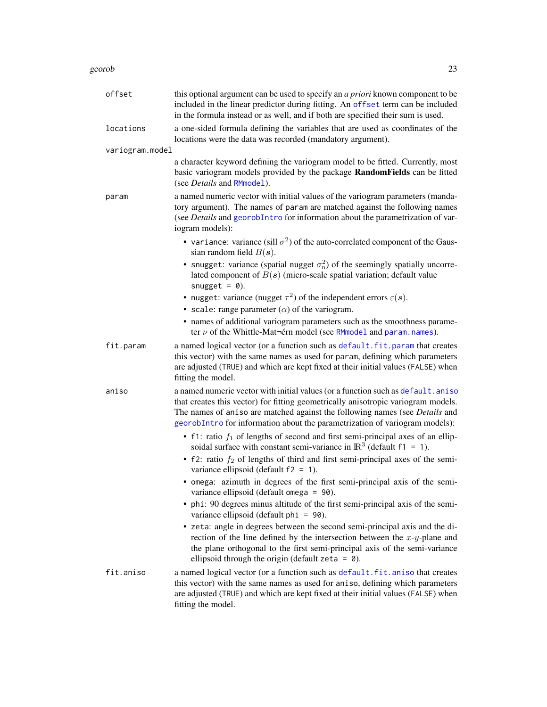### georob 23

| offset          | this optional argument can be used to specify an <i>a priori</i> known component to be<br>included in the linear predictor during fitting. An offset term can be included<br>in the formula instead or as well, and if both are specified their sum is used.                                                                       |
|-----------------|------------------------------------------------------------------------------------------------------------------------------------------------------------------------------------------------------------------------------------------------------------------------------------------------------------------------------------|
| locations       | a one-sided formula defining the variables that are used as coordinates of the<br>locations were the data was recorded (mandatory argument).                                                                                                                                                                                       |
| variogram.model |                                                                                                                                                                                                                                                                                                                                    |
|                 | a character keyword defining the variogram model to be fitted. Currently, most<br>basic variogram models provided by the package RandomFields can be fitted<br>(see <i>Details</i> and RMmodel).                                                                                                                                   |
| param           | a named numeric vector with initial values of the variogram parameters (manda-<br>tory argument). The names of param are matched against the following names<br>(see Details and georobIntro for information about the parametrization of var-<br>iogram models):                                                                  |
|                 | • variance: variance (sill $\sigma^2$ ) of the auto-correlated component of the Gaus-<br>sian random field $B(s)$ .                                                                                                                                                                                                                |
|                 | • snugget: variance (spatial nugget $\sigma_n^2$ ) of the seemingly spatially uncorre-<br>lated component of $B(s)$ (micro-scale spatial variation; default value<br>snugget = $\theta$ ).                                                                                                                                         |
|                 | • nugget: variance (nugget $\tau^2$ ) of the independent errors $\varepsilon(s)$ .                                                                                                                                                                                                                                                 |
|                 | • scale: range parameter $(\alpha)$ of the variogram.                                                                                                                                                                                                                                                                              |
|                 | • names of additional variogram parameters such as the smoothness parame-<br>ter $\nu$ of the Whittle-Mat-érn model (see RMmodel and param. names).                                                                                                                                                                                |
| fit.param       | a named logical vector (or a function such as default.fit.param that creates<br>this vector) with the same names as used for param, defining which parameters<br>are adjusted (TRUE) and which are kept fixed at their initial values (FALSE) when<br>fitting the model.                                                           |
| aniso           | a named numeric vector with initial values (or a function such as default.aniso<br>that creates this vector) for fitting geometrically anisotropic variogram models.<br>The names of aniso are matched against the following names (see Details and<br>georobIntro for information about the parametrization of variogram models): |
|                 | • f1: ratio $f_1$ of lengths of second and first semi-principal axes of an ellip-<br>soidal surface with constant semi-variance in $\mathbb{R}^3$ (default f1 = 1).                                                                                                                                                                |
|                 | • f2: ratio $f_2$ of lengths of third and first semi-principal axes of the semi-<br>variance ellipsoid (default $f2 = 1$ ).                                                                                                                                                                                                        |
|                 | • omega: azimuth in degrees of the first semi-principal axis of the semi-<br>variance ellipsoid (default omega = 90).                                                                                                                                                                                                              |
|                 | • phi: 90 degrees minus altitude of the first semi-principal axis of the semi-<br>variance ellipsoid (default phi = 90).                                                                                                                                                                                                           |
|                 | • zeta: angle in degrees between the second semi-principal axis and the di-<br>rection of the line defined by the intersection between the $x-y$ -plane and<br>the plane orthogonal to the first semi-principal axis of the semi-variance<br>ellipsoid through the origin (default zeta = $\theta$ ).                              |
| fit.aniso       | a named logical vector (or a function such as default.fit.aniso that creates<br>this vector) with the same names as used for aniso, defining which parameters<br>are adjusted (TRUE) and which are kept fixed at their initial values (FALSE) when<br>fitting the model.                                                           |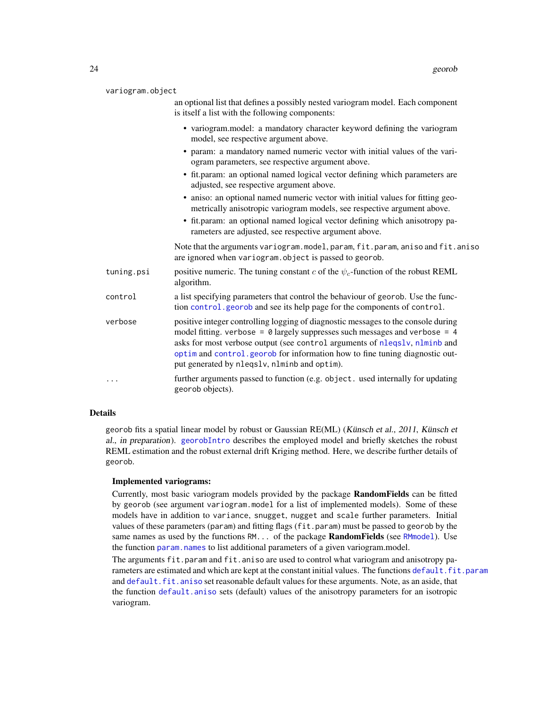| variogram.object |  |
|------------------|--|
|                  |  |

| an optional list that defines a possibly nested variogram model. Each component |  |  |  |
|---------------------------------------------------------------------------------|--|--|--|
| is itself a list with the following components:                                 |  |  |  |

- variogram.model: a mandatory character keyword defining the variogram model, see respective argument above.
- param: a mandatory named numeric vector with initial values of the variogram parameters, see respective argument above.
- fit.param: an optional named logical vector defining which parameters are adjusted, see respective argument above.
- aniso: an optional named numeric vector with initial values for fitting geometrically anisotropic variogram models, see respective argument above.
- fit.param: an optional named logical vector defining which anisotropy parameters are adjusted, see respective argument above.

Note that the arguments variogram.model, param, fit.param, aniso and fit.aniso are ignored when variogram.object is passed to georob.

- tuning.psi positive numeric. The tuning constant c of the  $\psi_c$ -function of the robust REML algorithm.
- control a list specifying parameters that control the behaviour of georob. Use the function [control.georob](#page-2-1) and see its help page for the components of control.
- verbose positive integer controlling logging of diagnostic messages to the console during model fitting. verbose =  $\theta$  largely suppresses such messages and verbose = 4 asks for most verbose output (see control arguments of [nleqslv](#page-0-0), [nlminb](#page-0-0) and [optim](#page-0-0) and [control.georob](#page-2-1) for information how to fine tuning diagnostic output generated by nleqslv, nlminb and optim).
- ... further arguments passed to function (e.g. object. used internally for updating georob objects).

### Details

georob fits a spatial linear model by robust or Gaussian RE(ML) (Künsch et al., 2011, Künsch et al., in preparation). [georobIntro](#page-34-1) describes the employed model and briefly sketches the robust REML estimation and the robust external drift Kriging method. Here, we describe further details of georob.

### Implemented variograms:

Currently, most basic variogram models provided by the package RandomFields can be fitted by georob (see argument variogram.model for a list of implemented models). Some of these models have in addition to variance, snugget, nugget and scale further parameters. Initial values of these parameters (param) and fitting flags (fit.param) must be passed to georob by the same names as used by the functions  $RM$ ... of the package **RandomFields** (see [RMmodel](#page-0-0)). Use the function [param.names](#page-51-1) to list additional parameters of a given variogram.model.

The arguments fit.param and fit.aniso are used to control what variogram and anisotropy parameters are estimated and which are kept at the constant initial values. The functions [default.fit.param](#page-13-1) and [default.fit.aniso](#page-13-1) set reasonable default values for these arguments. Note, as an aside, that the function [default.aniso](#page-13-2) sets (default) values of the anisotropy parameters for an isotropic variogram.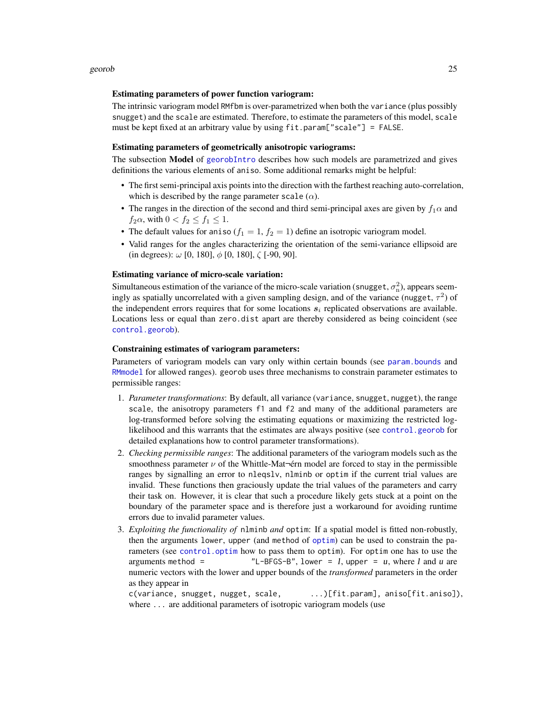### Estimating parameters of power function variogram:

The intrinsic variogram model RMfbm is over-parametrized when both the variance (plus possibly snugget) and the scale are estimated. Therefore, to estimate the parameters of this model, scale must be kept fixed at an arbitrary value by using fit.param["scale"] = FALSE.

### Estimating parameters of geometrically anisotropic variograms:

The subsection Model of [georobIntro](#page-34-1) describes how such models are parametrized and gives definitions the various elements of aniso. Some additional remarks might be helpful:

- The first semi-principal axis points into the direction with the farthest reaching auto-correlation, which is described by the range parameter scale  $(\alpha)$ .
- The ranges in the direction of the second and third semi-principal axes are given by  $f_1\alpha$  and  $f_2\alpha$ , with  $0 < f_2 \le f_1 \le 1$ .
- The default values for aniso ( $f_1 = 1$ ,  $f_2 = 1$ ) define an isotropic variogram model.
- Valid ranges for the angles characterizing the orientation of the semi-variance ellipsoid are (in degrees):  $\omega$  [0, 180],  $\phi$  [0, 180],  $\zeta$  [-90, 90].

### Estimating variance of micro-scale variation:

Simultaneous estimation of the variance of the micro-scale variation (snugget,  $\sigma_n^2$ ), appears seemingly as spatially uncorrelated with a given sampling design, and of the variance (nugget,  $\tau^2$ ) of the independent errors requires that for some locations  $s_i$  replicated observations are available. Locations less or equal than zero.dist apart are thereby considered as being coincident (see [control.georob](#page-2-1)).

### Constraining estimates of variogram parameters:

Parameters of variogram models can vary only within certain bounds (see [param.bounds](#page-51-2) and [RMmodel](#page-0-0) for allowed ranges). georob uses three mechanisms to constrain parameter estimates to permissible ranges:

- 1. *Parameter transformations*: By default, all variance (variance, snugget, nugget), the range scale, the anisotropy parameters f1 and f2 and many of the additional parameters are log-transformed before solving the estimating equations or maximizing the restricted loglikelihood and this warrants that the estimates are always positive (see [control.georob](#page-2-1) for detailed explanations how to control parameter transformations).
- 2. *Checking permissible ranges*: The additional parameters of the variogram models such as the smoothness parameter  $\nu$  of the Whittle-Mat-érn model are forced to stay in the permissible ranges by signalling an error to nleqslv, nlminb or optim if the current trial values are invalid. These functions then graciously update the trial values of the parameters and carry their task on. However, it is clear that such a procedure likely gets stuck at a point on the boundary of the parameter space and is therefore just a workaround for avoiding runtime errors due to invalid parameter values.
- 3. *Exploiting the functionality of* nlminb *and* optim: If a spatial model is fitted non-robustly, then the arguments lower, upper (and method of [optim](#page-0-0)) can be used to constrain the parameters (see [control.optim](#page-2-2) how to pass them to optim). For optim one has to use the arguments method =  $\text{"L-BFGS-B", lower = } I$ , upper = u, where I and u are numeric vectors with the lower and upper bounds of the *transformed* parameters in the order as they appear in

c(variance, snugget, nugget, scale, ...)[fit.param], aniso[fit.aniso]), where ... are additional parameters of isotropic variogram models (use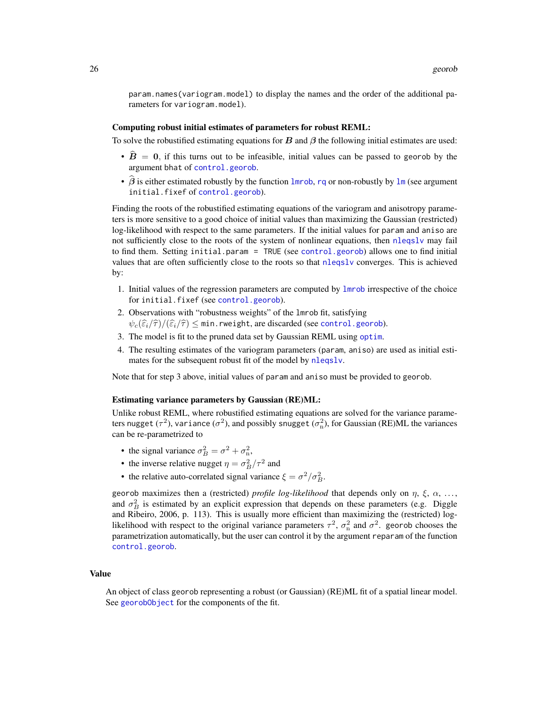param.names(variogram.model) to display the names and the order of the additional parameters for variogram.model).

#### Computing robust initial estimates of parameters for robust REML:

To solve the robustified estimating equations for  $B$  and  $\beta$  the following initial estimates are used:

- $\hat{B} = 0$ , if this turns out to be infeasible, initial values can be passed to georob by the argument bhat of [control.georob](#page-2-1).
- $\hat{\beta}$  is either estimated robustly by the function [lmrob](#page-0-0), [rq](#page-0-0) or non-robustly by [lm](#page-0-0) (see argument initial.fixef of [control.georob](#page-2-1)).

Finding the roots of the robustified estimating equations of the variogram and anisotropy parameters is more sensitive to a good choice of initial values than maximizing the Gaussian (restricted) log-likelihood with respect to the same parameters. If the initial values for param and aniso are not sufficiently close to the roots of the system of nonlinear equations, then [nleqslv](#page-0-0) may fail to find them. Setting initial.param = TRUE (see [control.georob](#page-2-1)) allows one to find initial values that are often sufficiently close to the roots so that [nleqslv](#page-0-0) converges. This is achieved by:

- 1. Initial values of the regression parameters are computed by [lmrob](#page-0-0) irrespective of the choice for initial.fixef (see [control.georob](#page-2-1)).
- 2. Observations with "robustness weights" of the lmrob fit, satisfying  $\psi_c(\widehat{\varepsilon}_i/\widehat{\tau})/(\widehat{\varepsilon}_i/\widehat{\tau}) \leq \min$ .rweight, are discarded (see [control.georob](#page-2-1)).
- 3. The model is fit to the pruned data set by Gaussian REML using [optim](#page-0-0).
- 4. The resulting estimates of the variogram parameters (param, aniso) are used as initial estimates for the subsequent robust fit of the model by [nleqslv](#page-0-0).

Note that for step 3 above, initial values of param and aniso must be provided to georob.

#### Estimating variance parameters by Gaussian (RE)ML:

Unlike robust REML, where robustified estimating equations are solved for the variance parameters nugget  $(\tau^2)$ , variance  $(\sigma^2)$ , and possibly snugget  $(\sigma_\mathrm{n}^2)$ , for Gaussian (RE)ML the variances can be re-parametrized to

- the signal variance  $\sigma_B^2 = \sigma^2 + \sigma_n^2$ ,
- the inverse relative nugget  $\eta = \sigma_B^2/\tau^2$  and
- the relative auto-correlated signal variance  $\xi = \frac{\sigma^2}{\sigma_B^2}$ .

georob maximizes then a (restricted) *profile log-likelihood* that depends only on  $\eta$ ,  $\xi$ ,  $\alpha$ , ..., and  $\sigma_B^2$  is estimated by an explicit expression that depends on these parameters (e.g. Diggle and Ribeiro, 2006, p. 113). This is usually more efficient than maximizing the (restricted) loglikelihood with respect to the original variance parameters  $\tau^2$ ,  $\sigma_{\rm n}^2$  and  $\sigma^2$ . georob chooses the parametrization automatically, but the user can control it by the argument reparam of the function [control.georob](#page-2-1).

### Value

An object of class georob representing a robust (or Gaussian) (RE)ML fit of a spatial linear model. See [georobObject](#page-31-1) for the components of the fit.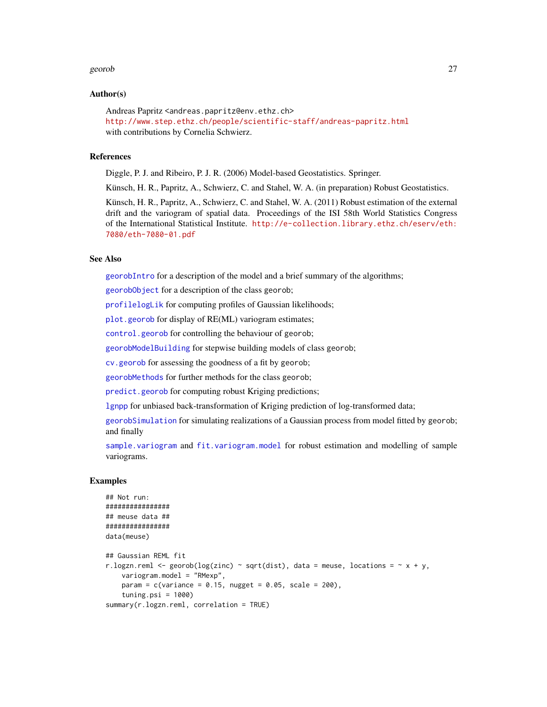### georob 27

### Author(s)

Andreas Papritz <andreas.papritz@env.ethz.ch> <http://www.step.ethz.ch/people/scientific-staff/andreas-papritz.html> with contributions by Cornelia Schwierz.

### References

Diggle, P. J. and Ribeiro, P. J. R. (2006) Model-based Geostatistics. Springer.

Künsch, H. R., Papritz, A., Schwierz, C. and Stahel, W. A. (in preparation) Robust Geostatistics.

Künsch, H. R., Papritz, A., Schwierz, C. and Stahel, W. A. (2011) Robust estimation of the external drift and the variogram of spatial data. Proceedings of the ISI 58th World Statistics Congress of the International Statistical Institute. [http://e-collection.library.ethz.ch/eserv/eth:](http://e-collection.library.ethz.ch/eserv/eth:7080/eth-7080-01.pdf) [7080/eth-7080-01.pdf](http://e-collection.library.ethz.ch/eserv/eth:7080/eth-7080-01.pdf)

### See Also

[georobIntro](#page-34-1) for a description of the model and a brief summary of the algorithms;

[georobObject](#page-31-1) for a description of the class georob;

[profilelogLik](#page-61-1) for computing profiles of Gaussian likelihoods;

[plot.georob](#page-52-1) for display of RE(ML) variogram estimates;

[control.georob](#page-2-1) for controlling the behaviour of georob;

[georobModelBuilding](#page-27-1) for stepwise building models of class georob;

[cv.georob](#page-9-1) for assessing the goodness of a fit by georob;

[georobMethods](#page-38-1) for further methods for the class georob;

[predict.georob](#page-57-1) for computing robust Kriging predictions;

[lgnpp](#page-46-1) for unbiased back-transformation of Kriging prediction of log-transformed data;

[georobSimulation](#page-42-1) for simulating realizations of a Gaussian process from model fitted by georob; and finally

[sample.variogram](#page-63-1) and [fit.variogram.model](#page-15-1) for robust estimation and modelling of sample variograms.

#### Examples

```
## Not run:
################
## meuse data ##
################
data(meuse)
## Gaussian REML fit
r.logzn.reml <- georob(log(zinc) ~ sqrt(dist), data = meuse, locations = \sim x + y,
   variogram.model = "RMexp",
   param = c(variance = 0.15, nugget = 0.05, scale = 200),tuning.psi = 1000summary(r.logzn.reml, correlation = TRUE)
```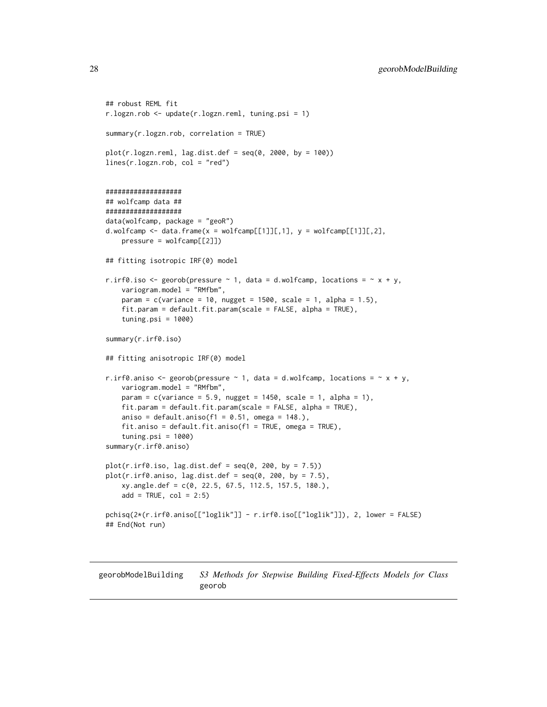```
## robust REML fit
r.logzn.rob <- update(r.logzn.reml, tuning.psi = 1)
summary(r.logzn.rob, correlation = TRUE)
plot(r.logzn.reml, lag.dist.def = seq(0, 2000, by = 100))lines(r.logzn.rob, col = "red")
###################
## wolfcamp data ##
###################
data(wolfcamp, package = "geoR")
d.wolfcamp \leq data.frame(x = wolfcamp[[1]][,1], y = wolfcamp[[1]][,2],
    pressure = wolfcamp[[2]])
## fitting isotropic IRF(0) model
r.irf0.iso <- georob(pressure \sim 1, data = d.wolfcamp, locations = \sim x + y,
    variogram.model = "RMfbm",
    param = c(variance = 10, nugget = 1500, scale = 1, alpha = 1.5),
    fit.param = default.fit.param(scale = FALSE, alpha = TRUE),
    tuning.psi = 1000)
summary(r.irf0.iso)
## fitting anisotropic IRF(0) model
r.irf0.aniso <- georob(pressure \sim 1, data = d.wolfcamp, locations = \sim x + y,
   variogram.model = "RMfbm",
    param = c(variance = 5.9, nugget = 1450, scale = 1, alpha = 1),
    fit.param = default.fit.param(scale = FALSE, alpha = TRUE),
    aniso = default.aniso(f1 = 0.51, omega = 148.),
    fit.aniso = default.fit.aniso(f1 = TRUE, omega = TRUE),
    tuning.psi = 1000)
summary(r.irf0.aniso)
plot(r.irf0.iso, lag.dist.def = seq(0, 200, by = 7.5))plot(r.irf0.aniso, lag.dist.def = seq(0, 200, by = 7.5),xy.angle.def = c(0, 22.5, 67.5, 112.5, 157.5, 180.),
    add = TRUE, col = 2:5)pchisq(2*(r.irf0.aniso[["loglik"]] - r.irf0.iso[["loglik"]]), 2, lower = FALSE)
## End(Not run)
```
<span id="page-27-2"></span><span id="page-27-1"></span>georobModelBuilding *S3 Methods for Stepwise Building Fixed-Effects Models for Class* georob

<span id="page-27-0"></span>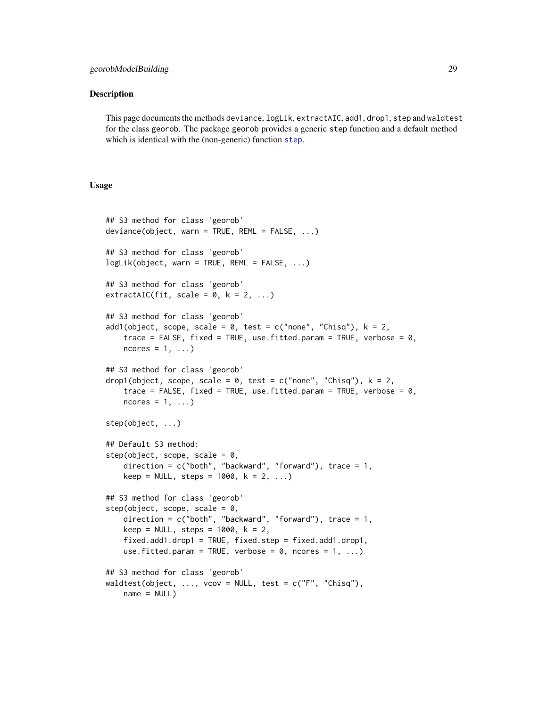### georobModelBuilding 29

### Description

This page documents the methods deviance, logLik, extractAIC, add1, drop1, step and waldtest for the class georob. The package georob provides a generic step function and a default method which is identical with the (non-generic) function [step](#page-27-2).

### Usage

```
## S3 method for class 'georob'
deviance(object, warn = TRUE, REML = FALSE, ...)
## S3 method for class 'georob'
logLik(object, warn = TRUE, REML = FALSE, ...)## S3 method for class 'georob'
extractAIC(fit, scale = 0, k = 2, ...)
## S3 method for class 'georob'
add1(object, scope, scale = 0, test = c("none", "Chisq"), k = 2,
   trace = FALSE, fixed = TRUE, use.fitted.param = TRUE, verbose = 0,
   ncores = 1, ...## S3 method for class 'georob'
drop1(object, scope, scale = 0, test = c("none", "Chisq"), k = 2,
   trace = FALSE, fixed = TRUE, use.fitted.param = TRUE, verbose = 0,
   ncores = 1, ...step(object, ...)
## Default S3 method:
step(object, scope, scale = 0,
   direction = c("both", "backward", "forward"), trace = 1,keep = NULL, steps = 1000, k = 2, ...)## S3 method for class 'georob'
step(object, scope, scale = 0,
   direction = c("both", "backward", "forward"), trace = 1,
   keep = NULL, steps = 1000, k = 2,
   fixed.add1.drop1 = TRUE, fixed.step = fixed.add1.drop1,
   use.fitted.param = TRUE, verbose = 0, ncores = 1, ...)
## S3 method for class 'georob'
waldtest(object, ..., vcov = NULL, test = c("F", "Chisq"),name = NULL)
```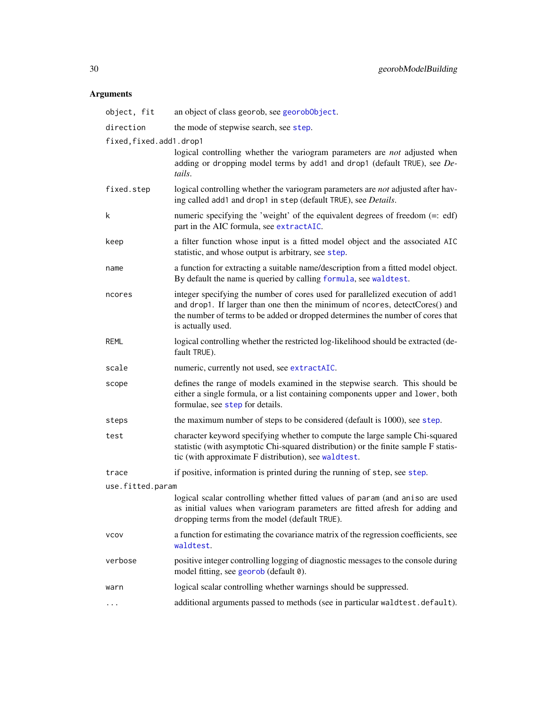### Arguments

| object, fit             | an object of class georob, see georobobject.                                                                                                                                                                                                                         |  |
|-------------------------|----------------------------------------------------------------------------------------------------------------------------------------------------------------------------------------------------------------------------------------------------------------------|--|
| direction               | the mode of stepwise search, see step.                                                                                                                                                                                                                               |  |
| fixed, fixed.add1.drop1 |                                                                                                                                                                                                                                                                      |  |
|                         | logical controlling whether the variogram parameters are <i>not</i> adjusted when<br>adding or dropping model terms by add1 and drop1 (default TRUE), see De-<br>tails.                                                                                              |  |
| fixed.step              | logical controlling whether the variogram parameters are not adjusted after hav-<br>ing called add1 and drop1 in step (default TRUE), see Details.                                                                                                                   |  |
| k                       | numeric specifying the 'weight' of the equivalent degrees of freedom $(=: edf)$<br>part in the AIC formula, see extractAIC.                                                                                                                                          |  |
| keep                    | a filter function whose input is a fitted model object and the associated AIC<br>statistic, and whose output is arbitrary, see step.                                                                                                                                 |  |
| name                    | a function for extracting a suitable name/description from a fitted model object.<br>By default the name is queried by calling formula, see waldtest.                                                                                                                |  |
| ncores                  | integer specifying the number of cores used for parallelized execution of add1<br>and drop1. If larger than one then the minimum of ncores, detectCores() and<br>the number of terms to be added or dropped determines the number of cores that<br>is actually used. |  |
| <b>REML</b>             | logical controlling whether the restricted log-likelihood should be extracted (de-<br>fault TRUE).                                                                                                                                                                   |  |
| scale                   | numeric, currently not used, see extractAIC.                                                                                                                                                                                                                         |  |
| scope                   | defines the range of models examined in the stepwise search. This should be<br>either a single formula, or a list containing components upper and lower, both<br>formulae, see step for details.                                                                     |  |
| steps                   | the maximum number of steps to be considered (default is 1000), see step.                                                                                                                                                                                            |  |
| test                    | character keyword specifying whether to compute the large sample Chi-squared<br>statistic (with asymptotic Chi-squared distribution) or the finite sample F statis-<br>tic (with approximate F distribution), see waldtest.                                          |  |
| trace                   | if positive, information is printed during the running of step, see step.                                                                                                                                                                                            |  |
| use.fitted.param        |                                                                                                                                                                                                                                                                      |  |
|                         | logical scalar controlling whether fitted values of param (and aniso are used<br>as initial values when variogram parameters are fitted afresh for adding and<br>dropping terms from the model (default TRUE).                                                       |  |
| <b>VCOV</b>             | a function for estimating the covariance matrix of the regression coefficients, see<br>waldtest.                                                                                                                                                                     |  |
| verbose                 | positive integer controlling logging of diagnostic messages to the console during<br>model fitting, see georob (default 0).                                                                                                                                          |  |
| warn                    | logical scalar controlling whether warnings should be suppressed.                                                                                                                                                                                                    |  |
| $\ddotsc$               | additional arguments passed to methods (see in particular waldtest.default).                                                                                                                                                                                         |  |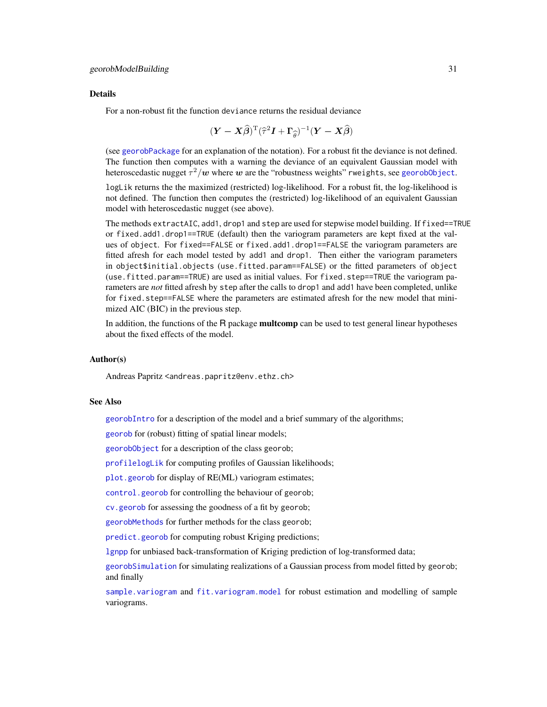### Details

For a non-robust fit the function deviance returns the residual deviance

$$
(\boldsymbol{Y} - \boldsymbol{X}\widehat{\boldsymbol{\beta}})^{\mathrm{T}}(\widehat{\tau}^2\boldsymbol{I} + \boldsymbol{\Gamma}_{\widehat{\boldsymbol{\theta}}})^{-1}(\boldsymbol{Y} - \boldsymbol{X}\widehat{\boldsymbol{\beta}})
$$

(see [georobPackage](#page-34-2) for an explanation of the notation). For a robust fit the deviance is not defined. The function then computes with a warning the deviance of an equivalent Gaussian model with heteroscedastic nugget  $\tau^2/\boldsymbol{w}$  where  $\boldsymbol{w}$  are the "robustness weights" rweights, see georob0bject.

logLik returns the the maximized (restricted) log-likelihood. For a robust fit, the log-likelihood is not defined. The function then computes the (restricted) log-likelihood of an equivalent Gaussian model with heteroscedastic nugget (see above).

The methods extractAIC, add1, drop1 and step are used for stepwise model building. If fixed==TRUE or fixed.add1.drop1==TRUE (default) then the variogram parameters are kept fixed at the values of object. For fixed==FALSE or fixed.add1.drop1==FALSE the variogram parameters are fitted afresh for each model tested by add1 and drop1. Then either the variogram parameters in object\$initial.objects (use.fitted.param==FALSE) or the fitted parameters of object (use.fitted.param==TRUE) are used as initial values. For fixed.step==TRUE the variogram parameters are *not* fitted afresh by step after the calls to drop1 and add1 have been completed, unlike for fixed.step==FALSE where the parameters are estimated afresh for the new model that minimized AIC (BIC) in the previous step.

In addition, the functions of the R package multcomp can be used to test general linear hypotheses about the fixed effects of the model.

### Author(s)

Andreas Papritz <andreas.papritz@env.ethz.ch>

### See Also

[georobIntro](#page-34-1) for a description of the model and a brief summary of the algorithms;

[georob](#page-21-1) for (robust) fitting of spatial linear models;

[georobObject](#page-31-1) for a description of the class georob;

[profilelogLik](#page-61-1) for computing profiles of Gaussian likelihoods;

[plot.georob](#page-52-1) for display of RE(ML) variogram estimates;

[control.georob](#page-2-1) for controlling the behaviour of georob;

[cv.georob](#page-9-1) for assessing the goodness of a fit by georob;

[georobMethods](#page-38-1) for further methods for the class georob;

[predict.georob](#page-57-1) for computing robust Kriging predictions;

[lgnpp](#page-46-1) for unbiased back-transformation of Kriging prediction of log-transformed data;

[georobSimulation](#page-42-1) for simulating realizations of a Gaussian process from model fitted by georob; and finally

[sample.variogram](#page-63-1) and [fit.variogram.model](#page-15-1) for robust estimation and modelling of sample variograms.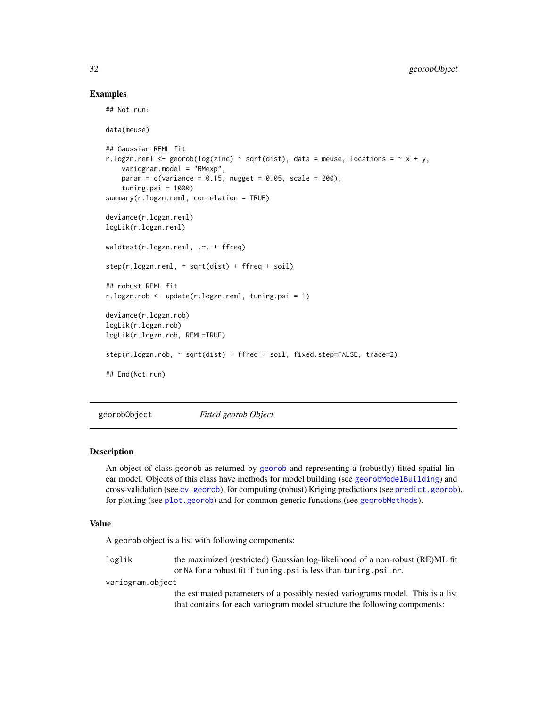### Examples

## Not run:

```
data(meuse)
## Gaussian REML fit
r.logzn.reml <- georob(log(zinc) ~ sqrt(dist), data = meuse, locations = \sim x + y,
   variogram.model = "RMexp",
   param = c(variance = 0.15, nugget = 0.05, scale = 200),tuning.psi = 1000summary(r.logzn.reml, correlation = TRUE)
deviance(r.logzn.reml)
logLik(r.logzn.reml)
waldtest(r.logzn.reml, .~. + ffreq)
step(r.logzn.reml, ~ sqrt(dist) + ffreq + soil)
## robust REML fit
r.logzn.rob <- update(r.logzn.reml, tuning.psi = 1)
deviance(r.logzn.rob)
logLik(r.logzn.rob)
logLik(r.logzn.rob, REML=TRUE)
step(r.logzn.rob, ~ sqrt(dist) + ffreq + soil, fixed.step=FALSE, trace=2)
## End(Not run)
```
<span id="page-31-1"></span>georobObject *Fitted georob Object*

### Description

An object of class georob as returned by [georob](#page-21-1) and representing a (robustly) fitted spatial linear model. Objects of this class have methods for model building (see [georobModelBuilding](#page-27-1)) and cross-validation (see [cv.georob](#page-9-1)), for computing (robust) Kriging predictions (see [predict.georob](#page-57-1)), for plotting (see [plot.georob](#page-52-1)) and for common generic functions (see [georobMethods](#page-38-1)).

### Value

A georob object is a list with following components:

loglik the maximized (restricted) Gaussian log-likelihood of a non-robust (RE)ML fit or NA for a robust fit if tuning.psi is less than tuning.psi.nr. variogram.object

the estimated parameters of a possibly nested variograms model. This is a list that contains for each variogram model structure the following components:

<span id="page-31-0"></span>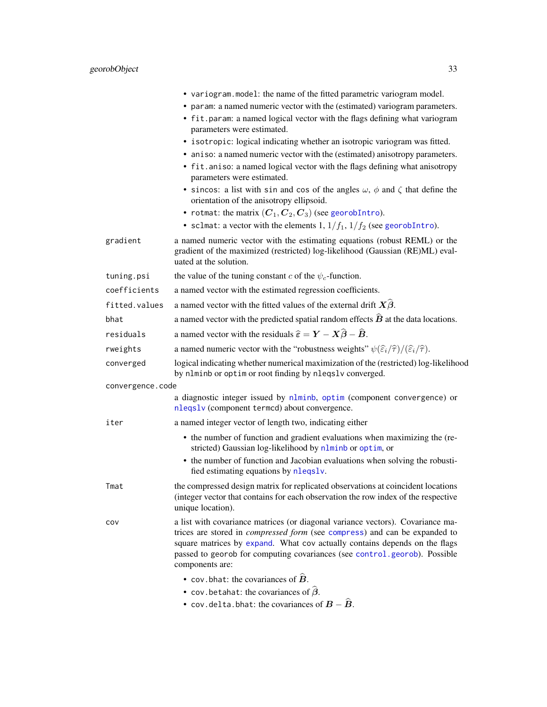|                  | • variogram. model: the name of the fitted parametric variogram model.<br>• param: a named numeric vector with the (estimated) variogram parameters.<br>• fit param: a named logical vector with the flags defining what variogram<br>parameters were estimated.                                                                                  |
|------------------|---------------------------------------------------------------------------------------------------------------------------------------------------------------------------------------------------------------------------------------------------------------------------------------------------------------------------------------------------|
|                  | • isotropic: logical indicating whether an isotropic variogram was fitted.                                                                                                                                                                                                                                                                        |
|                  | • aniso: a named numeric vector with the (estimated) anisotropy parameters.                                                                                                                                                                                                                                                                       |
|                  | • fit. aniso: a named logical vector with the flags defining what anisotropy<br>parameters were estimated.                                                                                                                                                                                                                                        |
|                  | • sincos: a list with sin and cos of the angles $\omega$ , $\phi$ and $\zeta$ that define the<br>orientation of the anisotropy ellipsoid.                                                                                                                                                                                                         |
|                  | • rotmat: the matrix $(C_1, C_2, C_3)$ (see georobIntro).<br>• sclmat: a vector with the elements 1, $1/f_1$ , $1/f_2$ (see georobIntro).                                                                                                                                                                                                         |
| gradient         | a named numeric vector with the estimating equations (robust REML) or the<br>gradient of the maximized (restricted) log-likelihood (Gaussian (RE)ML) eval-<br>uated at the solution.                                                                                                                                                              |
| tuning.psi       | the value of the tuning constant c of the $\psi_c$ -function.                                                                                                                                                                                                                                                                                     |
| coefficients     | a named vector with the estimated regression coefficients.                                                                                                                                                                                                                                                                                        |
| fitted.values    | a named vector with the fitted values of the external drift $X\beta$ .                                                                                                                                                                                                                                                                            |
| bhat             | a named vector with the predicted spatial random effects $\hat{B}$ at the data locations.                                                                                                                                                                                                                                                         |
| residuals        | a named vector with the residuals $\hat{\epsilon} = \mathbf{Y} - \mathbf{X}\hat{\boldsymbol{\beta}} - \hat{\mathbf{B}}$ .                                                                                                                                                                                                                         |
| rweights         | a named numeric vector with the "robustness weights" $\psi(\hat{\varepsilon}_i/\hat{\tau})/(\hat{\varepsilon}_i/\hat{\tau})$ .                                                                                                                                                                                                                    |
| converged        | logical indicating whether numerical maximization of the (restricted) log-likelihood<br>by nlminb or optim or root finding by nleqslv converged.                                                                                                                                                                                                  |
| convergence.code |                                                                                                                                                                                                                                                                                                                                                   |
|                  | a diagnostic integer issued by nlminb, optim (component convergence) or<br>nleqslv (component termcd) about convergence.                                                                                                                                                                                                                          |
| iter             | a named integer vector of length two, indicating either                                                                                                                                                                                                                                                                                           |
|                  | • the number of function and gradient evaluations when maximizing the (re-<br>stricted) Gaussian log-likelihood by nlminb or optim, or                                                                                                                                                                                                            |
|                  | • the number of function and Jacobian evaluations when solving the robusti-<br>fied estimating equations by nleqslv.                                                                                                                                                                                                                              |
| Tmat             | the compressed design matrix for replicated observations at coincident locations<br>(integer vector that contains for each observation the row index of the respective<br>unique location).                                                                                                                                                       |
| cov              | a list with covariance matrices (or diagonal variance vectors). Covariance ma-<br>trices are stored in <i>compressed form</i> (see compress) and can be expanded to<br>square matrices by expand. What cov actually contains depends on the flags<br>passed to georob for computing covariances (see control.georob). Possible<br>components are: |
|                  | • cov. bhat: the covariances of $\hat{B}$ .                                                                                                                                                                                                                                                                                                       |
|                  | • cov. betahat: the covariances of $\hat{\beta}$ .                                                                                                                                                                                                                                                                                                |
|                  | • cov.delta.bhat: the covariances of $B - \hat{B}$ .                                                                                                                                                                                                                                                                                              |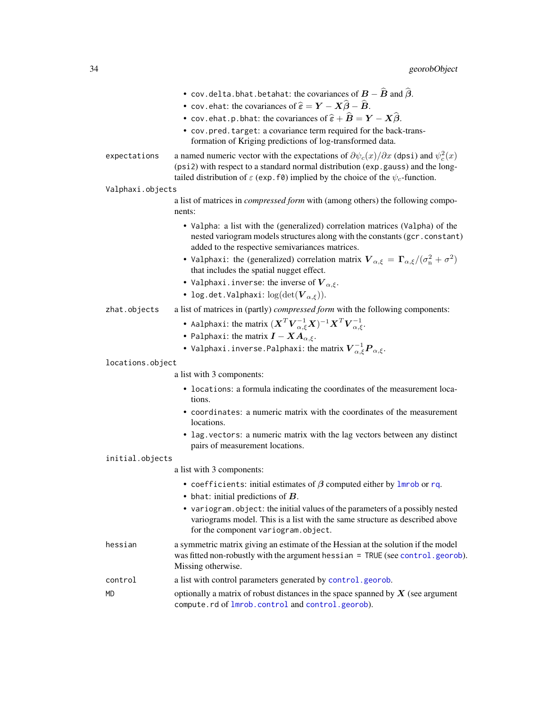|                  | • cov.delta.bhat.betahat: the covariances of $\bm{B}-\widehat{\bm{B}}$ and $\widehat{\bm{\beta}}.$<br>• cov. ehat: the covariances of $\widehat{\epsilon} = \bm{Y} - \bm{X}\widehat{\bm{\beta}} - \widehat{\bm{B}}$ .<br>• cov.ehat.p.bhat: the covariances of $\widehat{\boldsymbol{\varepsilon}}+\widehat{\boldsymbol{B}}=\boldsymbol{Y}-\boldsymbol{X}\widehat{\boldsymbol{\beta}}.$<br>• cov.pred.target: a covariance term required for the back-trans-<br>formation of Kriging predictions of log-transformed data. |
|------------------|---------------------------------------------------------------------------------------------------------------------------------------------------------------------------------------------------------------------------------------------------------------------------------------------------------------------------------------------------------------------------------------------------------------------------------------------------------------------------------------------------------------------------|
| expectations     | a named numeric vector with the expectations of $\partial \psi_c(x)/\partial x$ (dpsi) and $\psi_c^2(x)$<br>(psi2) with respect to a standard normal distribution (exp. gauss) and the long-<br>tailed distribution of $\varepsilon$ (exp. f0) implied by the choice of the $\psi_c$ -function.                                                                                                                                                                                                                           |
| Valphaxi.objects |                                                                                                                                                                                                                                                                                                                                                                                                                                                                                                                           |
|                  | a list of matrices in <i>compressed form</i> with (among others) the following compo-<br>nents:                                                                                                                                                                                                                                                                                                                                                                                                                           |
|                  | • Valpha: a list with the (generalized) correlation matrices (Valpha) of the<br>nested variogram models structures along with the constants (gcr.constant)<br>added to the respective semivariances matrices.                                                                                                                                                                                                                                                                                                             |
|                  | • Valphaxi: the (generalized) correlation matrix $\mathbf{V}_{\alpha,\xi} = \mathbf{\Gamma}_{\alpha,\xi}/(\sigma_{\rm n}^2 + \sigma^2)$<br>that includes the spatial nugget effect.                                                                                                                                                                                                                                                                                                                                       |
|                  | • Valphaxi.inverse: the inverse of $\boldsymbol{V}_{\alpha,\xi}$ .<br>• log.det.Valphaxi: $log(det(\boldsymbol{V}_{\alpha,\xi}))$ .                                                                                                                                                                                                                                                                                                                                                                                       |
| zhat.objects     | a list of matrices in (partly) compressed form with the following components:                                                                                                                                                                                                                                                                                                                                                                                                                                             |
|                  | • Aalphaxi: the matrix $(\boldsymbol{X}^T \boldsymbol{V}_{\alpha,\xi}^{-1} \boldsymbol{X})^{-1} \boldsymbol{X}^T \boldsymbol{V}_{\alpha,\xi}^{-1}$ .                                                                                                                                                                                                                                                                                                                                                                      |
|                  | • Palphaxi: the matrix $\boldsymbol{I} - \boldsymbol{X} \boldsymbol{A}_{\alpha,\xi}$ .                                                                                                                                                                                                                                                                                                                                                                                                                                    |
|                  | • Valphaxi.inverse.Palphaxi: the matrix $\boldsymbol{V}^{-1}_{\alpha,\xi} \boldsymbol{P}_{\alpha,\xi}.$                                                                                                                                                                                                                                                                                                                                                                                                                   |
| locations.object |                                                                                                                                                                                                                                                                                                                                                                                                                                                                                                                           |
|                  | a list with 3 components:                                                                                                                                                                                                                                                                                                                                                                                                                                                                                                 |
|                  | • locations: a formula indicating the coordinates of the measurement loca-<br>tions.                                                                                                                                                                                                                                                                                                                                                                                                                                      |
|                  | • coordinates: a numeric matrix with the coordinates of the measurement<br>locations.                                                                                                                                                                                                                                                                                                                                                                                                                                     |
|                  | • lag. vectors: a numeric matrix with the lag vectors between any distinct<br>pairs of measurement locations.                                                                                                                                                                                                                                                                                                                                                                                                             |
| initial.objects  |                                                                                                                                                                                                                                                                                                                                                                                                                                                                                                                           |
|                  | a list with 3 components:                                                                                                                                                                                                                                                                                                                                                                                                                                                                                                 |
|                  | • coefficients: initial estimates of $\beta$ computed either by Imrob or rq.                                                                                                                                                                                                                                                                                                                                                                                                                                              |

- bhat: initial predictions of  $B$ .
- variogram.object: the initial values of the parameters of a possibly nested variograms model. This is a list with the same structure as described above for the component variogram.object.
- hessian a symmetric matrix giving an estimate of the Hessian at the solution if the model was fitted non-robustly with the argument hessian = TRUE (see [control.georob](#page-2-1)). Missing otherwise.
- control a list with control parameters generated by [control.georob](#page-2-1).
- MD optionally a matrix of robust distances in the space spanned by  $X$  (see argument compute.rd of [lmrob.control](#page-0-0) and [control.georob](#page-2-1)).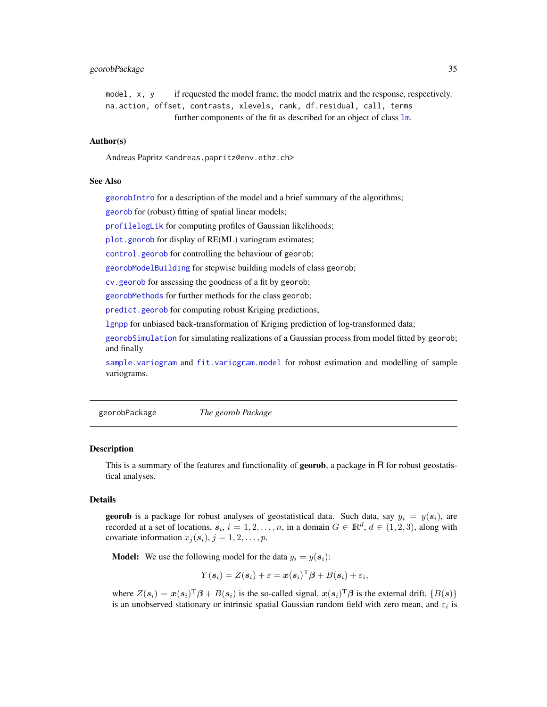### <span id="page-34-0"></span>georobPackage 35

model, x, y if requested the model frame, the model matrix and the response, respectively. na.action, offset, contrasts, xlevels, rank, df.residual, call, te[rms](#page-0-0) further components of the fit as described for an object of class lm.

### Author(s)

Andreas Papritz <andreas.papritz@env.ethz.ch>

### See Also

[georobIntro](#page-34-1) for a description of the model and a brief summary of the algorithms;

[georob](#page-21-1) for (robust) fitting of spatial linear models;

[profilelogLik](#page-61-1) for computing profiles of Gaussian likelihoods;

[plot.georob](#page-52-1) for display of RE(ML) variogram estimates;

[control.georob](#page-2-1) for controlling the behaviour of georob;

[georobModelBuilding](#page-27-1) for stepwise building models of class georob;

[cv.georob](#page-9-1) for assessing the goodness of a fit by georob;

[georobMethods](#page-38-1) for further methods for the class georob;

[predict.georob](#page-57-1) for computing robust Kriging predictions;

[lgnpp](#page-46-1) for unbiased back-transformation of Kriging prediction of log-transformed data;

[georobSimulation](#page-42-1) for simulating realizations of a Gaussian process from model fitted by georob; and finally

[sample.variogram](#page-63-1) and [fit.variogram.model](#page-15-1) for robust estimation and modelling of sample variograms.

<span id="page-34-2"></span>georobPackage *The georob Package*

### <span id="page-34-1"></span>Description

This is a summary of the features and functionality of **georob**, a package in R for robust geostatistical analyses.

### Details

**georob** is a package for robust analyses of geostatistical data. Such data, say  $y_i = y(s_i)$ , are recorded at a set of locations,  $s_i$ ,  $i = 1, 2, ..., n$ , in a domain  $G \in \mathbb{R}^d$ ,  $d \in (1, 2, 3)$ , along with covariate information  $x_j$  ( $s_i$ ),  $j = 1, 2, \ldots, p$ .

**Model:** We use the following model for the data  $y_i = y(s_i)$ :

$$
Y(\boldsymbol{s}_i) = Z(\boldsymbol{s}_i) + \varepsilon = \boldsymbol{x}(\boldsymbol{s}_i)^{\mathrm{T}} \boldsymbol{\beta} + B(\boldsymbol{s}_i) + \varepsilon_i,
$$

where  $Z(s_i) = x(s_i)^T \beta + B(s_i)$  is the so-called signal,  $x(s_i)^T \beta$  is the external drift,  $\{B(s)\}$ is an unobserved stationary or intrinsic spatial Gaussian random field with zero mean, and  $\varepsilon_i$  is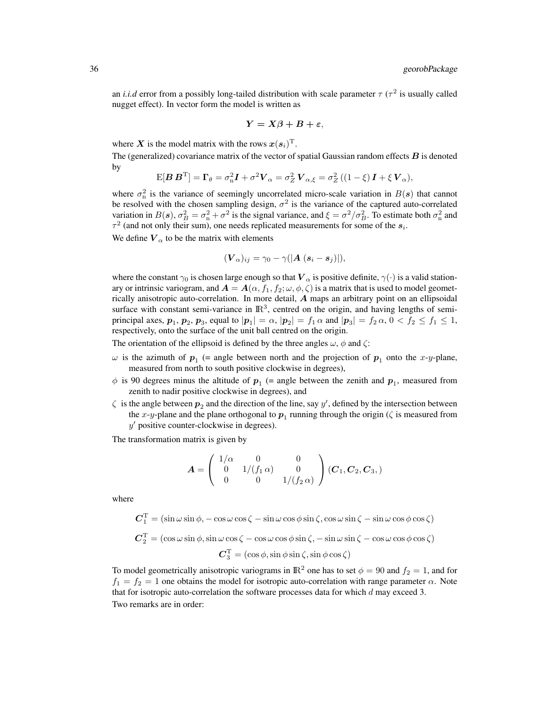an *i.i.d* error from a possibly long-tailed distribution with scale parameter  $\tau$  ( $\tau^2$  is usually called nugget effect). In vector form the model is written as

$$
Y = X\beta + B + \varepsilon,
$$

where X is the model matrix with the rows  $\boldsymbol{x}(\boldsymbol{s}_i)^\mathrm{T}$ .

The (generalized) covariance matrix of the vector of spatial Gaussian random effects  $\boldsymbol{B}$  is denoted by

$$
E[\boldsymbol{B}\boldsymbol{B}^{\mathrm{T}}] = \boldsymbol{\Gamma}_{\theta} = \sigma_{\mathrm{n}}^2 \boldsymbol{I} + \sigma^2 \boldsymbol{V}_{\alpha} = \sigma_Z^2 \boldsymbol{V}_{\alpha,\xi} = \sigma_Z^2 \left( (1 - \xi) \boldsymbol{I} + \xi \boldsymbol{V}_{\alpha} \right),
$$

where  $\sigma_n^2$  is the variance of seemingly uncorrelated micro-scale variation in  $B(s)$  that cannot be resolved with the chosen sampling design,  $\sigma^2$  is the variance of the captured auto-correlated variation in  $B(s)$ ,  $\sigma_B^2 = \sigma_n^2 + \sigma^2$  is the signal variance, and  $\xi = \sigma^2/\sigma_B^2$ . To estimate both  $\sigma_n^2$  and  $\tau^2$  (and not only their sum), one needs replicated measurements for some of the  $s_i$ .

We define  $V_{\alpha}$  to be the matrix with elements

$$
(\boldsymbol{V}_{\alpha})_{ij} = \gamma_0 - \gamma(|\boldsymbol{A}|(\boldsymbol{s}_i - \boldsymbol{s}_j)|),
$$

where the constant  $\gamma_0$  is chosen large enough so that  $V_\alpha$  is positive definite,  $\gamma(\cdot)$  is a valid stationary or intrinsic variogram, and  $A = A(\alpha, f_1, f_2; \omega, \phi, \zeta)$  is a matrix that is used to model geometrically anisotropic auto-correlation. In more detail, A maps an arbitrary point on an ellipsoidal surface with constant semi-variance in  $\mathbb{R}^3$ , centred on the origin, and having lengths of semiprincipal axes,  $p_1$ ,  $p_2$ ,  $p_3$ , equal to  $|\boldsymbol{p}_1| = \alpha$ ,  $|\boldsymbol{p}_2| = f_1 \alpha$  and  $|\boldsymbol{p}_3| = f_2 \alpha$ ,  $0 < f_2 \le f_1 \le 1$ , respectively, onto the surface of the unit ball centred on the origin.

The orientation of the ellipsoid is defined by the three angles  $\omega$ ,  $\phi$  and  $\zeta$ :

- $\omega$  is the azimuth of  $p_1$  (= angle between north and the projection of  $p_1$  onto the x-y-plane, measured from north to south positive clockwise in degrees),
- $\phi$  is 90 degrees minus the altitude of  $p_1$  (= angle between the zenith and  $p_1$ , measured from zenith to nadir positive clockwise in degrees), and
- $\zeta$  is the angle between  $p_2$  and the direction of the line, say y', defined by the intersection between the x-y-plane and the plane orthogonal to  $p_1$  running through the origin ( $\zeta$  is measured from  $y'$  positive counter-clockwise in degrees).

The transformation matrix is given by

$$
\bm{A} = \left( \begin{array}{ccc} 1/\alpha & 0 & 0 \\ 0 & 1/(f_1 \, \alpha) & 0 \\ 0 & 0 & 1/(f_2 \, \alpha) \end{array} \right) (\bm{C}_1, \bm{C}_2, \bm{C}_3, )
$$

where

$$
C_1^{\mathrm{T}} = (\sin \omega \sin \phi, -\cos \omega \cos \zeta - \sin \omega \cos \phi \sin \zeta, \cos \omega \sin \zeta - \sin \omega \cos \phi \cos \zeta)
$$
  

$$
C_2^{\mathrm{T}} = (\cos \omega \sin \phi, \sin \omega \cos \zeta - \cos \omega \cos \phi \sin \zeta, -\sin \omega \sin \zeta - \cos \omega \cos \phi \cos \zeta)
$$
  

$$
C_3^{\mathrm{T}} = (\cos \phi, \sin \phi \sin \zeta, \sin \phi \cos \zeta)
$$

To model geometrically anisotropic variograms in  $\mathbb{R}^2$  one has to set  $\phi = 90$  and  $f_2 = 1$ , and for  $f_1 = f_2 = 1$  one obtains the model for isotropic auto-correlation with range parameter  $\alpha$ . Note that for isotropic auto-correlation the software processes data for which  $d$  may exceed 3. Two remarks are in order: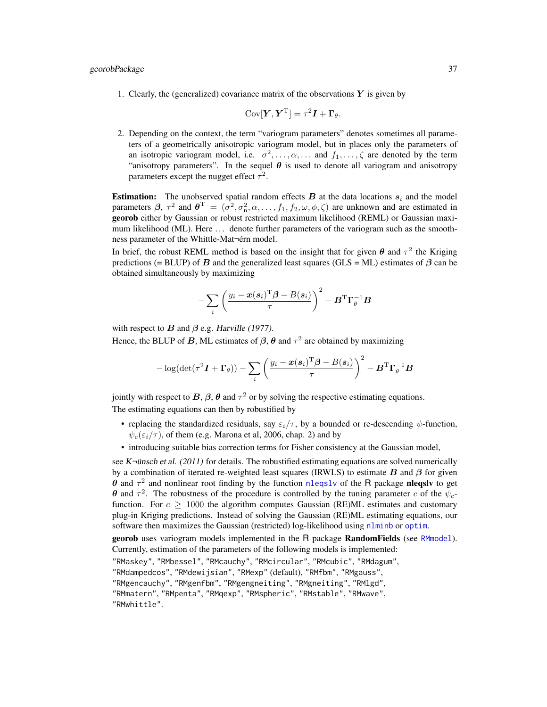1. Clearly, the (generalized) covariance matrix of the observations  $Y$  is given by

$$
Cov[\boldsymbol{Y}, \boldsymbol{Y}^{\mathrm{T}}] = \tau^2 \boldsymbol{I} + \boldsymbol{\Gamma}_{\theta}.
$$

2. Depending on the context, the term "variogram parameters" denotes sometimes all parameters of a geometrically anisotropic variogram model, but in places only the parameters of an isotropic variogram model, i.e.  $\sigma^2, \ldots, \alpha, \ldots$  and  $f_1, \ldots, \zeta$  are denoted by the term "anisotropy parameters". In the sequel  $\theta$  is used to denote all variogram and anisotropy parameters except the nugget effect  $\tau^2$ .

**Estimation:** The unobserved spatial random effects  $B$  at the data locations  $s_i$  and the model parameters  $\beta$ ,  $\tau^2$  and  $\theta^T = (\sigma^2, \sigma_n^2, \alpha, \dots, f_1, f_2, \omega, \phi, \zeta)$  are unknown and are estimated in georob either by Gaussian or robust restricted maximum likelihood (REML) or Gaussian maximum likelihood (ML). Here ... denote further parameters of the variogram such as the smoothness parameter of the Whittle-Mat-érn model.

In brief, the robust REML method is based on the insight that for given  $\theta$  and  $\tau^2$  the Kriging predictions (= BLUP) of B and the generalized least squares (GLS = ML) estimates of  $\beta$  can be obtained simultaneously by maximizing

$$
-\sum_i \left(\frac{y_i-\bm{x}(\bm{s}_i)^{\text{T}}\bm{\beta}-B(\bm{s}_i)}{\tau}\right)^2-\bm{B}^{\text{T}}\bm{\Gamma}_{\theta}^{-1}\bm{B}
$$

with respect to  $B$  and  $\beta$  e.g. Harville (1977). Hence, the BLUP of B, ML estimates of  $\beta$ ,  $\theta$  and  $\tau^2$  are obtained by maximizing

$$
-\log(\det(\tau^2 \boldsymbol I+\boldsymbol\Gamma_{\theta})) - \sum_i \left(\frac{y_i-\boldsymbol x(\boldsymbol s_i)^{\mathrm{T}}\boldsymbol\beta-B(\boldsymbol s_i)}{\tau}\right)^2-\boldsymbol B^{\mathrm{T}}\boldsymbol\Gamma_{\theta}^{-1}\boldsymbol B
$$

jointly with respect to B,  $\beta$ ,  $\theta$  and  $\tau^2$  or by solving the respective estimating equations. The estimating equations can then by robustified by

- replacing the standardized residuals, say  $\varepsilon_i/\tau$ , by a bounded or re-descending  $\psi$ -function,  $\psi_c(\epsilon_i/\tau)$ , of them (e.g. Marona et al, 2006, chap. 2) and by
- introducing suitable bias correction terms for Fisher consistency at the Gaussian model,

see K $\neg$ ünsch et al. (2011) for details. The robustified estimating equations are solved numerically by a combination of iterated re-weighted least squares (IRWLS) to estimate  $B$  and  $\beta$  for given  $\theta$  and  $\tau^2$  and nonlinear root finding by the function [nleqslv](#page-0-0) of the R package nleqslv to get θ and  $τ^2$ . The robustness of the procedure is controlled by the tuning parameter c of the  $ψ_c$ function. For  $c \geq 1000$  the algorithm computes Gaussian (RE)ML estimates and customary plug-in Kriging predictions. Instead of solving the Gaussian (RE)ML estimating equations, our software then maximizes the Gaussian (restricted) log-likelihood using [nlminb](#page-0-0) or [optim](#page-0-0).

georob uses variogram models implemented in the R package RandomFields (see [RMmodel](#page-0-0)). Currently, estimation of the parameters of the following models is implemented: "RMaskey", "RMbessel", "RMcauchy", "RMcircular", "RMcubic", "RMdagum",

```
"RMdampedcos", "RMdewijsian", "RMexp" (default), "RMfbm", "RMgauss",
```

```
"RMgencauchy", "RMgenfbm", "RMgengneiting", "RMgneiting", "RMlgd",
```
"RMmatern", "RMpenta", "RMqexp", "RMspheric", "RMstable", "RMwave", "RMwhittle".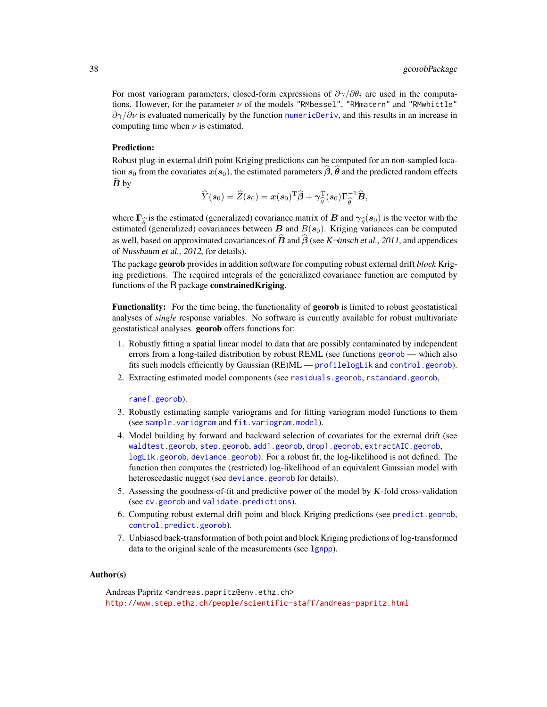For most variogram parameters, closed-form expressions of  $\partial \gamma / \partial \theta_i$  are used in the computations. However, for the parameter  $\nu$  of the models "RMbessel", "RMmatern" and "RMwhittle"  $\partial \gamma/\partial \nu$  is evaluated numerically by the function [numericDeriv](#page-0-0), and this results in an increase in computing time when  $\nu$  is estimated.

## Prediction:

Robust plug-in external drift point Kriging predictions can be computed for an non-sampled location  $s_0$  from the covariates  $x(s_0)$ , the estimated parameters  $\hat{\beta}, \hat{\theta}$  and the predicted random effects  $B<sub>by</sub>$ 

$$
\widehat{Y}(\boldsymbol{s}_0) = \widehat{Z}(\boldsymbol{s}_0) = \boldsymbol{x}(\boldsymbol{s}_0)^{\mathrm{T}} \widehat{\boldsymbol{\beta}} + \boldsymbol{\gamma}_{\widehat{\theta}}^{\mathrm{T}} (\boldsymbol{s}_0) \boldsymbol{\Gamma}_{\widehat{\theta}}^{-1} \widehat{\boldsymbol{B}},
$$

where  $\Gamma_{\hat{\theta}}$  is the estimated (generalized) covariance matrix of B and  $\gamma_{\hat{\theta}}(s_0)$  is the vector with the bestimated (generalized) covariances between B and  $B(s_0)$ . Kriging variances can be computed as well, based on approximated covariances of  $\hat{B}$  and  $\hat{\beta}$  (see K-ünsch et al., 2011, and appendices of Nussbaum et al., 2012, for details).

The package georob provides in addition software for computing robust external drift *block* Kriging predictions. The required integrals of the generalized covariance function are computed by functions of the R package constrainedKriging.

Functionality: For the time being, the functionality of georob is limited to robust geostatistical analyses of *single* response variables. No software is currently available for robust multivariate geostatistical analyses. georob offers functions for:

- 1. Robustly fitting a spatial linear model to data that are possibly contaminated by independent errors from a long-tailed distribution by robust REML (see functions [georob](#page-21-0) — which also fits such models efficiently by Gaussian (RE)ML — [profilelogLik](#page-61-0) and [control.georob](#page-2-0)).
- 2. Extracting estimated model components (see [residuals.georob](#page-38-0), [rstandard.georob](#page-38-0),

[ranef.georob](#page-38-0)).

- 3. Robustly estimating sample variograms and for fitting variogram model functions to them (see [sample.variogram](#page-63-0) and [fit.variogram.model](#page-15-0)).
- 4. Model building by forward and backward selection of covariates for the external drift (see [waldtest.georob](#page-27-0), [step.georob](#page-27-0), [add1.georob](#page-27-0), [drop1.georob](#page-27-0), [extractAIC.georob](#page-27-0), [logLik.georob](#page-27-0), [deviance.georob](#page-27-0)). For a robust fit, the log-likelihood is not defined. The function then computes the (restricted) log-likelihood of an equivalent Gaussian model with heteroscedastic nugget (see [deviance.georob](#page-27-0) for details).
- 5. Assessing the goodness-of-fit and predictive power of the model by K-fold cross-validation (see [cv.georob](#page-9-0) and [validate.predictions](#page-67-0)).
- 6. Computing robust external drift point and block Kriging predictions (see [predict.georob](#page-57-0), [control.predict.georob](#page-57-1)).
- 7. Unbiased back-transformation of both point and block Kriging predictions of log-transformed data to the original scale of the measurements (see 1gnpp).

#### Author(s)

Andreas Papritz <andreas.papritz@env.ethz.ch> <http://www.step.ethz.ch/people/scientific-staff/andreas-papritz.html>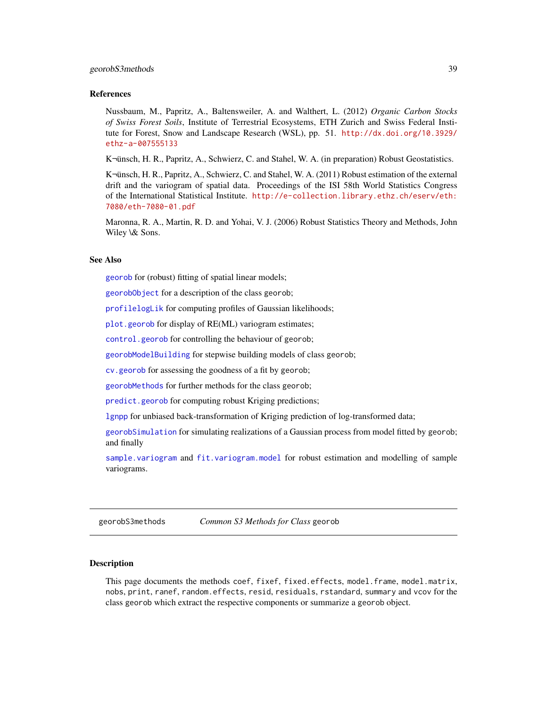# georobS3methods 39

#### References

Nussbaum, M., Papritz, A., Baltensweiler, A. and Walthert, L. (2012) *Organic Carbon Stocks of Swiss Forest Soils*, Institute of Terrestrial Ecosystems, ETH Zurich and Swiss Federal Institute for Forest, Snow and Landscape Research (WSL), pp. 51. [http://dx.doi.org/10.3929/](http://dx.doi.org/10.3929/ethz-a-007555133) [ethz-a-007555133](http://dx.doi.org/10.3929/ethz-a-007555133)

K $\n$ insch, H. R., Papritz, A., Schwierz, C. and Stahel, W. A. (in preparation) Robust Geostatistics.

KŸnsch, H. R., Papritz, A., Schwierz, C. and Stahel, W. A. (2011) Robust estimation of the external drift and the variogram of spatial data. Proceedings of the ISI 58th World Statistics Congress of the International Statistical Institute. [http://e-collection.library.ethz.ch/eserv/eth:](http://e-collection.library.ethz.ch/eserv/eth:7080/eth-7080-01.pdf) [7080/eth-7080-01.pdf](http://e-collection.library.ethz.ch/eserv/eth:7080/eth-7080-01.pdf)

Maronna, R. A., Martin, R. D. and Yohai, V. J. (2006) Robust Statistics Theory and Methods, John Wiley \& Sons.

#### See Also

[georob](#page-21-0) for (robust) fitting of spatial linear models;

[georobObject](#page-31-0) for a description of the class georob;

[profilelogLik](#page-61-0) for computing profiles of Gaussian likelihoods;

[plot.georob](#page-52-0) for display of RE(ML) variogram estimates;

[control.georob](#page-2-0) for controlling the behaviour of georob;

[georobModelBuilding](#page-27-1) for stepwise building models of class georob;

[cv.georob](#page-9-0) for assessing the goodness of a fit by georob;

[georobMethods](#page-38-0) for further methods for the class georob;

[predict.georob](#page-57-0) for computing robust Kriging predictions;

[lgnpp](#page-46-0) for unbiased back-transformation of Kriging prediction of log-transformed data;

[georobSimulation](#page-42-0) for simulating realizations of a Gaussian process from model fitted by georob; and finally

[sample.variogram](#page-63-0) and [fit.variogram.model](#page-15-0) for robust estimation and modelling of sample variograms.

georobS3methods *Common S3 Methods for Class* georob

#### <span id="page-38-0"></span>Description

This page documents the methods coef, fixef, fixed.effects, model.frame, model.matrix, nobs, print, ranef, random.effects, resid, residuals, rstandard, summary and vcov for the class georob which extract the respective components or summarize a georob object.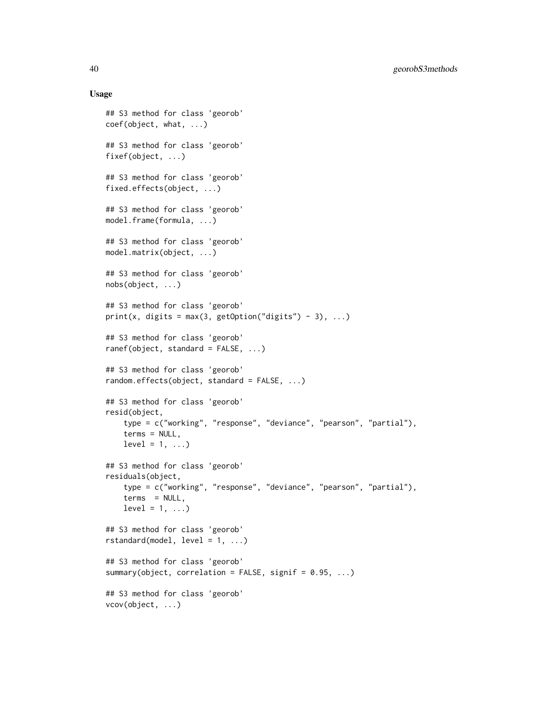## Usage

```
## S3 method for class 'georob'
coef(object, what, ...)
## S3 method for class 'georob'
fixef(object, ...)
## S3 method for class 'georob'
fixed.effects(object, ...)
## S3 method for class 'georob'
model.frame(formula, ...)
## S3 method for class 'georob'
model.matrix(object, ...)
## S3 method for class 'georob'
nobs(object, ...)
## S3 method for class 'georob'
print(x, digits = max(3, getOption("digits") - 3), ...)
## S3 method for class 'georob'
ranef(object, standard = FALSE, ...)## S3 method for class 'georob'
random.effects(object, standard = FALSE, ...)
## S3 method for class 'georob'
resid(object,
    type = c("working", "response", "deviance", "pearson", "partial"),
    terms = NULL,
    level = 1, ...## S3 method for class 'georob'
residuals(object,
    type = c("working", "response", "deviance", "pearson", "partial"),
    terms = NULL,level = 1, ...## S3 method for class 'georob'
rstandard(model, level = 1, ...)
## S3 method for class 'georob'
summary(object, correlation = FALSE, signif = 0.95, ...)
## S3 method for class 'georob'
vcov(object, ...)
```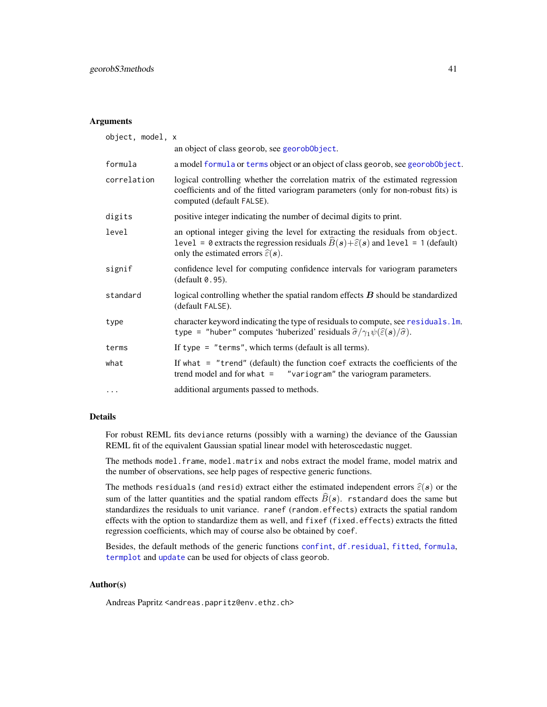# Arguments

| object, model, x |                                                                                                                                                                                                                                              |
|------------------|----------------------------------------------------------------------------------------------------------------------------------------------------------------------------------------------------------------------------------------------|
|                  | an object of class georob, see georobObject.                                                                                                                                                                                                 |
| formula          | a model formula or terms object or an object of class georob, see georob0bject.                                                                                                                                                              |
| correlation      | logical controlling whether the correlation matrix of the estimated regression<br>coefficients and of the fitted variogram parameters (only for non-robust fits) is<br>computed (default FALSE).                                             |
| digits           | positive integer indicating the number of decimal digits to print.                                                                                                                                                                           |
| level            | an optional integer giving the level for extracting the residuals from object.<br>level = 0 extracts the regression residuals $\hat{B}(s) + \hat{\epsilon}(s)$ and level = 1 (default)<br>only the estimated errors $\hat{\varepsilon}(s)$ . |
| signif           | confidence level for computing confidence intervals for variogram parameters<br>(default 0.95).                                                                                                                                              |
| standard         | logical controlling whether the spatial random effects $B$ should be standardized<br>(default FALSE).                                                                                                                                        |
| type             | character keyword indicating the type of residuals to compute, see residuals. Im.<br>type = "huber" computes 'huberized' residuals $\hat{\sigma}/\gamma_1 \psi(\hat{\epsilon}(s)/\hat{\sigma})$ .                                            |
| terms            | If type $=$ "terms", which terms (default is all terms).                                                                                                                                                                                     |
| what             | If what $=$ "trend" (default) the function coef extracts the coefficients of the<br>trend model and for what $=$ "variogram" the variogram parameters.                                                                                       |
| $\cdots$         | additional arguments passed to methods.                                                                                                                                                                                                      |

# Details

For robust REML fits deviance returns (possibly with a warning) the deviance of the Gaussian REML fit of the equivalent Gaussian spatial linear model with heteroscedastic nugget.

The methods model.frame, model.matrix and nobs extract the model frame, model matrix and the number of observations, see help pages of respective generic functions.

The methods residuals (and resid) extract either the estimated independent errors  $\hat{\epsilon}(s)$  or the sum of the latter quantities and the spatial random effects  $\widehat{B}(s)$ . rstandard does the same but standardizes the residuals to unit variance. ranef (random.effects) extracts the spatial random effects with the option to standardize them as well, and fixef (fixed.effects) extracts the fitted regression coefficients, which may of course also be obtained by coef.

Besides, the default methods of the generic functions [confint](#page-0-0), [df.residual](#page-0-0), [fitted](#page-0-0), [formula](#page-0-0), [termplot](#page-0-0) and [update](#page-0-0) can be used for objects of class georob.

# Author(s)

Andreas Papritz <andreas.papritz@env.ethz.ch>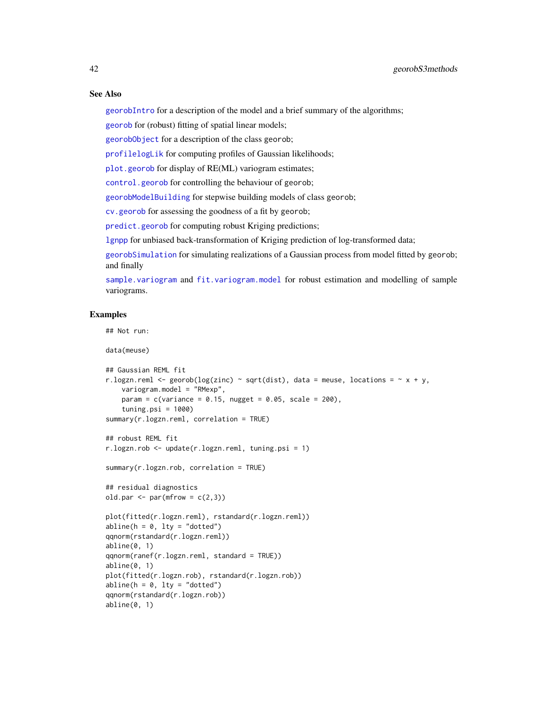#### See Also

[georobIntro](#page-34-0) for a description of the model and a brief summary of the algorithms;

[georob](#page-21-0) for (robust) fitting of spatial linear models;

[georobObject](#page-31-0) for a description of the class georob;

[profilelogLik](#page-61-0) for computing profiles of Gaussian likelihoods;

[plot.georob](#page-52-0) for display of RE(ML) variogram estimates;

[control.georob](#page-2-0) for controlling the behaviour of georob;

[georobModelBuilding](#page-27-1) for stepwise building models of class georob;

[cv.georob](#page-9-0) for assessing the goodness of a fit by georob;

[predict.georob](#page-57-0) for computing robust Kriging predictions;

[lgnpp](#page-46-0) for unbiased back-transformation of Kriging prediction of log-transformed data;

[georobSimulation](#page-42-0) for simulating realizations of a Gaussian process from model fitted by georob; and finally

[sample.variogram](#page-63-0) and [fit.variogram.model](#page-15-0) for robust estimation and modelling of sample variograms.

```
## Not run:
```

```
data(meuse)
## Gaussian REML fit
r.logzn.reml <- georob(log(zinc) ~ sqrt(dist), data = meuse, locations = \sim x + y,
   variogram.model = "RMexp",
   param = c(variance = 0.15, nugget = 0.05, scale = 200),tuning.psi = 1000)
summary(r.logzn.reml, correlation = TRUE)
## robust REML fit
r.logzn.rob <- update(r.logzn.reml, tuning.psi = 1)
summary(r.logzn.rob, correlation = TRUE)
## residual diagnostics
old.par \leq par(mfrow = c(2,3))
plot(fitted(r.logzn.reml), rstandard(r.logzn.reml))
abline(h = 0, lty = "dotted")
qqnorm(rstandard(r.logzn.reml))
abline(0, 1)
qqnorm(ranef(r.logzn.reml, standard = TRUE))
abline(0, 1)
plot(fitted(r.logzn.rob), rstandard(r.logzn.rob))
abline(h = 0, 1ty = "dotted")qqnorm(rstandard(r.logzn.rob))
abline(0, 1)
```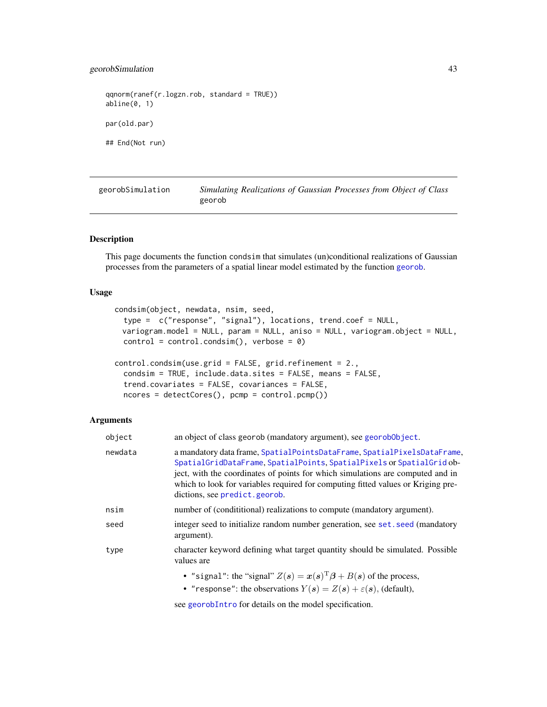# georobSimulation 43

qqnorm(ranef(r.logzn.rob, standard = TRUE)) abline(0, 1) par(old.par) ## End(Not run)

<span id="page-42-0"></span>georobSimulation *Simulating Realizations of Gaussian Processes from Object of Class* georob

### Description

This page documents the function condsim that simulates (un)conditional realizations of Gaussian processes from the parameters of a spatial linear model estimated by the function [georob](#page-21-0).

#### Usage

```
condsim(object, newdata, nsim, seed,
  type = c("response", "signal"), locations, trend.coef = NULL,
 variogram.model = NULL, param = NULL, aniso = NULL, variogram.object = NULL,
 control = control.config(), verbose = 0)
control.condsim(use.grid = FALSE, grid.refinement = 2.,
```

```
condsim = TRUE, include.data.sites = FALSE, means = FALSE,
trend.covariates = FALSE, covariances = FALSE,
ncores = detectCores(), pcmp = control.pcmp())
```
#### Arguments

| object  | an object of class georob (mandatory argument), see georob0bject.                                                                                                                                                                                                                                                                                       |
|---------|---------------------------------------------------------------------------------------------------------------------------------------------------------------------------------------------------------------------------------------------------------------------------------------------------------------------------------------------------------|
| newdata | a mandatory data frame, SpatialPointsDataFrame, SpatialPixelsDataFrame,<br>SpatialGridDataFrame, SpatialPoints, SpatialPixels or SpatialGrid ob-<br>ject, with the coordinates of points for which simulations are computed and in<br>which to look for variables required for computing fitted values or Kriging pre-<br>dictions, see predict.georob. |
| nsim    | number of (condititional) realizations to compute (mandatory argument).                                                                                                                                                                                                                                                                                 |
| seed    | integer seed to initialize random number generation, see set, seed (mandatory<br>argument).                                                                                                                                                                                                                                                             |
| type    | character keyword defining what target quantity should be simulated. Possible<br>values are                                                                                                                                                                                                                                                             |
|         | • "signal": the "signal" $Z(s) = x(s)^T \beta + B(s)$ of the process,<br>• "response": the observations $Y(s) = Z(s) + \varepsilon(s)$ , (default),                                                                                                                                                                                                     |

see [georobIntro](#page-34-0) for details on the model specification.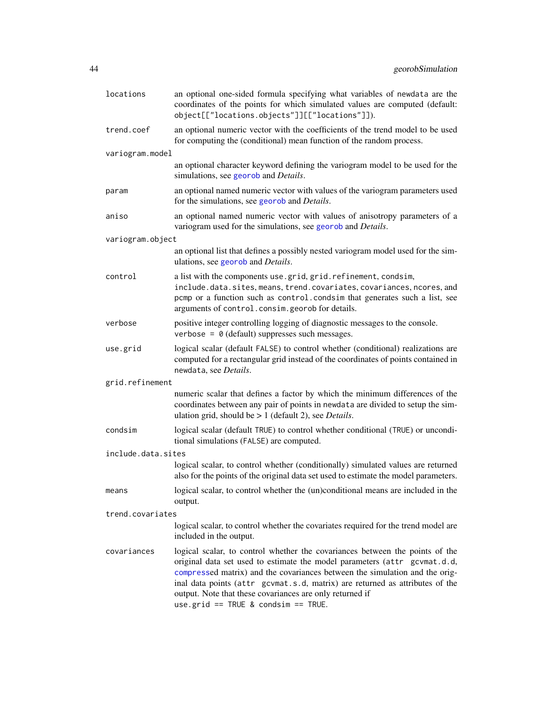| locations          | an optional one-sided formula specifying what variables of newdata are the<br>coordinates of the points for which simulated values are computed (default:<br>object[["locations.objects"]][["locations"]]).                                                                                                                                                                                                                      |
|--------------------|----------------------------------------------------------------------------------------------------------------------------------------------------------------------------------------------------------------------------------------------------------------------------------------------------------------------------------------------------------------------------------------------------------------------------------|
| trend.coef         | an optional numeric vector with the coefficients of the trend model to be used<br>for computing the (conditional) mean function of the random process.                                                                                                                                                                                                                                                                           |
| variogram.model    |                                                                                                                                                                                                                                                                                                                                                                                                                                  |
|                    | an optional character keyword defining the variogram model to be used for the<br>simulations, see georob and Details.                                                                                                                                                                                                                                                                                                            |
| param              | an optional named numeric vector with values of the variogram parameters used<br>for the simulations, see georob and Details.                                                                                                                                                                                                                                                                                                    |
| aniso              | an optional named numeric vector with values of anisotropy parameters of a<br>variogram used for the simulations, see georob and Details.                                                                                                                                                                                                                                                                                        |
| variogram.object   |                                                                                                                                                                                                                                                                                                                                                                                                                                  |
|                    | an optional list that defines a possibly nested variogram model used for the sim-<br>ulations, see georob and <i>Details</i> .                                                                                                                                                                                                                                                                                                   |
| control            | a list with the components use.grid, grid.refinement, condsim,<br>include.data.sites, means, trend.covariates, covariances, ncores, and<br>pcmp or a function such as control. condsim that generates such a list, see<br>arguments of control.consim.georob for details.                                                                                                                                                        |
| verbose            | positive integer controlling logging of diagnostic messages to the console.<br>verbose = $\theta$ (default) suppresses such messages.                                                                                                                                                                                                                                                                                            |
| use.grid           | logical scalar (default FALSE) to control whether (conditional) realizations are<br>computed for a rectangular grid instead of the coordinates of points contained in<br>newdata, see Details.                                                                                                                                                                                                                                   |
| grid.refinement    |                                                                                                                                                                                                                                                                                                                                                                                                                                  |
|                    | numeric scalar that defines a factor by which the minimum differences of the<br>coordinates between any pair of points in newdata are divided to setup the sim-<br>ulation grid, should be $> 1$ (default 2), see <i>Details</i> .                                                                                                                                                                                               |
| condsim            | logical scalar (default TRUE) to control whether conditional (TRUE) or uncondi-<br>tional simulations (FALSE) are computed.                                                                                                                                                                                                                                                                                                      |
| include.data.sites |                                                                                                                                                                                                                                                                                                                                                                                                                                  |
|                    | logical scalar, to control whether (conditionally) simulated values are returned<br>also for the points of the original data set used to estimate the model parameters.                                                                                                                                                                                                                                                          |
| means              | logical scalar, to control whether the (un)conditional means are included in the<br>output.                                                                                                                                                                                                                                                                                                                                      |
| trend.covariates   |                                                                                                                                                                                                                                                                                                                                                                                                                                  |
|                    | logical scalar, to control whether the covariates required for the trend model are<br>included in the output.                                                                                                                                                                                                                                                                                                                    |
| covariances        | logical scalar, to control whether the covariances between the points of the<br>original data set used to estimate the model parameters (attr gcvmat.d.d,<br>compressed matrix) and the covariances between the simulation and the orig-<br>inal data points (attr gcvmat.s.d, matrix) are returned as attributes of the<br>output. Note that these covariances are only returned if<br>use.grid == $TRUE$ & condsim == $TRUE$ . |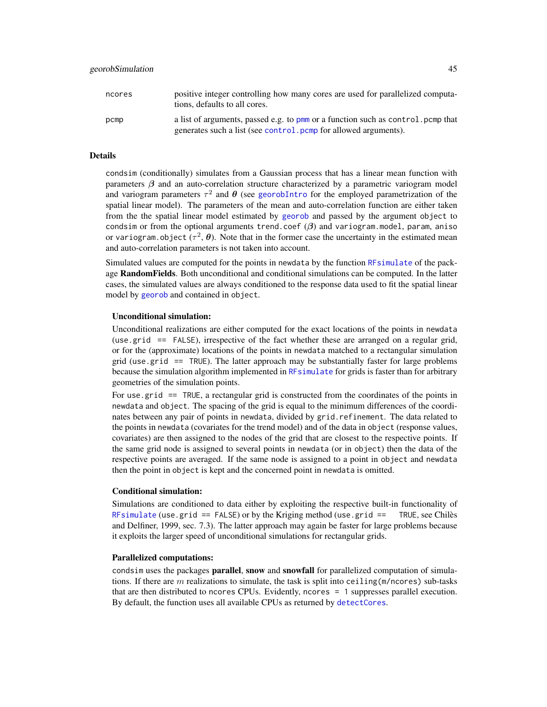| ncores | positive integer controlling how many cores are used for parallelized computa-<br>tions, defaults to all cores.                                      |
|--------|------------------------------------------------------------------------------------------------------------------------------------------------------|
| pcmp   | a list of arguments, passed e.g. to pmm or a function such as control, pcmp that<br>generates such a list (see control, pcmp for allowed arguments). |

## Details

condsim (conditionally) simulates from a Gaussian process that has a linear mean function with parameters  $\beta$  and an auto-correlation structure characterized by a parametric variogram model and variogram parameters  $\tau^2$  and  $\theta$  (see [georobIntro](#page-34-0) for the employed parametrization of the spatial linear model). The parameters of the mean and auto-correlation function are either taken from the the spatial linear model estimated by [georob](#page-21-0) and passed by the argument object to condsim or from the optional arguments trend.coef  $(\beta)$  and variogram.model, param, aniso or variogram.object ( $\tau^2$ ,  $\theta$ ). Note that in the former case the uncertainty in the estimated mean and auto-correlation parameters is not taken into account.

Simulated values are computed for the points in newdata by the function [RFsimulate](#page-0-0) of the package RandomFields. Both unconditional and conditional simulations can be computed. In the latter cases, the simulated values are always conditioned to the response data used to fit the spatial linear model by [georob](#page-21-0) and contained in object.

#### Unconditional simulation:

Unconditional realizations are either computed for the exact locations of the points in newdata (use.grid == FALSE), irrespective of the fact whether these are arranged on a regular grid, or for the (approximate) locations of the points in newdata matched to a rectangular simulation grid (use.grid  $==$  TRUE). The latter approach may be substantially faster for large problems because the simulation algorithm implemented in [RFsimulate](#page-0-0) for grids is faster than for arbitrary geometries of the simulation points.

For use grid == TRUE, a rectangular grid is constructed from the coordinates of the points in newdata and object. The spacing of the grid is equal to the minimum differences of the coordinates between any pair of points in newdata, divided by grid.refinement. The data related to the points in newdata (covariates for the trend model) and of the data in object (response values, covariates) are then assigned to the nodes of the grid that are closest to the respective points. If the same grid node is assigned to several points in newdata (or in object) then the data of the respective points are averaged. If the same node is assigned to a point in object and newdata then the point in object is kept and the concerned point in newdata is omitted.

#### Conditional simulation:

Simulations are conditioned to data either by exploiting the respective built-in functionality of [RFsimulate](#page-0-0) (use.grid == FALSE) or by the Kriging method (use.grid == TRUE, see Chilès and Delfiner, 1999, sec. 7.3). The latter approach may again be faster for large problems because it exploits the larger speed of unconditional simulations for rectangular grids.

#### Parallelized computations:

condsim uses the packages **parallel, snow** and **snowfall** for parallelized computation of simulations. If there are  $m$  realizations to simulate, the task is split into ceiling( $m/ncores$ ) sub-tasks that are then distributed to ncores CPUs. Evidently, ncores = 1 suppresses parallel execution. By default, the function uses all available CPUs as returned by [detectCores](#page-0-0).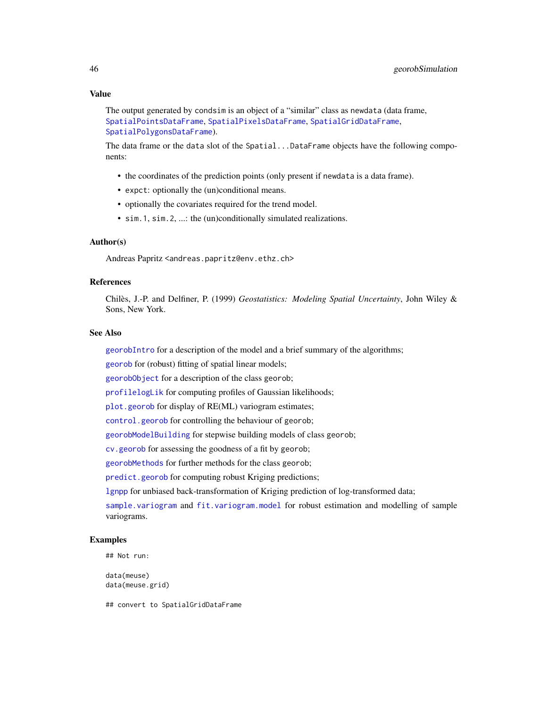```
The output generated by condsim is an object of a "similar" class as newdata (data frame,
SpatialPointsDataFrame, SpatialPixelsDataFrame, SpatialGridDataFrame,
SpatialPolygonsDataFrame).
```
The data frame or the data slot of the Spatial...DataFrame objects have the following components:

- the coordinates of the prediction points (only present if newdata is a data frame).
- expct: optionally the (un)conditional means.
- optionally the covariates required for the trend model.
- sim.1, sim.2, ...: the (un)conditionally simulated realizations.

#### Author(s)

Andreas Papritz <andreas.papritz@env.ethz.ch>

#### References

Chilès, J.-P. and Delfiner, P. (1999) *Geostatistics: Modeling Spatial Uncertainty*, John Wiley & Sons, New York.

## See Also

[georobIntro](#page-34-0) for a description of the model and a brief summary of the algorithms;

[georob](#page-21-0) for (robust) fitting of spatial linear models;

[georobObject](#page-31-0) for a description of the class georob;

[profilelogLik](#page-61-0) for computing profiles of Gaussian likelihoods;

[plot.georob](#page-52-0) for display of RE(ML) variogram estimates;

[control.georob](#page-2-0) for controlling the behaviour of georob;

[georobModelBuilding](#page-27-1) for stepwise building models of class georob;

[cv.georob](#page-9-0) for assessing the goodness of a fit by georob;

[georobMethods](#page-38-0) for further methods for the class georob;

[predict.georob](#page-57-0) for computing robust Kriging predictions;

[lgnpp](#page-46-0) for unbiased back-transformation of Kriging prediction of log-transformed data;

[sample.variogram](#page-63-0) and [fit.variogram.model](#page-15-0) for robust estimation and modelling of sample variograms.

#### Examples

```
## Not run:
```
data(meuse) data(meuse.grid)

## convert to SpatialGridDataFrame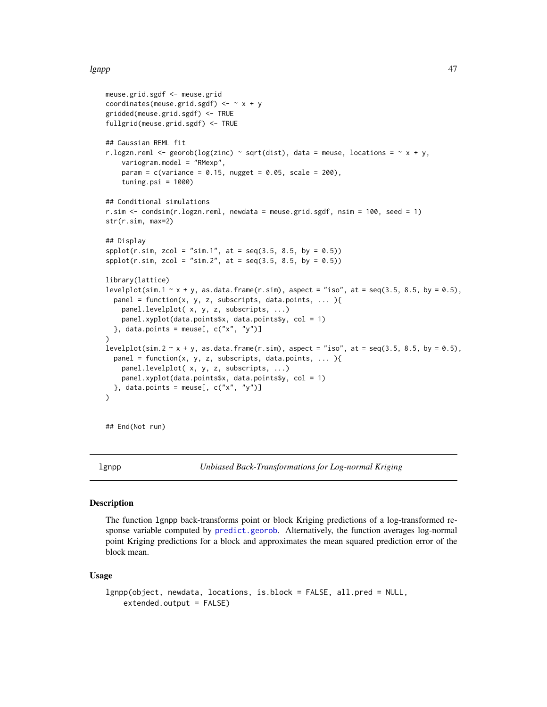#### lgnpp and the set of the set of the set of the set of the set of the set of the set of the set of the set of t

```
meuse.grid.sgdf <- meuse.grid
coordinates(meuse.grid.sgdf) <- x + ygridded(meuse.grid.sgdf) <- TRUE
fullgrid(meuse.grid.sgdf) <- TRUE
## Gaussian REML fit
r.logzn.reml <- georob(log(zinc) ~ sqrt(dist), data = meuse, locations = \sim x + y,
    variogram.model = "RMexp",
   param = c(variance = 0.15, nugget = 0.05, scale = 200),tuning.psi = 1000)
## Conditional simulations
r.sim <- condsim(r.logzn.reml, newdata = meuse.grid.sgdf, nsim = 100, seed = 1)
str(r.sim, max=2)
## Display
spplot(r.sim, zcol = "sim.1", at = seq(3.5, 8.5, by = 0.5))spplot(r.sim, zcol = "sim.2", at = seq(3.5, 8.5, by = 0.5))library(lattice)
levelplot(sim.1 \sim x + y, as.data.frame(r.sim), aspect = "iso", at = seq(3.5, 8.5, by = 0.5),
 panel = function(x, y, z, subscripts, data.points, ... ){
   panel.levelplot( x, y, z, subscripts, ...)
   panel.xyplot(data.points$x, data.points$y, col = 1)
 }, data.points = meuse[, c("x", "y")]
)
levelplot(sim.2 \sim x + y, as.data.frame(r.sim), aspect = "iso", at = seq(3.5, 8.5, by = 0.5),
 panel = function(x, y, z, subscripts, data.points, ... ){
   panel.levelplot( x, y, z, subscripts, ...)
   panel.xyplot(data.points$x, data.points$y, col = 1)
 }, data.points = meuse[, c("x", "y")]
\lambda
```
## End(Not run)

<span id="page-46-0"></span>lgnpp *Unbiased Back-Transformations for Log-normal Kriging*

#### Description

The function lgnpp back-transforms point or block Kriging predictions of a log-transformed response variable computed by [predict.georob](#page-57-0). Alternatively, the function averages log-normal point Kriging predictions for a block and approximates the mean squared prediction error of the block mean.

## Usage

```
lgnpp(object, newdata, locations, is.block = FALSE, all.pred = NULL,
   extended.output = FALSE)
```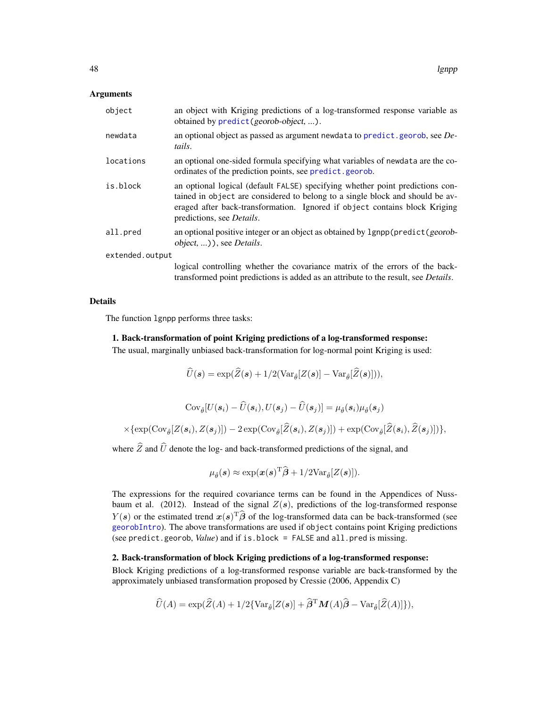#### Arguments

| object          | an object with Kriging predictions of a log-transformed response variable as<br>obtained by predict (georob-object, ).                                                                                                                                                            |
|-----------------|-----------------------------------------------------------------------------------------------------------------------------------------------------------------------------------------------------------------------------------------------------------------------------------|
| newdata         | an optional object as passed as argument newdata to predict. georob, see De-<br>tails.                                                                                                                                                                                            |
| locations       | an optional one-sided formula specifying what variables of newdata are the co-<br>ordinates of the prediction points, see predict.georob.                                                                                                                                         |
| is.block        | an optional logical (default FALSE) specifying whether point predictions con-<br>tained in object are considered to belong to a single block and should be av-<br>eraged after back-transformation. Ignored if object contains block Kriging<br>predictions, see <i>Details</i> . |
| all.pred        | an optional positive integer or an object as obtained by 1gnpp (predict (georob-<br>object, )), see <i>Details</i> .                                                                                                                                                              |
| extended.output |                                                                                                                                                                                                                                                                                   |
|                 | logical controlling whether the covariance matrix of the errors of the back-<br>transformed point predictions is added as an attribute to the result, see <i>Details</i> .                                                                                                        |

## Details

The function lgnpp performs three tasks:

# 1. Back-transformation of point Kriging predictions of a log-transformed response:

The usual, marginally unbiased back-transformation for log-normal point Kriging is used:

$$
U(\boldsymbol{s}) = \exp(Z(\boldsymbol{s}) + 1/2(\text{Var}_{\hat{\theta}}[Z(\boldsymbol{s})] - \text{Var}_{\hat{\theta}}[Z(\boldsymbol{s})])),
$$

$$
\text{Cov}_{\hat{\theta}}[U(\mathbf{s}_i) - \widehat{U}(\mathbf{s}_i), U(\mathbf{s}_j) - \widehat{U}(\mathbf{s}_j)] = \mu_{\hat{\theta}}(\mathbf{s}_i)\mu_{\hat{\theta}}(\mathbf{s}_j)
$$

$$
\times \{\exp(\text{Cov}_{\hat{\theta}}[Z(\mathbf{s}_i), Z(\mathbf{s}_j)]) - 2\exp(\text{Cov}_{\hat{\theta}}[\widehat{Z}(\mathbf{s}_i), Z(\mathbf{s}_j)]) + \exp(\text{Cov}_{\hat{\theta}}[\widehat{Z}(\mathbf{s}_i), \widehat{Z}(\mathbf{s}_j)])\},
$$

where  $\hat{Z}$  and  $\hat{U}$  denote the log- and back-transformed predictions of the signal, and

$$
\mu_{\hat{\theta}}(\boldsymbol{s}) \approx \exp(\boldsymbol{x}(\boldsymbol{s})^{\mathrm{T}} \widehat{\boldsymbol{\beta}} + 1/2 \mathrm{Var}_{\hat{\theta}}[Z(\boldsymbol{s})]).
$$

The expressions for the required covariance terms can be found in the Appendices of Nussbaum et al. (2012). Instead of the signal  $Z(s)$ , predictions of the log-transformed response  $Y(s)$  or the estimated trend  $x(s)$ <sup>T</sup> $\hat{\beta}$  of the log-transformed data can be back-transformed (see [georobIntro](#page-34-0)). The above transformations are used if object contains point Kriging predictions (see predict.georob, *Value*) and if is.block = FALSE and all.pred is missing.

## 2. Back-transformation of block Kriging predictions of a log-transformed response:

Block Kriging predictions of a log-transformed response variable are back-transformed by the approximately unbiased transformation proposed by Cressie (2006, Appendix C)

$$
\widehat{U}(A) = \exp(\widehat{Z}(A) + 1/2\{\text{Var}_{\widehat{\theta}}[Z(\boldsymbol{s})] + \widehat{\boldsymbol{\beta}}^{\mathrm{T}}\boldsymbol{M}(A)\widehat{\boldsymbol{\beta}} - \text{Var}_{\widehat{\theta}}[\widehat{Z}(A)]\}),
$$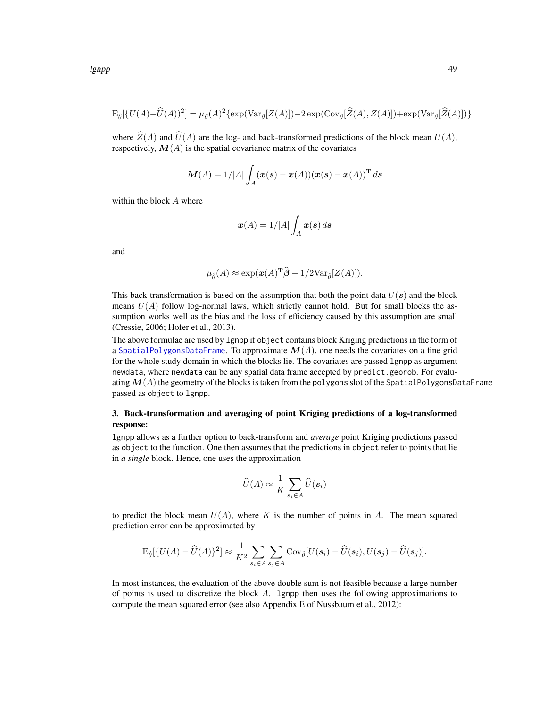$$
\mathcal{E}_{\hat{\theta}}[\{U(A) - \hat{U}(A))^2\} = \mu_{\hat{\theta}}(A)^2 \{ \exp(\text{Var}_{\hat{\theta}}[Z(A)]) - 2 \exp(\text{Cov}_{\hat{\theta}}[\hat{Z}(A), Z(A)]) + \exp(\text{Var}_{\hat{\theta}}[\hat{Z}(A)]) \}
$$

where  $\hat{Z}(A)$  and  $\hat{U}(A)$  are the log- and back-transformed predictions of the block mean  $U(A)$ , respectively,  $M(A)$  is the spatial covariance matrix of the covariates

$$
\boldsymbol{M}(A) = 1/|A| \int_A (\boldsymbol{x}(s)-\boldsymbol{x}(A)) (\boldsymbol{x}(s)-\boldsymbol{x}(A))^{\mathrm{T}} \, d s
$$

within the block A where

$$
\boldsymbol{x}(A) = 1/|A| \int_A \boldsymbol{x}(s) \, d\boldsymbol{s}
$$

and

$$
\mu_{\hat{\theta}}(A) \approx \exp(\boldsymbol{x}(A)^{\mathrm{T}} \widehat{\boldsymbol{\beta}} + 1/2 \mathrm{Var}_{\hat{\theta}}[Z(A)]).
$$

This back-transformation is based on the assumption that both the point data  $U(s)$  and the block means  $U(A)$  follow log-normal laws, which strictly cannot hold. But for small blocks the assumption works well as the bias and the loss of efficiency caused by this assumption are small (Cressie, 2006; Hofer et al., 2013).

The above formulae are used by lgnpp if object contains block Kriging predictions in the form of a [SpatialPolygonsDataFrame](#page-0-0). To approximate  $M(A)$ , one needs the covariates on a fine grid for the whole study domain in which the blocks lie. The covariates are passed lgnpp as argument newdata, where newdata can be any spatial data frame accepted by predict.georob. For evaluating  $M(A)$  the geometry of the blocks is taken from the polygons slot of the SpatialPolygonsDataFrame passed as object to lgnpp.

# 3. Back-transformation and averaging of point Kriging predictions of a log-transformed response:

lgnpp allows as a further option to back-transform and *average* point Kriging predictions passed as object to the function. One then assumes that the predictions in object refer to points that lie in *a single* block. Hence, one uses the approximation

$$
\widehat{U}(A) \approx \frac{1}{K} \sum_{s_i \in A} \widehat{U}(\boldsymbol{s}_i)
$$

to predict the block mean  $U(A)$ , where K is the number of points in A. The mean squared prediction error can be approximated by

$$
\mathrm{E}_{\hat{\theta}}[\{U(A)-\widehat{U}(A)\}^2] \approx \frac{1}{K^2} \sum_{s_i \in A} \sum_{s_j \in A} \mathrm{Cov}_{\hat{\theta}}[U(\boldsymbol{s}_i)-\widehat{U}(\boldsymbol{s}_i), U(\boldsymbol{s}_j)-\widehat{U}(\boldsymbol{s}_j)].
$$

In most instances, the evaluation of the above double sum is not feasible because a large number of points is used to discretize the block A. lgnpp then uses the following approximations to compute the mean squared error (see also Appendix E of Nussbaum et al., 2012):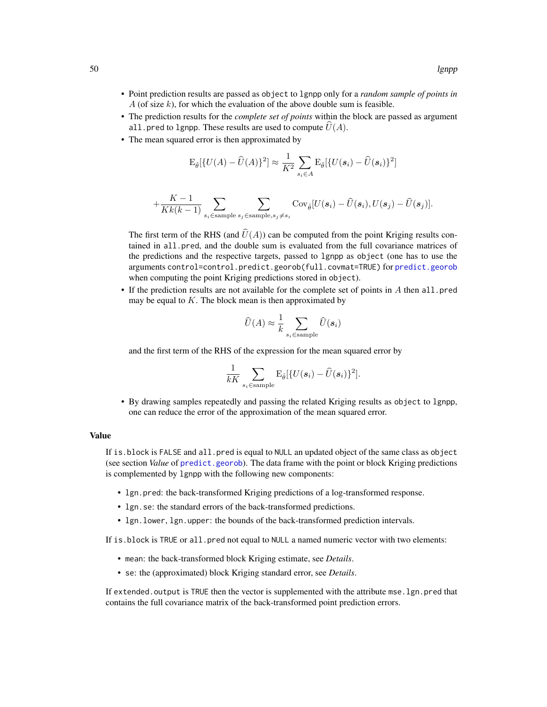- Point prediction results are passed as object to lgnpp only for a *random sample of points in* A (of size  $k$ ), for which the evaluation of the above double sum is feasible.
- The prediction results for the *complete set of points* within the block are passed as argument all.pred to lgnpp. These results are used to compute  $U(A)$ .
- The mean squared error is then approximated by

$$
\mathrm{E}_{\hat{\theta}}[\{U(A) - \widehat{U}(A)\}^2] \approx \frac{1}{K^2} \sum_{s_i \in A} \mathrm{E}_{\hat{\theta}}[\{U(\mathbf{s}_i) - \widehat{U}(\mathbf{s}_i)\}^2]
$$

$$
+\frac{K-1}{Kk(k-1)}\sum_{s_i \in \text{sample } s_j \in \text{sample}, s_j \neq s_i} \text{Cov}_{\hat{\theta}}[U(\boldsymbol{s}_i) - \widehat{U}(\boldsymbol{s}_i), U(\boldsymbol{s}_j) - \widehat{U}(\boldsymbol{s}_j)].
$$

The first term of the RHS (and  $\hat{U}(A)$ ) can be computed from the point Kriging results contained in all.pred, and the double sum is evaluated from the full covariance matrices of the predictions and the respective targets, passed to lgnpp as object (one has to use the arguments control=control.predict.georob(full.covmat=TRUE) for [predict.georob](#page-57-0) when computing the point Kriging predictions stored in object).

• If the prediction results are not available for the complete set of points in A then all.pred may be equal to  $K$ . The block mean is then approximated by

$$
\widehat{U}(A) \approx \frac{1}{k} \sum_{s_i \in \text{sample}} \widehat{U}(\boldsymbol{s}_i)
$$

and the first term of the RHS of the expression for the mean squared error by

$$
\frac{1}{kK} \sum_{s_i \in \text{sample}} \mathbf{E}_{\hat{\theta}}[\{U(\mathbf{s}_i) - \widehat{U}(\mathbf{s}_i)\}^2].
$$

• By drawing samples repeatedly and passing the related Kriging results as object to lgnpp, one can reduce the error of the approximation of the mean squared error.

## Value

If is.block is FALSE and all.pred is equal to NULL an updated object of the same class as object (see section *Value* of [predict.georob](#page-57-0)). The data frame with the point or block Kriging predictions is complemented by lgnpp with the following new components:

- lgn.pred: the back-transformed Kriging predictions of a log-transformed response.
- lgn.se: the standard errors of the back-transformed predictions.
- lgn.lower, lgn.upper: the bounds of the back-transformed prediction intervals.

If is.block is TRUE or all.pred not equal to NULL a named numeric vector with two elements:

- mean: the back-transformed block Kriging estimate, see *Details*.
- se: the (approximated) block Kriging standard error, see *Details*.

If extended, output is TRUE then the vector is supplemented with the attribute mse, 1gn, pred that contains the full covariance matrix of the back-transformed point prediction errors.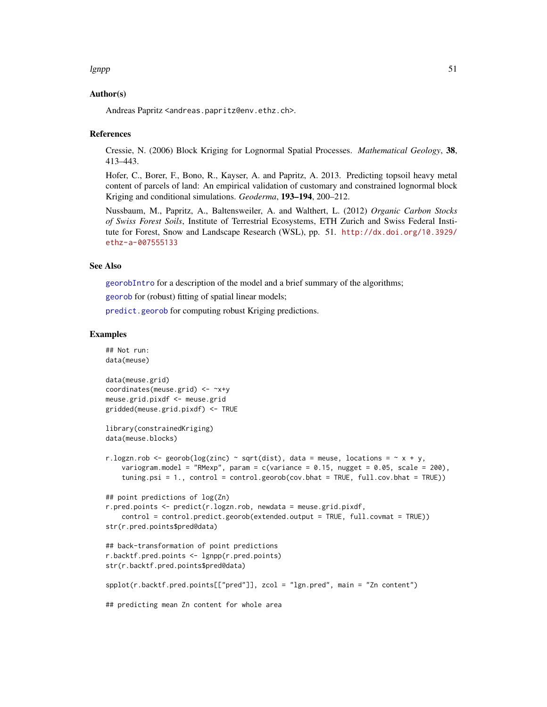#### lgnpp 51

## Author(s)

Andreas Papritz <andreas.papritz@env.ethz.ch>.

#### References

Cressie, N. (2006) Block Kriging for Lognormal Spatial Processes. *Mathematical Geology*, 38, 413–443.

Hofer, C., Borer, F., Bono, R., Kayser, A. and Papritz, A. 2013. Predicting topsoil heavy metal content of parcels of land: An empirical validation of customary and constrained lognormal block Kriging and conditional simulations. *Geoderma*, 193–194, 200–212.

Nussbaum, M., Papritz, A., Baltensweiler, A. and Walthert, L. (2012) *Organic Carbon Stocks of Swiss Forest Soils*, Institute of Terrestrial Ecosystems, ETH Zurich and Swiss Federal Institute for Forest, Snow and Landscape Research (WSL), pp. 51. [http://dx.doi.org/10.3929/](http://dx.doi.org/10.3929/ethz-a-007555133) [ethz-a-007555133](http://dx.doi.org/10.3929/ethz-a-007555133)

## See Also

[georobIntro](#page-34-0) for a description of the model and a brief summary of the algorithms;

[georob](#page-21-0) for (robust) fitting of spatial linear models;

[predict.georob](#page-57-0) for computing robust Kriging predictions.

```
## Not run:
data(meuse)
data(meuse.grid)
coordinates(meuse.grid) <- ~x+y
meuse.grid.pixdf <- meuse.grid
gridded(meuse.grid.pixdf) <- TRUE
library(constrainedKriging)
data(meuse.blocks)
r.logzn.rob <- georob(log(zinc) ~ sqrt(dist), data = meuse, locations = \sim x + y,
    variogram.model = "RMexp", param = c(variance = 0.15, nugget = 0.05, scale = 200),
    tuning.psi = 1., control = control.georob(cov.bhat = TRUE, full.cov.bhat = TRUE))
## point predictions of log(Zn)
r.pred.points <- predict(r.logzn.rob, newdata = meuse.grid.pixdf,
    control = control.predict.georob(extended.output = TRUE, full.covmat = TRUE))
str(r.pred.points$pred@data)
## back-transformation of point predictions
r.backtf.pred.points <- lgnpp(r.pred.points)
str(r.backtf.pred.points$pred@data)
spplot(r.backtf.pred.points[["pred"]], zcol = "lgn.pred", main = "Zn content")
## predicting mean Zn content for whole area
```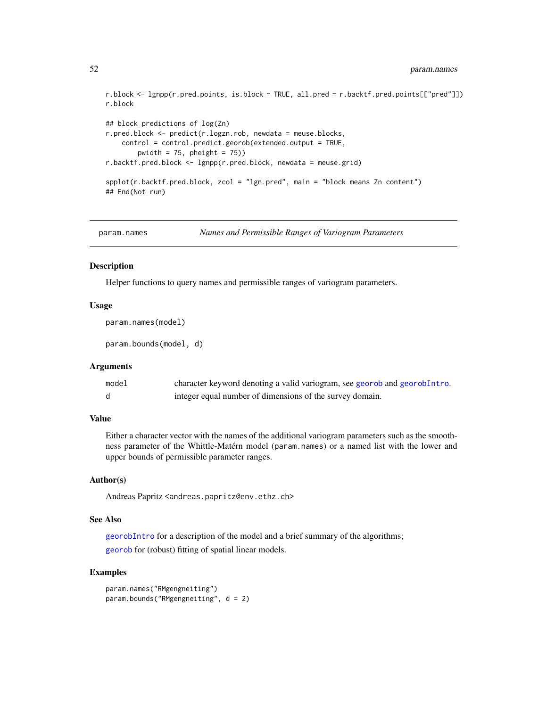```
r.block <- lgnpp(r.pred.points, is.block = TRUE, all.pred = r.backtf.pred.points[["pred"]])
r.block
## block predictions of log(Zn)
r.pred.block <- predict(r.logzn.rob, newdata = meuse.blocks,
    control = control.predict.georob(extended.output = TRUE,
       pwidth = 75, pheight = 75)
r.backtf.pred.block <- lgnpp(r.pred.block, newdata = meuse.grid)
splot(r.\text{backf},pred.\text{block}, zcol = "lgn.pred", main = "block means Zn content")## End(Not run)
```

```
param.names Names and Permissible Ranges of Variogram Parameters
```
#### Description

Helper functions to query names and permissible ranges of variogram parameters.

### Usage

param.names(model)

param.bounds(model, d)

### Arguments

| model | character keyword denoting a valid variogram, see georob and georobIntro. |
|-------|---------------------------------------------------------------------------|
|       | integer equal number of dimensions of the survey domain.                  |

#### Value

Either a character vector with the names of the additional variogram parameters such as the smoothness parameter of the Whittle-Matérn model (param.names) or a named list with the lower and upper bounds of permissible parameter ranges.

## Author(s)

Andreas Papritz <andreas.papritz@env.ethz.ch>

#### See Also

[georobIntro](#page-34-0) for a description of the model and a brief summary of the algorithms; [georob](#page-21-0) for (robust) fitting of spatial linear models.

```
param.names("RMgengneiting")
param.bounds("RMgengneiting", d = 2)
```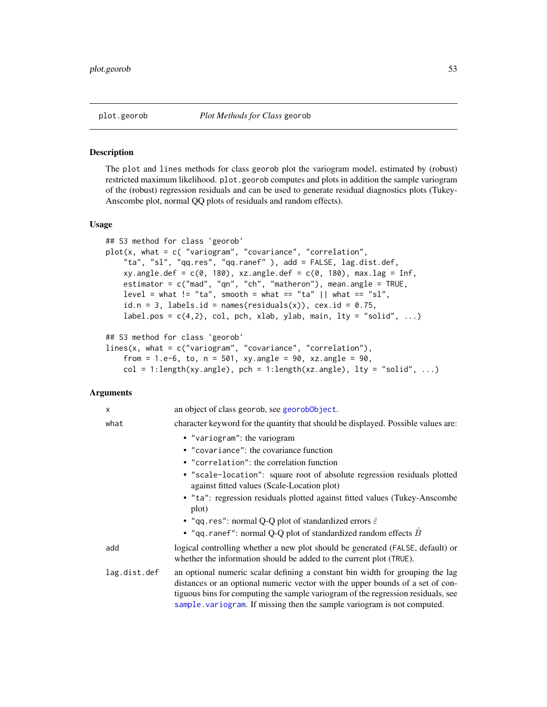<span id="page-52-0"></span>

#### Description

The plot and lines methods for class georob plot the variogram model, estimated by (robust) restricted maximum likelihood. plot.georob computes and plots in addition the sample variogram of the (robust) regression residuals and can be used to generate residual diagnostics plots (Tukey-Anscombe plot, normal QQ plots of residuals and random effects).

## Usage

```
## S3 method for class 'georob'
plot(x, what = c( "variogram", "covariance", "correlation",
    "ta", "sl", "qq.res", "qq.ranef" ), add = FALSE, lag.dist.def,
    xy.angle.def = c(\theta, 18\theta), xz.angle.def = c(\theta, 18\theta), max.lag = Inf,
    estimator = c("mad", "qn", "ch", "matheron"), mean.angle = TRUE,
    level = what != "ta", smooth = what == "ta" || what == "sl",id.n = 3, labels.id = names(residuals(x)), cex.id = 0.75,
    label.pos = c(4,2), col, pch, xlab, ylab, main, lty = "solid", ...)
## S3 method for class 'georob'
lines(x, what = c("variogram", "covariance", "correlation"),
    from = 1.e-6, to, n = 501, xy.angle = 90, xz.angle = 90,
```
 $col = 1$ :length(xy.angle), pch = 1:length(xz.angle), lty = "solid", ...)

# Arguments

| X            | an object of class georob, see georoboloject.                                                                                                                                                                                                                                                                                  |
|--------------|--------------------------------------------------------------------------------------------------------------------------------------------------------------------------------------------------------------------------------------------------------------------------------------------------------------------------------|
| what         | character keyword for the quantity that should be displayed. Possible values are:                                                                                                                                                                                                                                              |
|              | • "variogram": the variogram                                                                                                                                                                                                                                                                                                   |
|              | • "covariance": the covariance function                                                                                                                                                                                                                                                                                        |
|              | • "correlation": the correlation function                                                                                                                                                                                                                                                                                      |
|              | • "scale-location": square root of absolute regression residuals plotted<br>against fitted values (Scale-Location plot)                                                                                                                                                                                                        |
|              | • "ta": regression residuals plotted against fitted values (Tukey-Anscombe<br>plot)                                                                                                                                                                                                                                            |
|              | • "qq.res": normal Q-Q plot of standardized errors $\hat{\varepsilon}$                                                                                                                                                                                                                                                         |
|              | • "qq.ranef": normal Q-Q plot of standardized random effects $\hat{B}$                                                                                                                                                                                                                                                         |
| add          | logical controlling whether a new plot should be generated (FALSE, default) or<br>whether the information should be added to the current plot (TRUE).                                                                                                                                                                          |
| lag.dist.def | an optional numeric scalar defining a constant bin width for grouping the lag<br>distances or an optional numeric vector with the upper bounds of a set of con-<br>tiguous bins for computing the sample variogram of the regression residuals, see<br>sample variogram. If missing then the sample variogram is not computed. |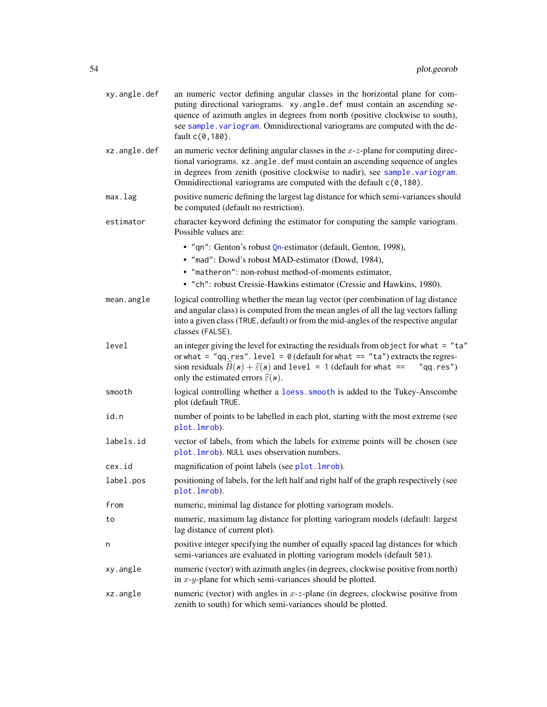| xy.angle.def | an numeric vector defining angular classes in the horizontal plane for com-<br>puting directional variograms. xy.angle.def must contain an ascending se-<br>quence of azimuth angles in degrees from north (positive clockwise to south),<br>see sample. variogram. Omnidirectional variograms are computed with the de-<br>fault c(0,180). |  |
|--------------|---------------------------------------------------------------------------------------------------------------------------------------------------------------------------------------------------------------------------------------------------------------------------------------------------------------------------------------------|--|
| xz.angle.def | an numeric vector defining angular classes in the $x-z$ -plane for computing direc-<br>tional variograms. xz. angle. def must contain an ascending sequence of angles<br>in degrees from zenith (positive clockwise to nadir), see sample.variogram.<br>Omnidirectional variograms are computed with the default c(0,180).                  |  |
| max.lag      | positive numeric defining the largest lag distance for which semi-variances should<br>be computed (default no restriction).                                                                                                                                                                                                                 |  |
| estimator    | character keyword defining the estimator for computing the sample variogram.<br>Possible values are:                                                                                                                                                                                                                                        |  |
|              | · "qn": Genton's robust Qn-estimator (default, Genton, 1998),<br>• "mad": Dowd's robust MAD-estimator (Dowd, 1984),<br>• "matheron": non-robust method-of-moments estimator,<br>• "ch": robust Cressie-Hawkins estimator (Cressie and Hawkins, 1980).                                                                                       |  |
| mean.angle   | logical controlling whether the mean lag vector (per combination of lag distance<br>and angular class) is computed from the mean angles of all the lag vectors falling<br>into a given class (TRUE, default) or from the mid-angles of the respective angular<br>classes (FALSE).                                                           |  |
| level        | an integer giving the level for extracting the residuals from object for what $=$ "ta"<br>or what = "qq.res". level = $\theta$ (default for what == "ta") extracts the regres-<br>sion residuals $B(s) + \hat{\varepsilon}(s)$ and level = 1 (default for what ==<br>"qq.res")<br>only the estimated errors $\hat{\varepsilon}(s)$ .        |  |
| smooth       | logical controlling whether a loess. smooth is added to the Tukey-Anscombe<br>plot (default TRUE.                                                                                                                                                                                                                                           |  |
| id.n         | number of points to be labelled in each plot, starting with the most extreme (see<br>plot. lmrob).                                                                                                                                                                                                                                          |  |
| labels.id    | vector of labels, from which the labels for extreme points will be chosen (see<br>plot. 1mrob). NULL uses observation numbers.                                                                                                                                                                                                              |  |
| cex.id       | magnification of point labels (see plot. lmrob).                                                                                                                                                                                                                                                                                            |  |
| label.pos    | positioning of labels, for the left half and right half of the graph respectively (see<br>plot.1mrob).                                                                                                                                                                                                                                      |  |
| from         | numeric, minimal lag distance for plotting variogram models.                                                                                                                                                                                                                                                                                |  |
| to           | numeric, maximum lag distance for plotting variogram models (default: largest<br>lag distance of current plot).                                                                                                                                                                                                                             |  |
| n            | positive integer specifying the number of equally spaced lag distances for which<br>semi-variances are evaluated in plotting variogram models (default 501).                                                                                                                                                                                |  |
| xy.angle     | numeric (vector) with azimuth angles (in degrees, clockwise positive from north)<br>in $x-y$ -plane for which semi-variances should be plotted.                                                                                                                                                                                             |  |
| xz.angle     | numeric (vector) with angles in $x$ - $z$ -plane (in degrees, clockwise positive from<br>zenith to south) for which semi-variances should be plotted.                                                                                                                                                                                       |  |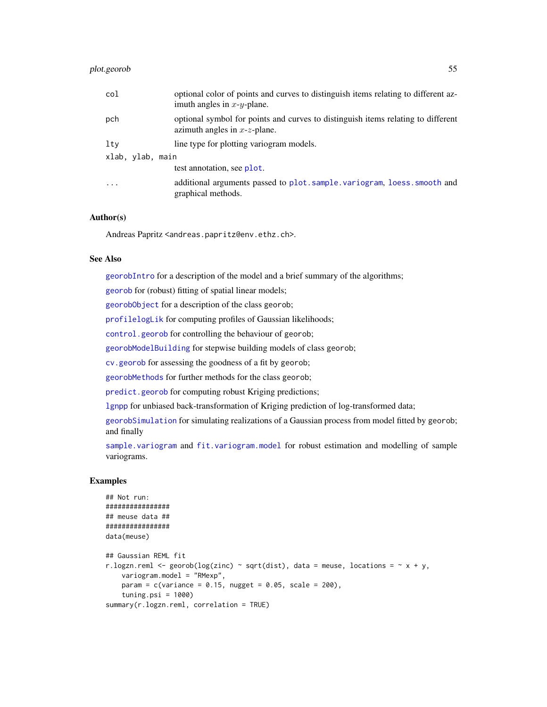# plot.georob 55

| col              | optional color of points and curves to distinguish items relating to different az-<br>imuth angles in $x-y$ -plane.     |
|------------------|-------------------------------------------------------------------------------------------------------------------------|
| pch              | optional symbol for points and curves to distinguish items relating to different<br>azimuth angles in $x$ - $z$ -plane. |
| lty              | line type for plotting variogram models.                                                                                |
| xlab, ylab, main |                                                                                                                         |
|                  | test annotation, see plot.                                                                                              |
| $\ddotsc$        | additional arguments passed to plot.sample.variogram, loess.smooth and<br>graphical methods.                            |

# Author(s)

Andreas Papritz <andreas.papritz@env.ethz.ch>.

#### See Also

[georobIntro](#page-34-0) for a description of the model and a brief summary of the algorithms;

[georob](#page-21-0) for (robust) fitting of spatial linear models;

[georobObject](#page-31-0) for a description of the class georob;

[profilelogLik](#page-61-0) for computing profiles of Gaussian likelihoods;

[control.georob](#page-2-0) for controlling the behaviour of georob;

[georobModelBuilding](#page-27-1) for stepwise building models of class georob;

[cv.georob](#page-9-0) for assessing the goodness of a fit by georob;

[georobMethods](#page-38-0) for further methods for the class georob;

[predict.georob](#page-57-0) for computing robust Kriging predictions;

[lgnpp](#page-46-0) for unbiased back-transformation of Kriging prediction of log-transformed data;

[georobSimulation](#page-42-0) for simulating realizations of a Gaussian process from model fitted by georob; and finally

[sample.variogram](#page-63-0) and [fit.variogram.model](#page-15-0) for robust estimation and modelling of sample variograms.

```
## Not run:
################
## meuse data ##
################
data(meuse)
## Gaussian REML fit
r.logzn.reml <- georob(log(zinc) ~ sqrt(dist), data = meuse, locations = \sim x + y,
    variogram.model = "RMexp",
   param = c(variance = 0.15, nugget = 0.05, scale = 200),tuning.psi = 1000)
summary(r.logzn.reml, correlation = TRUE)
```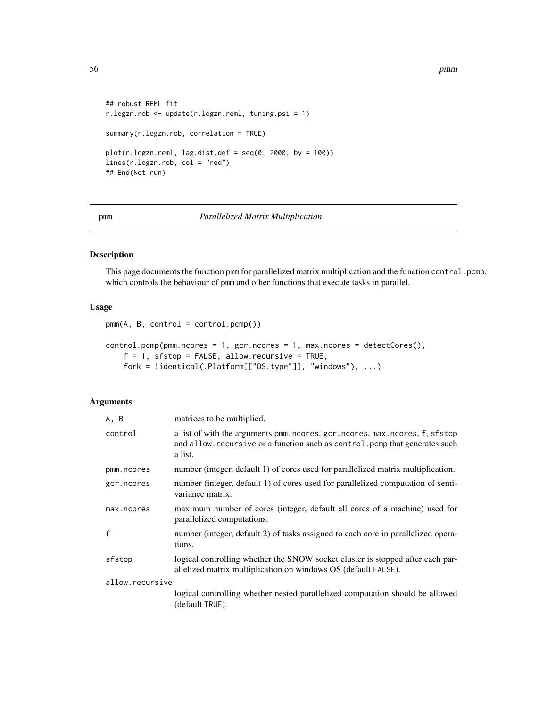56 pmm

```
## robust REML fit
r.logzn.rob <- update(r.logzn.reml, tuning.psi = 1)
summary(r.logzn.rob, correlation = TRUE)
plot(r.logzn.reml, lag.dist.def = seq(0, 2000, by = 100))lines(r.logzn.rob, col = "red")
## End(Not run)
```
## <span id="page-55-0"></span>pmm *Parallelized Matrix Multiplication*

# <span id="page-55-1"></span>Description

This page documents the function pmm for parallelized matrix multiplication and the function control.pcmp, which controls the behaviour of pmm and other functions that execute tasks in parallel.

## Usage

```
pmm(A, B, control = control.pcmp())
```

```
control.pcmp(pmm.ncores = 1, gcr.ncores = 1, max.ncores = detectCores(),
   f = 1, sfstop = FALSE, allow.recursive = TRUE,
   fork = !identical(.Platform[["OS.type"]], "windows"), ...)
```
# Arguments

| A, B            | matrices to be multiplied.                                                                                                                                            |
|-----------------|-----------------------------------------------------------------------------------------------------------------------------------------------------------------------|
| control         | a list of with the arguments pmm.ncores, gcr.ncores, max.ncores, f, sfstop<br>and allow. recursive or a function such as control. pcmp that generates such<br>a list. |
| pmm.ncores      | number (integer, default 1) of cores used for parallelized matrix multiplication.                                                                                     |
| gcr.ncores      | number (integer, default 1) of cores used for parallelized computation of semi-<br>variance matrix.                                                                   |
| max.ncores      | maximum number of cores (integer, default all cores of a machine) used for<br>parallelized computations.                                                              |
| $\mathbf{f}$    | number (integer, default 2) of tasks assigned to each core in parallelized opera-<br>tions.                                                                           |
| sfstop          | logical controlling whether the SNOW socket cluster is stopped after each par-<br>allelized matrix multiplication on windows OS (default FALSE).                      |
| allow.recursive |                                                                                                                                                                       |
|                 | logical controlling whether nested parallelized computation should be allowed<br>(default TRUE).                                                                      |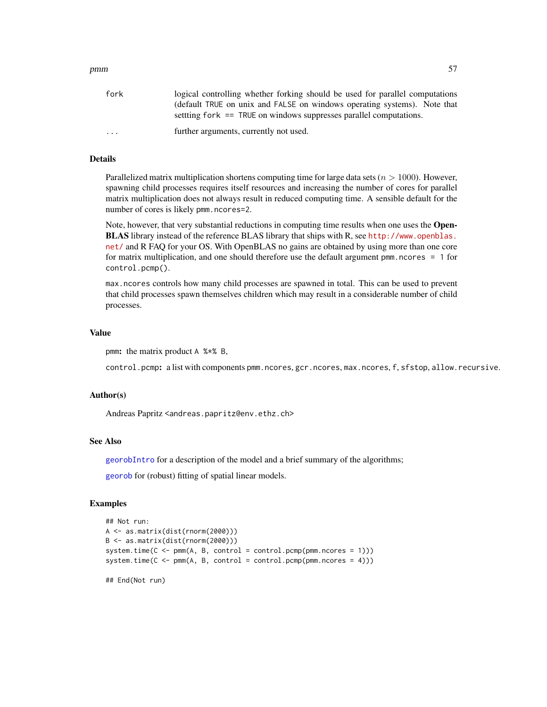| pmm | $- -$ |
|-----|-------|
|-----|-------|

| fork      | logical controlling whether forking should be used for parallel computations<br>(default TRUE on unix and FALSE on windows operating systems). Note that<br>settling for $k = TRUE$ on windows suppresses parallel computations. |
|-----------|----------------------------------------------------------------------------------------------------------------------------------------------------------------------------------------------------------------------------------|
| $\ddotsc$ | further arguments, currently not used.                                                                                                                                                                                           |

# Details

Parallelized matrix multiplication shortens computing time for large data sets ( $n > 1000$ ). However, spawning child processes requires itself resources and increasing the number of cores for parallel matrix multiplication does not always result in reduced computing time. A sensible default for the number of cores is likely pmm.ncores=2.

Note, however, that very substantial reductions in computing time results when one uses the Open-BLAS library instead of the reference BLAS library that ships with R, see [http://www.openblas.](http://www.openblas.net/) [net/](http://www.openblas.net/) and R FAQ for your OS. With OpenBLAS no gains are obtained by using more than one core for matrix multiplication, and one should therefore use the default argument pmm.ncores  $= 1$  for control.pcmp().

max.ncores controls how many child processes are spawned in total. This can be used to prevent that child processes spawn themselves children which may result in a considerable number of child processes.

## Value

pmm: the matrix product A %\*% B,

control.pcmp: a list with components pmm.ncores, gcr.ncores, max.ncores, f, sfstop, allow.recursive.

#### Author(s)

Andreas Papritz <andreas.papritz@env.ethz.ch>

## See Also

[georobIntro](#page-34-0) for a description of the model and a brief summary of the algorithms;

[georob](#page-21-0) for (robust) fitting of spatial linear models.

```
## Not run:
A <- as.matrix(dist(rnorm(2000)))
B <- as.matrix(dist(rnorm(2000)))
system.time(C \leq -\text{pmm}(A, B, \text{control} = \text{control.pcmp}(\text{pmn}.\text{ncores} = 1)))system.time(C \leq pmm(A, B, control = control.pcmp(pmm.ncores = 4)))## End(Not run)
```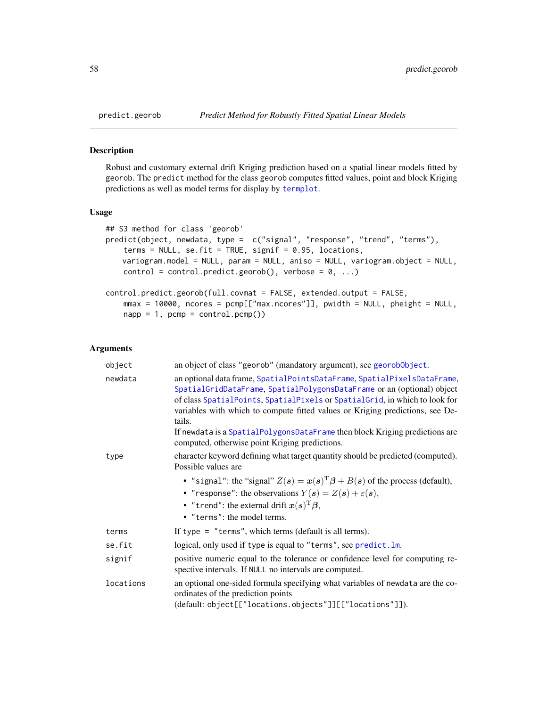#### <span id="page-57-1"></span>**Description**

Robust and customary external drift Kriging prediction based on a spatial linear models fitted by georob. The predict method for the class georob computes fitted values, point and block Kriging predictions as well as model terms for display by [termplot](#page-0-0).

#### Usage

```
## S3 method for class 'georob'
predict(object, newdata, type = c("signal", "response", "trend", "terms"),
    terms = NULL, se.fit = TRUE, signif = 0.95, locations,
   variogram.model = NULL, param = NULL, aniso = NULL, variogram.object = NULL,
   control = control.predict.georob(), verbose = 0, ...)control.predict.georob(full.covmat = FALSE, extended.output = FALSE,
   mmax = 10000, ncores = pcmp[["max.ncores"]], pwidth = NULL, pheight = NULL,
   napp = 1, pcmp = control.pcmp()
```
## Arguments

| object    | an object of class "georob" (mandatory argument), see georob0bject.                                                                                                                                                                                                                                                                                                                                                                                         |
|-----------|-------------------------------------------------------------------------------------------------------------------------------------------------------------------------------------------------------------------------------------------------------------------------------------------------------------------------------------------------------------------------------------------------------------------------------------------------------------|
| newdata   | an optional data frame, SpatialPointsDataFrame, SpatialPixelsDataFrame,<br>SpatialGridDataFrame, SpatialPolygonsDataFrame or an (optional) object<br>of class SpatialPoints, SpatialPixels or SpatialGrid, in which to look for<br>variables with which to compute fitted values or Kriging predictions, see De-<br>tails.<br>If newdata is a SpatialPolygonsDataFrame then block Kriging predictions are<br>computed, otherwise point Kriging predictions. |
| type      | character keyword defining what target quantity should be predicted (computed).<br>Possible values are                                                                                                                                                                                                                                                                                                                                                      |
|           | • "signal": the "signal" $Z(s) = x(s)^T \beta + B(s)$ of the process (default),<br>• "response": the observations $Y(s) = Z(s) + \varepsilon(s)$ ,<br>• "trend": the external drift $x(s)^T \beta$ ,<br>• "terms": the model terms.                                                                                                                                                                                                                         |
| terms     | If type = $"$ terms", which terms (default is all terms).                                                                                                                                                                                                                                                                                                                                                                                                   |
| se.fit    | logical, only used if type is equal to "terms", see predict. lm.                                                                                                                                                                                                                                                                                                                                                                                            |
| signif    | positive numeric equal to the tolerance or confidence level for computing re-<br>spective intervals. If NULL no intervals are computed.                                                                                                                                                                                                                                                                                                                     |
| locations | an optional one-sided formula specifying what variables of newdata are the co-<br>ordinates of the prediction points<br>(default: object[["locations.objects"]][["locations"]]).                                                                                                                                                                                                                                                                            |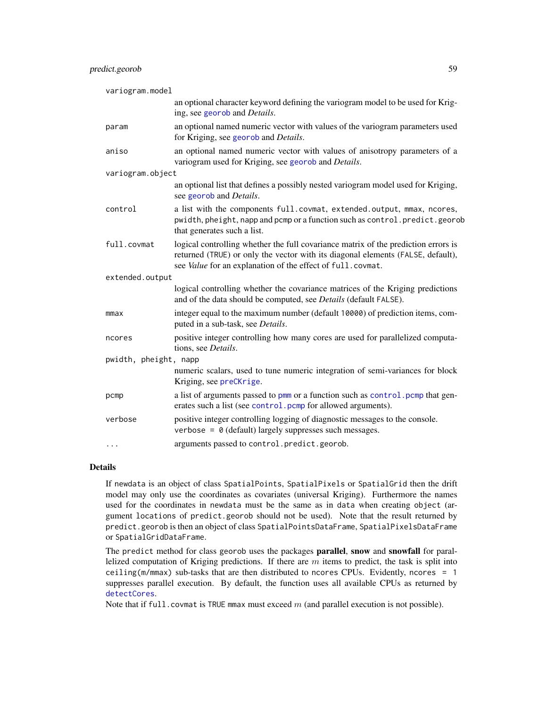| variogram.model       |                                                                                                                                                                                                                                     |
|-----------------------|-------------------------------------------------------------------------------------------------------------------------------------------------------------------------------------------------------------------------------------|
|                       | an optional character keyword defining the variogram model to be used for Krig-<br>ing, see georob and Details.                                                                                                                     |
| param                 | an optional named numeric vector with values of the variogram parameters used<br>for Kriging, see georob and Details.                                                                                                               |
| aniso                 | an optional named numeric vector with values of anisotropy parameters of a<br>variogram used for Kriging, see georob and Details.                                                                                                   |
| variogram.object      |                                                                                                                                                                                                                                     |
|                       | an optional list that defines a possibly nested variogram model used for Kriging,<br>see georob and <i>Details</i> .                                                                                                                |
| control               | a list with the components full.covmat, extended.output, mmax, ncores,<br>pwidth, pheight, napp and pcmp or a function such as control.predict.georob<br>that generates such a list.                                                |
| full.covmat           | logical controlling whether the full covariance matrix of the prediction errors is<br>returned (TRUE) or only the vector with its diagonal elements (FALSE, default),<br>see Value for an explanation of the effect of full.covmat. |
| extended.output       |                                                                                                                                                                                                                                     |
|                       | logical controlling whether the covariance matrices of the Kriging predictions<br>and of the data should be computed, see Details (default FALSE).                                                                                  |
| mmax                  | integer equal to the maximum number (default 10000) of prediction items, com-<br>puted in a sub-task, see Details.                                                                                                                  |
| ncores                | positive integer controlling how many cores are used for parallelized computa-<br>tions, see Details.                                                                                                                               |
| pwidth, pheight, napp |                                                                                                                                                                                                                                     |
|                       | numeric scalars, used to tune numeric integration of semi-variances for block<br>Kriging, see preCKrige.                                                                                                                            |
| pcmp                  | a list of arguments passed to pmm or a function such as control. pcmp that gen-<br>erates such a list (see control. pcmp for allowed arguments).                                                                                    |
| verbose               | positive integer controlling logging of diagnostic messages to the console.<br>verbose = $\theta$ (default) largely suppresses such messages.                                                                                       |
| $\cdots$              | arguments passed to control.predict.georob.                                                                                                                                                                                         |

## Details

If newdata is an object of class SpatialPoints, SpatialPixels or SpatialGrid then the drift model may only use the coordinates as covariates (universal Kriging). Furthermore the names used for the coordinates in newdata must be the same as in data when creating object (argument locations of predict.georob should not be used). Note that the result returned by predict.georob is then an object of class SpatialPointsDataFrame, SpatialPixelsDataFrame or SpatialGridDataFrame.

The predict method for class georob uses the packages **parallel, snow** and **snowfall** for parallelized computation of Kriging predictions. If there are  $m$  items to predict, the task is split into ceiling(m/mmax) sub-tasks that are then distributed to ncores CPUs. Evidently, ncores = 1 suppresses parallel execution. By default, the function uses all available CPUs as returned by [detectCores](#page-0-0).

Note that if  $full$ .covmat is TRUE mmax must exceed  $m$  (and parallel execution is not possible).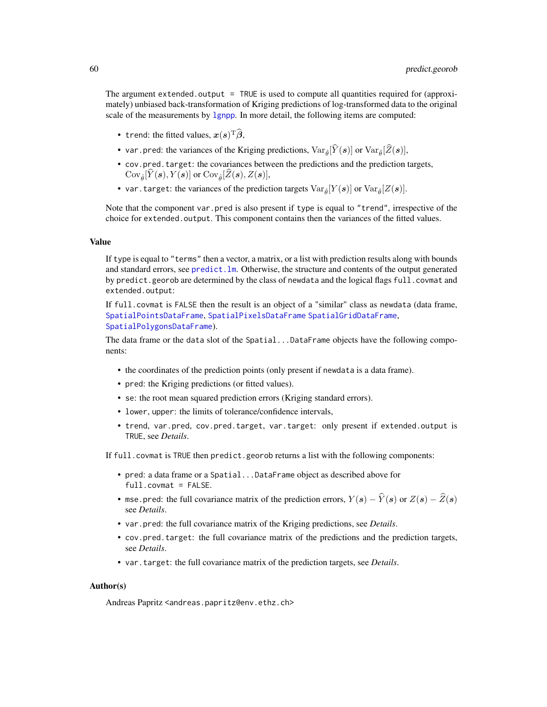The argument extended.output = TRUE is used to compute all quantities required for (approximately) unbiased back-transformation of Kriging predictions of log-transformed data to the original scale of the measurements by 1 gnpp. In more detail, the following items are computed:

- trend: the fitted values,  $x(s)^\text{T}\hat{\boldsymbol{\beta}},$
- var.pred: the variances of the Kriging predictions,  $Var_{\hat{\theta}}[\hat{Y}(s)]$  or  $Var_{\hat{\theta}}[\hat{Z}(s)]$ ,
- cov.pred.target: the covariances between the predictions and the prediction targets,  $Cov_{\hat{\theta}}[Y(\mathbf{s}), Y(\mathbf{s})]$  or  $Cov_{\hat{\theta}}[Z(\mathbf{s}), Z(\mathbf{s})],$
- var.target: the variances of the prediction targets  $Var_{\hat{\theta}}[Y(\boldsymbol{s})]$  or  $Var_{\hat{\theta}}[Z(\boldsymbol{s})]$ .

Note that the component var.pred is also present if type is equal to "trend", irrespective of the choice for extended.output. This component contains then the variances of the fitted values.

#### Value

If type is equal to "terms" then a vector, a matrix, or a list with prediction results along with bounds and standard errors, see [predict.lm](#page-0-0). Otherwise, the structure and contents of the output generated by predict.georob are determined by the class of newdata and the logical flags full.covmat and extended.output:

If full.covmat is FALSE then the result is an object of a "similar" class as newdata (data frame, [SpatialPointsDataFrame](#page-0-0), [SpatialPixelsDataFrame](#page-0-0) [SpatialGridDataFrame](#page-0-0), [SpatialPolygonsDataFrame](#page-0-0)).

The data frame or the data slot of the Spatial...DataFrame objects have the following components:

- the coordinates of the prediction points (only present if newdata is a data frame).
- pred: the Kriging predictions (or fitted values).
- se: the root mean squared prediction errors (Kriging standard errors).
- lower, upper: the limits of tolerance/confidence intervals,
- trend, var.pred, cov.pred.target, var.target: only present if extended.output is TRUE, see *Details*.

If full.covmat is TRUE then predict.georob returns a list with the following components:

- pred: a data frame or a Spatial...DataFrame object as described above for full.covmat = FALSE.
- mse.pred: the full covariance matrix of the prediction errors,  $Y(s) \hat{Y}(s)$  or  $Z(s) \hat{Z}(s)$ see *Details*.
- var.pred: the full covariance matrix of the Kriging predictions, see *Details*.
- cov.pred.target: the full covariance matrix of the predictions and the prediction targets, see *Details*.
- var.target: the full covariance matrix of the prediction targets, see *Details*.

#### Author(s)

Andreas Papritz <andreas.papritz@env.ethz.ch>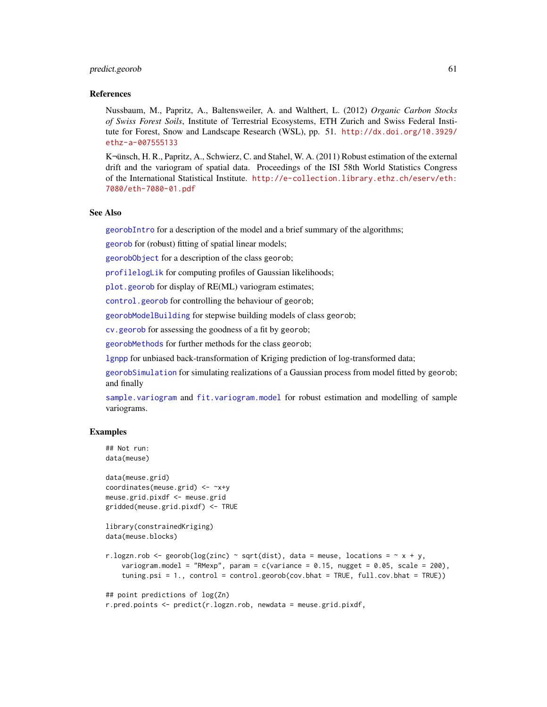#### predict.georob 61

#### References

Nussbaum, M., Papritz, A., Baltensweiler, A. and Walthert, L. (2012) *Organic Carbon Stocks of Swiss Forest Soils*, Institute of Terrestrial Ecosystems, ETH Zurich and Swiss Federal Institute for Forest, Snow and Landscape Research (WSL), pp. 51. [http://dx.doi.org/10.3929/](http://dx.doi.org/10.3929/ethz-a-007555133) [ethz-a-007555133](http://dx.doi.org/10.3929/ethz-a-007555133)

KŸnsch, H. R., Papritz, A., Schwierz, C. and Stahel, W. A. (2011) Robust estimation of the external drift and the variogram of spatial data. Proceedings of the ISI 58th World Statistics Congress of the International Statistical Institute. [http://e-collection.library.ethz.ch/eserv/eth:](http://e-collection.library.ethz.ch/eserv/eth:7080/eth-7080-01.pdf) [7080/eth-7080-01.pdf](http://e-collection.library.ethz.ch/eserv/eth:7080/eth-7080-01.pdf)

## See Also

[georobIntro](#page-34-0) for a description of the model and a brief summary of the algorithms;

[georob](#page-21-0) for (robust) fitting of spatial linear models;

[georobObject](#page-31-0) for a description of the class georob;

[profilelogLik](#page-61-0) for computing profiles of Gaussian likelihoods;

[plot.georob](#page-52-0) for display of RE(ML) variogram estimates;

[control.georob](#page-2-0) for controlling the behaviour of georob;

[georobModelBuilding](#page-27-1) for stepwise building models of class georob;

[cv.georob](#page-9-0) for assessing the goodness of a fit by georob;

[georobMethods](#page-38-0) for further methods for the class georob;

[lgnpp](#page-46-0) for unbiased back-transformation of Kriging prediction of log-transformed data;

[georobSimulation](#page-42-0) for simulating realizations of a Gaussian process from model fitted by georob; and finally

[sample.variogram](#page-63-0) and [fit.variogram.model](#page-15-0) for robust estimation and modelling of sample variograms.

```
## Not run:
data(meuse)
```

```
data(meuse.grid)
coordinates(meuse.grid) <- ~x+y
meuse.grid.pixdf <- meuse.grid
gridded(meuse.grid.pixdf) <- TRUE
```

```
library(constrainedKriging)
data(meuse.blocks)
```

```
r.logzn.rob <- georob(log(zinc) ~ sqrt(dist), data = meuse, locations = \sim x + y,
   variogram.model = "RMexp", param = c(variance = 0.15, nugget = 0.05, scale = 200),
   tuning.psi = 1., control = control.georob(cov.bhat = TRUE, full.cov.bhat = TRUE))
```

```
## point predictions of log(Zn)
```

```
r.pred.points <- predict(r.logzn.rob, newdata = meuse.grid.pixdf,
```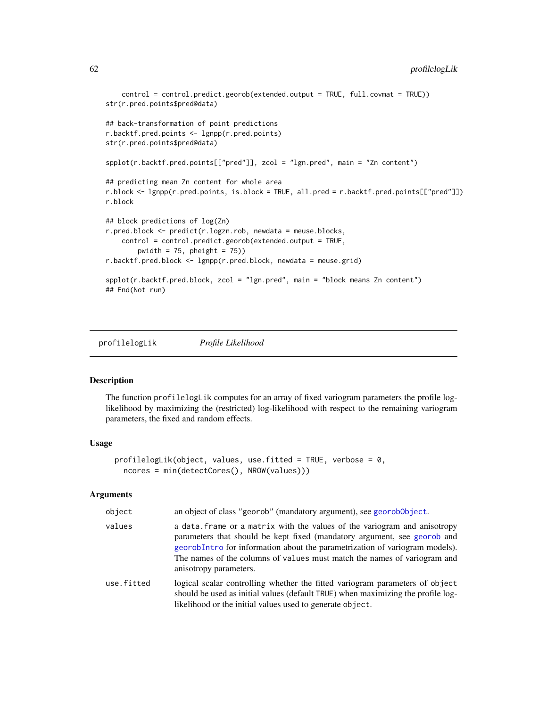```
control = control.predict.georob(extended.output = TRUE, full.covmat = TRUE))
str(r.pred.points$pred@data)
## back-transformation of point predictions
r.backtf.pred.points <- lgnpp(r.pred.points)
str(r.pred.points$pred@data)
spplot(r.backtf.pred.points[["pred"]], zcol = "lgn.pred", main = "Zn content")
## predicting mean Zn content for whole area
r.block <- lgnpp(r.pred.points, is.block = TRUE, all.pred = r.backtf.pred.points[["pred"]])
r.block
## block predictions of log(Zn)
r.pred.block <- predict(r.logzn.rob, newdata = meuse.blocks,
    control = control.predict.georob(extended.output = TRUE,
       pwidth = 75, pheight = 75)
r.backtf.pred.block <- lgnpp(r.pred.block, newdata = meuse.grid)
spplot(r.backtf.pred.block, zcol = "lgn.pred", main = "block means Zn content")
## End(Not run)
```
<span id="page-61-0"></span>profilelogLik *Profile Likelihood*

#### **Description**

The function profilelogLik computes for an array of fixed variogram parameters the profile loglikelihood by maximizing the (restricted) log-likelihood with respect to the remaining variogram parameters, the fixed and random effects.

#### Usage

```
profilelogLik(object, values, use.fitted = TRUE, verbose = 0,
  ncores = min(detectCores(), NROW(values)))
```
## Arguments

| object     | an object of class "georob" (mandatory argument), see georobologiect.                                                                                                                                                                                                                                                                      |
|------------|--------------------------------------------------------------------------------------------------------------------------------------------------------------------------------------------------------------------------------------------------------------------------------------------------------------------------------------------|
| values     | a data. frame or a matrix with the values of the variogram and anisotropy<br>parameters that should be kept fixed (mandatory argument, see georob and<br>georobIntro for information about the parametrization of variogram models).<br>The names of the columns of values must match the names of variogram and<br>anisotropy parameters. |
| use.fitted | logical scalar controlling whether the fitted variogram parameters of object<br>should be used as initial values (default TRUE) when maximizing the profile log-<br>likelihood or the initial values used to generate object.                                                                                                              |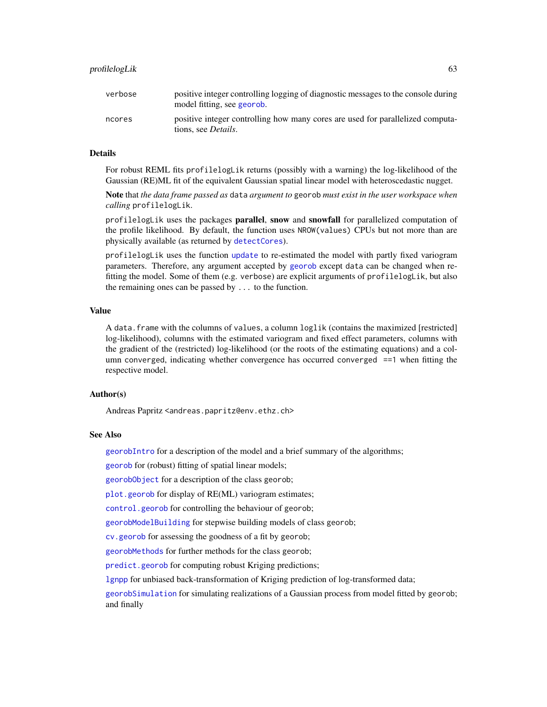## profilelogLik 63

#### Details

For robust REML fits profilelogLik returns (possibly with a warning) the log-likelihood of the Gaussian (RE)ML fit of the equivalent Gaussian spatial linear model with heteroscedastic nugget.

Note that *the data frame passed as* data *argument to* georob *must exist in the user workspace when calling* profilelogLik.

profilelogLik uses the packages parallel, snow and snowfall for parallelized computation of the profile likelihood. By default, the function uses NROW(values) CPUs but not more than are physically available (as returned by [detectCores](#page-0-0)).

profilelogLik uses the function [update](#page-0-0) to re-estimated the model with partly fixed variogram parameters. Therefore, any argument accepted by [georob](#page-21-0) except data can be changed when refitting the model. Some of them (e.g. verbose) are explicit arguments of profilelogLik, but also the remaining ones can be passed by ... to the function.

#### Value

A data.frame with the columns of values, a column loglik (contains the maximized [restricted] log-likelihood), columns with the estimated variogram and fixed effect parameters, columns with the gradient of the (restricted) log-likelihood (or the roots of the estimating equations) and a column converged, indicating whether convergence has occurred converged ==1 when fitting the respective model.

## Author(s)

Andreas Papritz <andreas.papritz@env.ethz.ch>

#### See Also

[georobIntro](#page-34-0) for a description of the model and a brief summary of the algorithms;

[georob](#page-21-0) for (robust) fitting of spatial linear models;

[georobObject](#page-31-0) for a description of the class georob;

[plot.georob](#page-52-0) for display of RE(ML) variogram estimates;

[control.georob](#page-2-0) for controlling the behaviour of georob;

[georobModelBuilding](#page-27-1) for stepwise building models of class georob;

[cv.georob](#page-9-0) for assessing the goodness of a fit by georob;

[georobMethods](#page-38-0) for further methods for the class georob;

[predict.georob](#page-57-0) for computing robust Kriging predictions;

[lgnpp](#page-46-0) for unbiased back-transformation of Kriging prediction of log-transformed data;

[georobSimulation](#page-42-0) for simulating realizations of a Gaussian process from model fitted by georob; and finally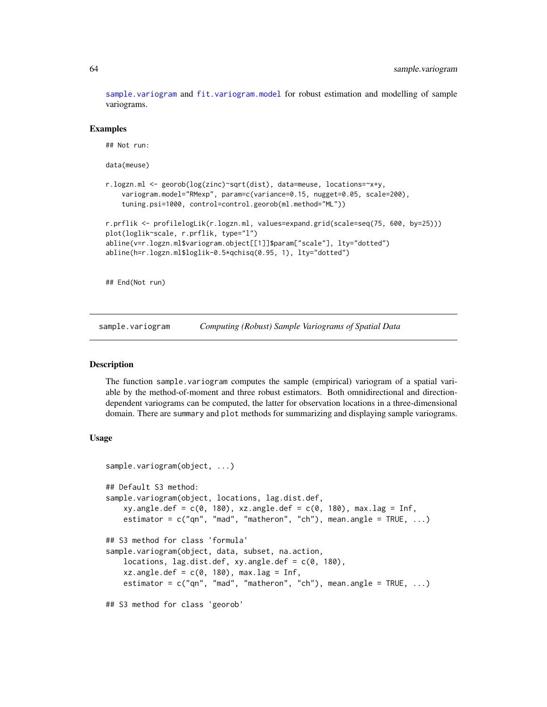[sample.variogram](#page-63-0) and [fit.variogram.model](#page-15-0) for robust estimation and modelling of sample variograms.

#### Examples

```
## Not run:
data(meuse)
r.logzn.ml <- georob(log(zinc)~sqrt(dist), data=meuse, locations=~x+y,
    variogram.model="RMexp", param=c(variance=0.15, nugget=0.05, scale=200),
    tuning.psi=1000, control=control.georob(ml.method="ML"))
r.prflik <- profilelogLik(r.logzn.ml, values=expand.grid(scale=seq(75, 600, by=25)))
plot(loglik~scale, r.prflik, type="l")
abline(v=r.logzn.ml$variogram.object[[1]]$param["scale"], lty="dotted")
abline(h=r.logzn.ml$loglik-0.5*qchisq(0.95, 1), lty="dotted")
```
## End(Not run)

<span id="page-63-0"></span>sample.variogram *Computing (Robust) Sample Variograms of Spatial Data*

#### <span id="page-63-1"></span>**Description**

The function sample.variogram computes the sample (empirical) variogram of a spatial variable by the method-of-moment and three robust estimators. Both omnidirectional and directiondependent variograms can be computed, the latter for observation locations in a three-dimensional domain. There are summary and plot methods for summarizing and displaying sample variograms.

## Usage

```
sample.variogram(object, ...)
## Default S3 method:
sample.variogram(object, locations, lag.dist.def,
    xy.angle.def = c(0, 180), xz.angle.def = c(0, 180), max.lag = Inf,
    estimator = c("qn", "mad", "matheron", "ch"), mean.angle = TRUE, ...)## S3 method for class 'formula'
sample.variogram(object, data, subset, na.action,
    locations, lag.dist.def, xy.angle.def = c(0, 180),
    xz.\angle{angle}.def = c(0, 180), max.lag = Inf,estimator = c("qn", "mad", "matheron", "ch"), mean.angle = TRUE, ...)
## S3 method for class 'georob'
```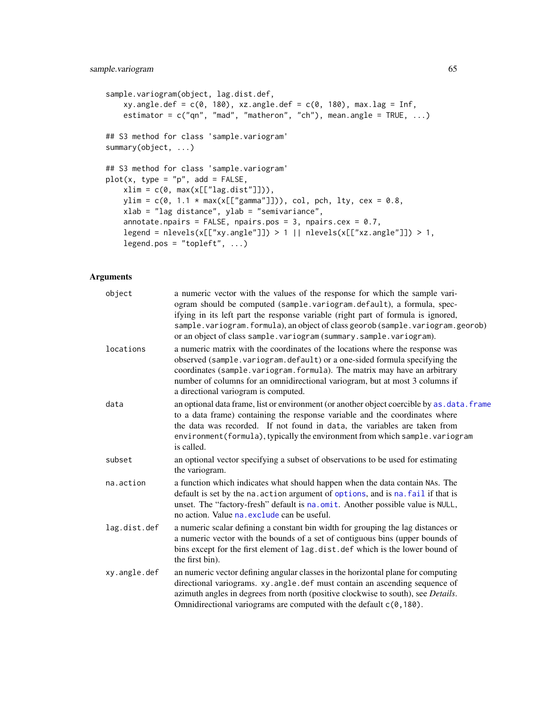```
sample.variogram(object, lag.dist.def,
   xy.angle.def = c(0, 180), xz.angle.def = c(0, 180), max.lag = Inf,
   estimator = c("qn", "mad", "matheron", "ch"), mean.angle = TRUE, ...)
## S3 method for class 'sample.variogram'
summary(object, ...)
## S3 method for class 'sample.variogram'
plot(x, type = "p", add = FALSE,xlim = c(0, max(x[["lag.dist"]])),
   ylim = c(0, 1.1 * max(x[["gamma"])); col, pch, lty, cex = 0.8,xlab = "lag distance", ylab = "semivariance",
   annotate.npairs = FALSE, npairs.pos = 3, npairs.cex = 0.7,
   legend = nlevels(x[["xy.angle"]]) > 1 || nlevels(x[["xz.angle"]]) > 1,
   legend.pos = "topleft", ...)
```
## Arguments

| object       | a numeric vector with the values of the response for which the sample vari-<br>ogram should be computed (sample.variogram.default), a formula, spec-<br>if ying in its left part the response variable (right part of formula is ignored,<br>sample. variogram. formula), an object of class georob (sample. variogram. georob)<br>or an object of class sample.variogram (summary.sample.variogram). |
|--------------|-------------------------------------------------------------------------------------------------------------------------------------------------------------------------------------------------------------------------------------------------------------------------------------------------------------------------------------------------------------------------------------------------------|
| locations    | a numeric matrix with the coordinates of the locations where the response was<br>observed (sample.variogram.default) or a one-sided formula specifying the<br>coordinates (sample.variogram.formula). The matrix may have an arbitrary<br>number of columns for an omnidirectional variogram, but at most 3 columns if<br>a directional variogram is computed.                                        |
| data         | an optional data frame, list or environment (or another object coercible by as . data. frame<br>to a data frame) containing the response variable and the coordinates where<br>the data was recorded. If not found in data, the variables are taken from<br>environment(formula), typically the environment from which sample. variogram<br>is called.                                                |
| subset       | an optional vector specifying a subset of observations to be used for estimating<br>the variogram.                                                                                                                                                                                                                                                                                                    |
| na.action    | a function which indicates what should happen when the data contain NAs. The<br>default is set by the na. action argument of options, and is na. fail if that is<br>unset. The "factory-fresh" default is na.omit. Another possible value is NULL,<br>no action. Value na. exclude can be useful.                                                                                                     |
| lag.dist.def | a numeric scalar defining a constant bin width for grouping the lag distances or<br>a numeric vector with the bounds of a set of contiguous bins (upper bounds of<br>bins except for the first element of lag.dist.def which is the lower bound of<br>the first bin).                                                                                                                                 |
| xy.angle.def | an numeric vector defining angular classes in the horizontal plane for computing<br>directional variograms. xy.angle.def must contain an ascending sequence of<br>azimuth angles in degrees from north (positive clockwise to south), see Details.<br>Omnidirectional variograms are computed with the default c(0,180).                                                                              |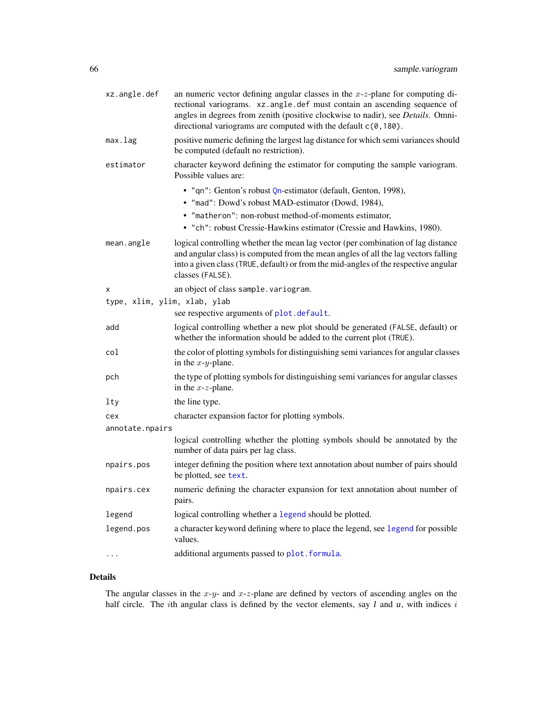| xz.angle.def                 | an numeric vector defining angular classes in the $x-z$ -plane for computing di-<br>rectional variograms. xz.angle.def must contain an ascending sequence of<br>angles in degrees from zenith (positive clockwise to nadir), see Details. Omni-<br>directional variograms are computed with the default c(0,180). |
|------------------------------|-------------------------------------------------------------------------------------------------------------------------------------------------------------------------------------------------------------------------------------------------------------------------------------------------------------------|
| max.lag                      | positive numeric defining the largest lag distance for which semi variances should<br>be computed (default no restriction).                                                                                                                                                                                       |
| estimator                    | character keyword defining the estimator for computing the sample variogram.<br>Possible values are:                                                                                                                                                                                                              |
|                              | • "qn": Genton's robust Qn-estimator (default, Genton, 1998),<br>· "mad": Dowd's robust MAD-estimator (Dowd, 1984),                                                                                                                                                                                               |
|                              | • "matheron": non-robust method-of-moments estimator,<br>• "ch": robust Cressie-Hawkins estimator (Cressie and Hawkins, 1980).                                                                                                                                                                                    |
| mean.angle                   | logical controlling whether the mean lag vector (per combination of lag distance<br>and angular class) is computed from the mean angles of all the lag vectors falling<br>into a given class (TRUE, default) or from the mid-angles of the respective angular<br>classes (FALSE).                                 |
| х                            | an object of class sample. variogram.                                                                                                                                                                                                                                                                             |
| type, xlim, ylim, xlab, ylab | see respective arguments of plot.default.                                                                                                                                                                                                                                                                         |
| add                          | logical controlling whether a new plot should be generated (FALSE, default) or                                                                                                                                                                                                                                    |
|                              | whether the information should be added to the current plot (TRUE).                                                                                                                                                                                                                                               |
| col                          | the color of plotting symbols for distinguishing semi variances for angular classes<br>in the $x-y$ -plane.                                                                                                                                                                                                       |
| pch                          | the type of plotting symbols for distinguishing semi variances for angular classes<br>in the $x$ - $z$ -plane.                                                                                                                                                                                                    |
| lty                          | the line type.                                                                                                                                                                                                                                                                                                    |
| cex                          | character expansion factor for plotting symbols.                                                                                                                                                                                                                                                                  |
| annotate.npairs              |                                                                                                                                                                                                                                                                                                                   |
|                              | logical controlling whether the plotting symbols should be annotated by the<br>number of data pairs per lag class.                                                                                                                                                                                                |
| npairs.pos                   | integer defining the position where text annotation about number of pairs should<br>be plotted, see text.                                                                                                                                                                                                         |
| npairs.cex                   | numeric defining the character expansion for text annotation about number of<br>pairs.                                                                                                                                                                                                                            |
| legend                       | logical controlling whether a legend should be plotted.                                                                                                                                                                                                                                                           |
| legend.pos                   | a character keyword defining where to place the legend, see legend for possible<br>values.                                                                                                                                                                                                                        |
|                              | additional arguments passed to plot. formula.                                                                                                                                                                                                                                                                     |

# Details

The angular classes in the  $x-y$ - and  $x-z$ -plane are defined by vectors of ascending angles on the half circle. The *i*th angular class is defined by the vector elements, say  $l$  and  $u$ , with indices  $i$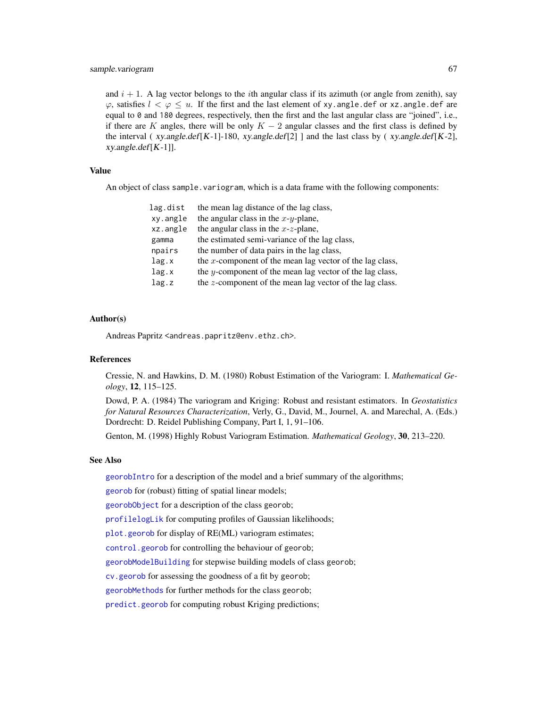and  $i + 1$ . A lag vector belongs to the *i*th angular class if its azimuth (or angle from zenith), say  $\varphi$ , satisfies  $l \leq \varphi \leq u$ . If the first and the last element of xy. angle. def or xz. angle. def are equal to 0 and 180 degrees, respectively, then the first and the last angular class are "joined", i.e., if there are K angles, there will be only  $K - 2$  angular classes and the first class is defined by the interval (*xy.angle.def*[K-1]-180, *xy.angle.def*[2] ] and the last class by (*xy.angle.def*[K-2], xy.angle.def[K-1]].

# Value

An object of class sample.variogram, which is a data frame with the following components:

| lag.dist | the mean lag distance of the lag class,                  |
|----------|----------------------------------------------------------|
| xy.angle | the angular class in the $x-y$ -plane,                   |
| xz.angle | the angular class in the $x$ - $z$ -plane,               |
| gamma    | the estimated semi-variance of the lag class,            |
| npairs   | the number of data pairs in the lag class,               |
| lag.x    | the x-component of the mean lag vector of the lag class, |
| lag.x    | the y-component of the mean lag vector of the lag class, |
| lag.z    | the z-component of the mean lag vector of the lag class. |

#### Author(s)

Andreas Papritz <andreas.papritz@env.ethz.ch>.

# References

Cressie, N. and Hawkins, D. M. (1980) Robust Estimation of the Variogram: I. *Mathematical Geology*, 12, 115–125.

Dowd, P. A. (1984) The variogram and Kriging: Robust and resistant estimators. In *Geostatistics for Natural Resources Characterization*, Verly, G., David, M., Journel, A. and Marechal, A. (Eds.) Dordrecht: D. Reidel Publishing Company, Part I, 1, 91–106.

Genton, M. (1998) Highly Robust Variogram Estimation. *Mathematical Geology*, 30, 213–220.

## See Also

[georobIntro](#page-34-0) for a description of the model and a brief summary of the algorithms;

[georob](#page-21-0) for (robust) fitting of spatial linear models;

[georobObject](#page-31-0) for a description of the class georob;

[profilelogLik](#page-61-0) for computing profiles of Gaussian likelihoods;

[plot.georob](#page-52-0) for display of RE(ML) variogram estimates;

[control.georob](#page-2-0) for controlling the behaviour of georob;

[georobModelBuilding](#page-27-1) for stepwise building models of class georob;

[cv.georob](#page-9-0) for assessing the goodness of a fit by georob;

[georobMethods](#page-38-0) for further methods for the class georob;

[predict.georob](#page-57-0) for computing robust Kriging predictions;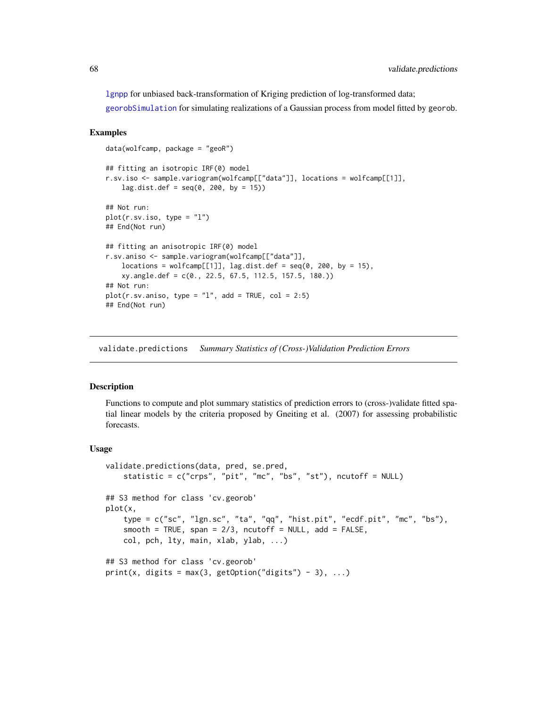[lgnpp](#page-46-0) for unbiased back-transformation of Kriging prediction of log-transformed data;

[georobSimulation](#page-42-0) for simulating realizations of a Gaussian process from model fitted by georob.

## Examples

```
data(wolfcamp, package = "geoR")
## fitting an isotropic IRF(0) model
r.sv.iso <- sample.variogram(wolfcamp[["data"]], locations = wolfcamp[[1]],
    lag.dist.def = seq(0, 200, by = 15)## Not run:
plot(r.sv.iso, type = "l")
## End(Not run)
## fitting an anisotropic IRF(0) model
r.sv.aniso <- sample.variogram(wolfcamp[["data"]],
   locations = wolfcamp[[1]], lag.dist.def = seq(0, 200, by = 15),
    xy.angle.def = c(0., 22.5, 67.5, 112.5, 157.5, 180.))
## Not run:
plot(r.sv.aniso, type = "l", add = TRUE, col = 2:5)## End(Not run)
```
<span id="page-67-0"></span>validate.predictions *Summary Statistics of (Cross-)Validation Prediction Errors*

# Description

Functions to compute and plot summary statistics of prediction errors to (cross-)validate fitted spatial linear models by the criteria proposed by Gneiting et al. (2007) for assessing probabilistic forecasts.

#### Usage

```
validate.predictions(data, pred, se.pred,
    statistic = c("crys", "pit", "mc", "bs", "st"), ncutoff = NULL)## S3 method for class 'cv.georob'
plot(x,
    type = c("sc", "lgn.sc", "ta", "qq", "hist.pit", "ecdf.pit", "mc", "bs"),
    smooth = TRUE, span = 2/3, ncutoff = NULL, add = FALSE,
    col, pch, lty, main, xlab, ylab, ...)
## S3 method for class 'cv.georob'
print(x, \text{ digits} = max(3, \text{ getOption("digits")} - 3), ...)
```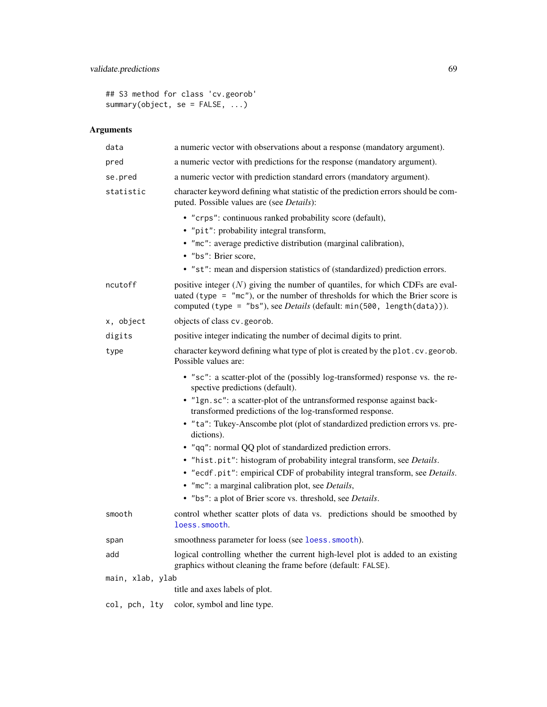# validate.predictions 69

## S3 method for class 'cv.georob' summary(object, se = FALSE, ...)

# Arguments

| data             | a numeric vector with observations about a response (mandatory argument).                                                                                                                                                                                     |
|------------------|---------------------------------------------------------------------------------------------------------------------------------------------------------------------------------------------------------------------------------------------------------------|
| pred             | a numeric vector with predictions for the response (mandatory argument).                                                                                                                                                                                      |
| se.pred          | a numeric vector with prediction standard errors (mandatory argument).                                                                                                                                                                                        |
| statistic        | character keyword defining what statistic of the prediction errors should be com-<br>puted. Possible values are (see <i>Details</i> ):                                                                                                                        |
|                  | • "crps": continuous ranked probability score (default),                                                                                                                                                                                                      |
|                  | • "pit": probability integral transform,                                                                                                                                                                                                                      |
|                  | • "mc": average predictive distribution (marginal calibration),                                                                                                                                                                                               |
|                  | · "bs": Brier score,                                                                                                                                                                                                                                          |
|                  | • "st": mean and dispersion statistics of (standardized) prediction errors.                                                                                                                                                                                   |
| ncutoff          | positive integer $(N)$ giving the number of quantiles, for which CDFs are eval-<br>uated (type = $\degree$ mc $\degree$ ), or the number of thresholds for which the Brier score is<br>computed (type = "bs"), see Details (default: min(500, length(data))). |
| x, object        | objects of class cv. georob.                                                                                                                                                                                                                                  |
| digits           | positive integer indicating the number of decimal digits to print.                                                                                                                                                                                            |
| type             | character keyword defining what type of plot is created by the plot.cv.georob.<br>Possible values are:                                                                                                                                                        |
|                  | • "sc": a scatter-plot of the (possibly log-transformed) response vs. the re-<br>spective predictions (default).                                                                                                                                              |
|                  | • "1gn.sc": a scatter-plot of the untransformed response against back-<br>transformed predictions of the log-transformed response.                                                                                                                            |
|                  | • "ta": Tukey-Anscombe plot (plot of standardized prediction errors vs. pre-<br>dictions).                                                                                                                                                                    |
|                  | • "qq": normal QQ plot of standardized prediction errors.                                                                                                                                                                                                     |
|                  | · "hist.pit": histogram of probability integral transform, see Details.<br>• "ecdf.pit": empirical CDF of probability integral transform, see Details.                                                                                                        |
|                  | · "mc": a marginal calibration plot, see Details,                                                                                                                                                                                                             |
|                  | • "bs": a plot of Brier score vs. threshold, see Details.                                                                                                                                                                                                     |
| smooth           | control whether scatter plots of data vs. predictions should be smoothed by<br>loess.smooth.                                                                                                                                                                  |
| span             | smoothness parameter for loess (see loess. smooth).                                                                                                                                                                                                           |
| add              | logical controlling whether the current high-level plot is added to an existing<br>graphics without cleaning the frame before (default: FALSE).                                                                                                               |
| main, xlab, ylab |                                                                                                                                                                                                                                                               |
|                  | title and axes labels of plot.                                                                                                                                                                                                                                |
| col, pch, lty    | color, symbol and line type.                                                                                                                                                                                                                                  |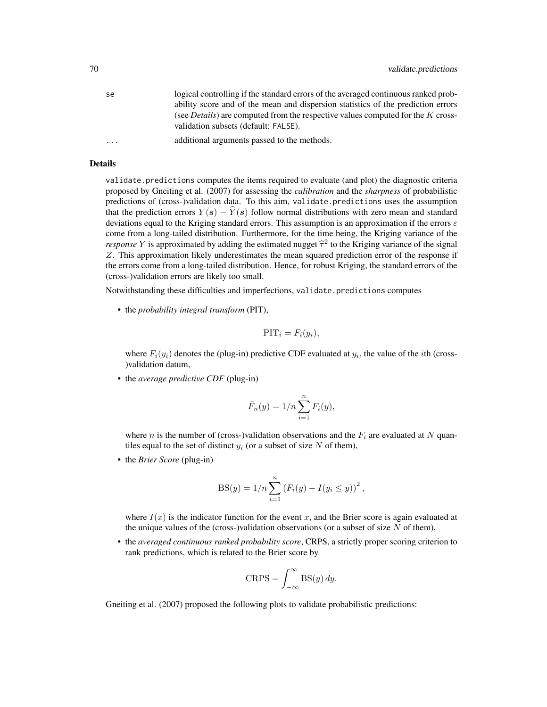| se                      | logical controlling if the standard errors of the averaged continuous ranked prob-                                              |
|-------------------------|---------------------------------------------------------------------------------------------------------------------------------|
|                         | ability score and of the mean and dispersion statistics of the prediction errors                                                |
|                         | (see <i>Details</i> ) are computed from the respective values computed for the K cross-<br>validation subsets (default: FALSE). |
| $\cdot$ $\cdot$ $\cdot$ | additional arguments passed to the methods.                                                                                     |
|                         |                                                                                                                                 |

#### Details

validate.predictions computes the items required to evaluate (and plot) the diagnostic criteria proposed by Gneiting et al. (2007) for assessing the *calibration* and the *sharpness* of probabilistic predictions of (cross-)validation data. To this aim, validate.predictions uses the assumption that the prediction errors  $Y(s) - \hat{Y}(s)$  follow normal distributions with zero mean and standard deviations equal to the Kriging standard errors. This assumption is an approximation if the errors  $\varepsilon$ come from a long-tailed distribution. Furthermore, for the time being, the Kriging variance of the *response* Y is approximated by adding the estimated nugget  $\hat{\tau}^2$  to the Kriging variance of the signal  $\mathbb{Z}$ . This approximation likely underestimates the mean squared prediction error of the response if Z. This approximation likely underestimates the mean squared prediction error of the response if the errors come from a long-tailed distribution. Hence, for robust Kriging, the standard errors of the (cross-)validation errors are likely too small.

Notwithstanding these difficulties and imperfections, validate.predictions computes

• the *probability integral transform* (PIT),

$$
\text{PIT}_i = F_i(y_i),
$$

where  $F_i(y_i)$  denotes the (plug-in) predictive CDF evaluated at  $y_i$ , the value of the *i*th (cross-)validation datum,

• the *average predictive CDF* (plug-in)

$$
\bar{F}_n(y) = 1/n \sum_{i=1}^n F_i(y),
$$

where n is the number of (cross-)validation observations and the  $F_i$  are evaluated at N quantiles equal to the set of distinct  $y_i$  (or a subset of size N of them),

• the *Brier Score* (plug-in)

$$
BS(y) = 1/n \sum_{i=1}^{n} (F_i(y) - I(y_i \le y))^2,
$$

where  $I(x)$  is the indicator function for the event x, and the Brier score is again evaluated at the unique values of the (cross-)validation observations (or a subset of size  $N$  of them),

• the *averaged continuous ranked probability score*, CRPS, a strictly proper scoring criterion to rank predictions, which is related to the Brier score by

$$
CRPS = \int_{-\infty}^{\infty} \mathrm{BS}(y) \, dy.
$$

Gneiting et al. (2007) proposed the following plots to validate probabilistic predictions: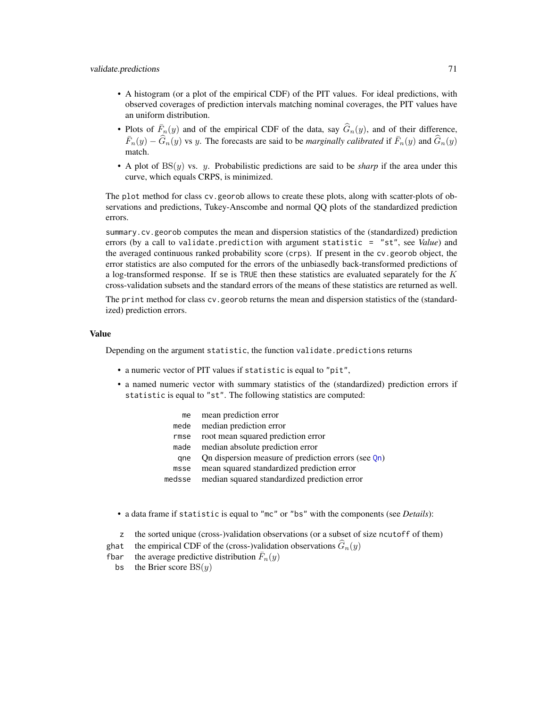validate. predictions 71

- A histogram (or a plot of the empirical CDF) of the PIT values. For ideal predictions, with observed coverages of prediction intervals matching nominal coverages, the PIT values have an uniform distribution.
- Plots of  $\bar{F}_n(y)$  and of the empirical CDF of the data, say  $\hat{G}_n(y)$ , and of their difference,  $\bar{F}_n(y) - \widehat{G}_n(y)$  vs y. The forecasts are said to be *marginally calibrated* if  $\bar{F}_n(y)$  and  $\widehat{G}_n(y)$ match.
- A plot of BS(y) vs. y. Probabilistic predictions are said to be *sharp* if the area under this curve, which equals CRPS, is minimized.

The plot method for class cv.georob allows to create these plots, along with scatter-plots of observations and predictions, Tukey-Anscombe and normal QQ plots of the standardized prediction errors.

summary.cv.georob computes the mean and dispersion statistics of the (standardized) prediction errors (by a call to validate.prediction with argument statistic = "st", see *Value*) and the averaged continuous ranked probability score (crps). If present in the cv.georob object, the error statistics are also computed for the errors of the unbiasedly back-transformed predictions of a log-transformed response. If se is TRUE then these statistics are evaluated separately for the  $K$ cross-validation subsets and the standard errors of the means of these statistics are returned as well.

The print method for class cv.georob returns the mean and dispersion statistics of the (standardized) prediction errors.

#### Value

Depending on the argument statistic, the function validate.predictions returns

- a numeric vector of PIT values if statistic is equal to "pit",
- a named numeric vector with summary statistics of the (standardized) prediction errors if statistic is equal to "st". The following statistics are computed:

| me     | mean prediction error                                  |
|--------|--------------------------------------------------------|
| mede   | median prediction error                                |
| rmse   | root mean squared prediction error                     |
| made   | median absolute prediction error                       |
| ane    | On dispersion measure of prediction errors (see $Qn$ ) |
| msse   | mean squared standardized prediction error             |
| medsse | median squared standardized prediction error           |
|        |                                                        |

- a data frame if statistic is equal to "mc" or "bs" with the components (see *Details*):
- z the sorted unique (cross-)validation observations (or a subset of size ncutoff of them)
- ghat the empirical CDF of the (cross-)validation observations  $\hat{G}_n(y)$ <br>fbar the average predictive distribution  $\bar{F}_n(y)$
- fbar the average predictive distribution  $\bar{F}_n(y)$ 
	- bs the Brier score  $BS(y)$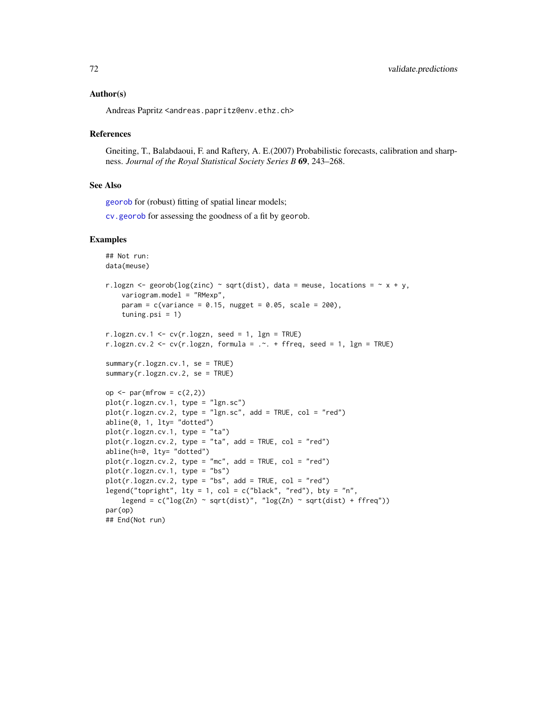## Author(s)

Andreas Papritz <andreas.papritz@env.ethz.ch>

#### References

Gneiting, T., Balabdaoui, F. and Raftery, A. E.(2007) Probabilistic forecasts, calibration and sharpness. *Journal of the Royal Statistical Society Series B* 69, 243–268.

#### See Also

[georob](#page-21-0) for (robust) fitting of spatial linear models;

[cv.georob](#page-9-0) for assessing the goodness of a fit by georob.

```
## Not run:
data(meuse)
r.logzn <- georob(log(zinc) ~ sqrt(dist), data = meuse, locations = \sim x + y,
    variogram.model = "RMexp",
   param = c(variance = 0.15, nugget = 0.05, scale = 200),tuning.psi = 1)
r.logzn.cv.1 \leq cv(r.logzn, seed = 1, Ign = TRUE)r.logzn.cv.2 <- cv(r.logzn, formula = . \sim . + ffreq, seed = 1, lgn = TRUE)
summary(r.logzn.cv.1, se = TRUE)
summary(r.logzn.cv.2, se = TRUE)
op \leq par(mfrow = c(2,2))
plot(r.logzn.cv.1, type = "lgn.sc")
plot(r.logzn.cv.2, type = "lgn.sc", add = TRUE, col = "red")abline(0, 1, lty= "dotted")
plot(r.logzn.cv.1, type = "ta")
plot(r.logzn.cv.2, type = "ta", add = TRUE, col = "red")abline(h=0, lty= "dotted")
plot(r.logzn.cv.2, type = "mc", add = TRUE, col = "red")plot(r.logzn.cv.1, type = "bs")
plot(r.logzn.cv.2, type = "bs", add = TRUE, col = "red")
legend("topright", lty = 1, col = c("black", "red"), bty = "n",
    legend = c("log(Zn) \sim sqrt(dist)", "log(Zn) \sim sqrt(dist) + ffreq"))par(op)
## End(Not run)
```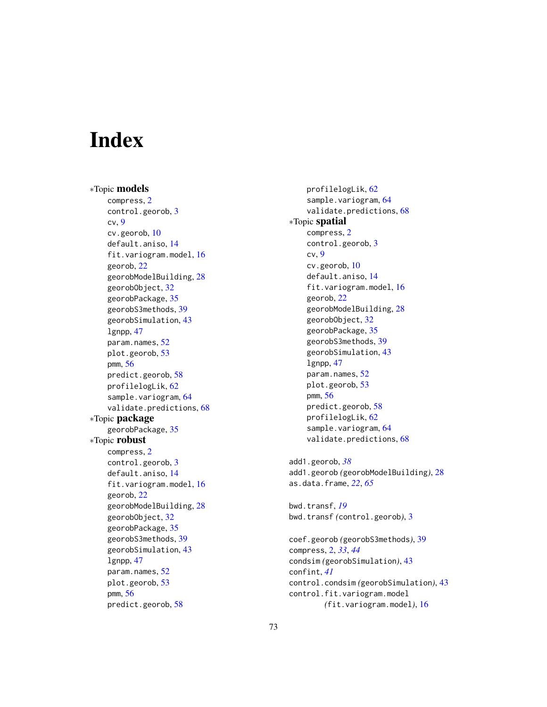## **Index**

∗Topic models compress, [2](#page-1-0) control.georob, [3](#page-2-0) cv, [9](#page-8-0) cv.georob, [10](#page-9-0) default.aniso, [14](#page-13-0) fit.variogram.model, [16](#page-15-0) georob, [22](#page-21-0) georobModelBuilding, [28](#page-27-0) georobObject, [32](#page-31-0) georobPackage, [35](#page-34-0) georobS3methods, [39](#page-38-0) georobSimulation, [43](#page-42-0)  $l$ gnpp,  $47$ param.names, [52](#page-51-0) plot.georob, [53](#page-52-0) pmm, [56](#page-55-0) predict.georob, [58](#page-57-0) profilelogLik, [62](#page-61-0) sample.variogram, [64](#page-63-0) validate.predictions, [68](#page-67-0) ∗Topic package georobPackage, [35](#page-34-0) ∗Topic robust compress, [2](#page-1-0) control.georob, [3](#page-2-0) default.aniso, [14](#page-13-0) fit.variogram.model, [16](#page-15-0) georob, [22](#page-21-0) georobModelBuilding, [28](#page-27-0) georobObject, [32](#page-31-0) georobPackage, [35](#page-34-0) georobS3methods, [39](#page-38-0) georobSimulation, [43](#page-42-0) lgnpp, [47](#page-46-0) param.names, [52](#page-51-0) plot.georob, [53](#page-52-0) pmm, [56](#page-55-0) predict.georob, [58](#page-57-0)

profilelogLik, [62](#page-61-0) sample.variogram, [64](#page-63-0) validate.predictions, [68](#page-67-0) ∗Topic spatial compress, [2](#page-1-0) control.georob, [3](#page-2-0) cv, [9](#page-8-0) cv.georob, [10](#page-9-0) default.aniso, [14](#page-13-0) fit.variogram.model, [16](#page-15-0) georob, [22](#page-21-0) georobModelBuilding, [28](#page-27-0) georobObject, [32](#page-31-0) georobPackage, [35](#page-34-0) georobS3methods, [39](#page-38-0) georobSimulation, [43](#page-42-0) lgnpp, [47](#page-46-0) param.names, [52](#page-51-0) plot.georob, [53](#page-52-0) pmm, [56](#page-55-0) predict.georob, [58](#page-57-0) profilelogLik, [62](#page-61-0) sample.variogram, [64](#page-63-0) validate.predictions, [68](#page-67-0) add1.georob, *[38](#page-37-0)* add1.georob *(*georobModelBuilding*)*, [28](#page-27-0) as.data.frame, *[22](#page-21-0)*, *[65](#page-64-0)* bwd.transf, *[19](#page-18-0)* bwd.transf *(*control.georob*)*, [3](#page-2-0) coef.georob *(*georobS3methods*)*, [39](#page-38-0) compress, [2,](#page-1-0) *[33](#page-32-0)*, *[44](#page-43-0)* condsim *(*georobSimulation*)*, [43](#page-42-0)

control.condsim *(*georobSimulation*)*, [43](#page-42-0)

*(*fit.variogram.model*)*, [16](#page-15-0)

control.fit.variogram.model

confint, *[41](#page-40-0)*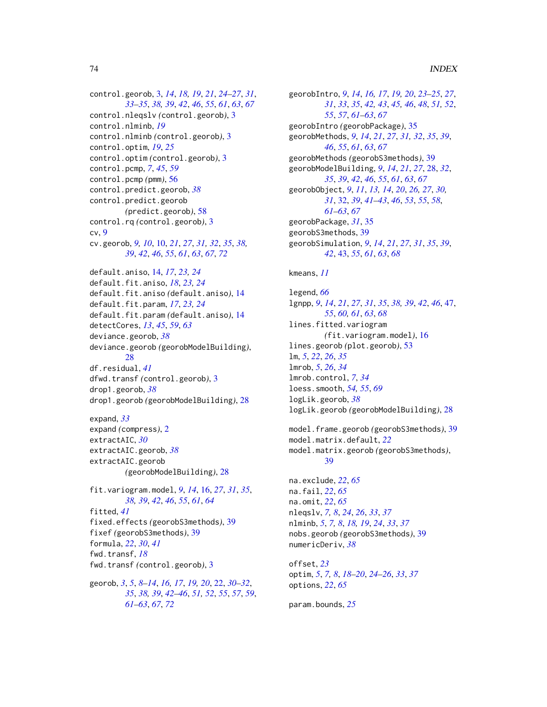control.georob, [3,](#page-2-0) *[14](#page-13-0)*, *[18,](#page-17-0) [19](#page-18-0)*, *[21](#page-20-0)*, *[24–](#page-23-0)[27](#page-26-0)*, *[31](#page-30-0)*, *[33](#page-32-0)[–35](#page-34-0)*, *[38,](#page-37-0) [39](#page-38-0)*, *[42](#page-41-0)*, *[46](#page-45-0)*, *[55](#page-54-0)*, *[61](#page-60-0)*, *[63](#page-62-0)*, *[67](#page-66-0)* control.nleqslv *(*control.georob*)*, [3](#page-2-0) control.nlminb, *[19](#page-18-0)* control.nlminb *(*control.georob*)*, [3](#page-2-0) control.optim, *[19](#page-18-0)*, *[25](#page-24-0)* control.optim *(*control.georob*)*, [3](#page-2-0) control.pcmp, *[7](#page-6-0)*, *[45](#page-44-0)*, *[59](#page-58-0)* control.pcmp *(*pmm*)*, [56](#page-55-0) control.predict.georob, *[38](#page-37-0)* control.predict.georob *(*predict.georob*)*, [58](#page-57-0) control.rq *(*control.georob*)*, [3](#page-2-0) cv, [9](#page-8-0) cv.georob, *[9,](#page-8-0) [10](#page-9-0)*, [10,](#page-9-0) *[21](#page-20-0)*, *[27](#page-26-0)*, *[31,](#page-30-0) [32](#page-31-0)*, *[35](#page-34-0)*, *[38,](#page-37-0) [39](#page-38-0)*, *[42](#page-41-0)*, *[46](#page-45-0)*, *[55](#page-54-0)*, *[61](#page-60-0)*, *[63](#page-62-0)*, *[67](#page-66-0)*, *[72](#page-71-0)* default.aniso, [14,](#page-13-0) *[17](#page-16-0)*, *[23,](#page-22-0) [24](#page-23-0)* default.fit.aniso, *[18](#page-17-0)*, *[23,](#page-22-0) [24](#page-23-0)* default.fit.aniso *(*default.aniso*)*, [14](#page-13-0) default.fit.param, *[17](#page-16-0)*, *[23,](#page-22-0) [24](#page-23-0)* default.fit.param *(*default.aniso*)*, [14](#page-13-0) detectCores, *[13](#page-12-0)*, *[45](#page-44-0)*, *[59](#page-58-0)*, *[63](#page-62-0)* deviance.georob, *[38](#page-37-0)* deviance.georob *(*georobModelBuilding*)*,  $28$ df.residual, *[41](#page-40-0)* dfwd.transf *(*control.georob*)*, [3](#page-2-0) drop1.georob, *[38](#page-37-0)* drop1.georob *(*georobModelBuilding*)*, [28](#page-27-0) expand, *[33](#page-32-0)* expand *(*compress*)*, [2](#page-1-0) extractAIC, *[30](#page-29-0)* extractAIC.georob, *[38](#page-37-0)* extractAIC.georob *(*georobModelBuilding*)*, [28](#page-27-0) fit.variogram.model, *[9](#page-8-0)*, *[14](#page-13-0)*, [16,](#page-15-0) *[27](#page-26-0)*, *[31](#page-30-0)*, *[35](#page-34-0)*, *[38,](#page-37-0) [39](#page-38-0)*, *[42](#page-41-0)*, *[46](#page-45-0)*, *[55](#page-54-0)*, *[61](#page-60-0)*, *[64](#page-63-0)* fitted, *[41](#page-40-0)* fixed.effects *(*georobS3methods*)*, [39](#page-38-0) fixef *(*georobS3methods*)*, [39](#page-38-0) formula, *[22](#page-21-0)*, *[30](#page-29-0)*, *[41](#page-40-0)* fwd.transf, *[18](#page-17-0)* fwd.transf *(*control.georob*)*, [3](#page-2-0) georob, *[3](#page-2-0)*, *[5](#page-4-0)*, *[8](#page-7-0)[–14](#page-13-0)*, *[16,](#page-15-0) [17](#page-16-0)*, *[19,](#page-18-0) [20](#page-19-0)*, [22,](#page-21-0) *[30–](#page-29-0)[32](#page-31-0)*, *[35](#page-34-0)*, *[38,](#page-37-0) [39](#page-38-0)*, *[42–](#page-41-0)[46](#page-45-0)*, *[51,](#page-50-0) [52](#page-51-0)*, *[55](#page-54-0)*, *[57](#page-56-0)*, *[59](#page-58-0)*, *[61](#page-60-0)[–63](#page-62-0)*, *[67](#page-66-0)*, *[72](#page-71-0)*

georobIntro, *[9](#page-8-0)*, *[14](#page-13-0)*, *[16,](#page-15-0) [17](#page-16-0)*, *[19,](#page-18-0) [20](#page-19-0)*, *[23](#page-22-0)[–25](#page-24-0)*, *[27](#page-26-0)*, *[31](#page-30-0)*, *[33](#page-32-0)*, *[35](#page-34-0)*, *[42,](#page-41-0) [43](#page-42-0)*, *[45,](#page-44-0) [46](#page-45-0)*, *[48](#page-47-0)*, *[51,](#page-50-0) [52](#page-51-0)*, *[55](#page-54-0)*, *[57](#page-56-0)*, *[61](#page-60-0)[–63](#page-62-0)*, *[67](#page-66-0)* georobIntro *(*georobPackage*)*, [35](#page-34-0) georobMethods, *[9](#page-8-0)*, *[14](#page-13-0)*, *[21](#page-20-0)*, *[27](#page-26-0)*, *[31,](#page-30-0) [32](#page-31-0)*, *[35](#page-34-0)*, *[39](#page-38-0)*, *[46](#page-45-0)*, *[55](#page-54-0)*, *[61](#page-60-0)*, *[63](#page-62-0)*, *[67](#page-66-0)* georobMethods *(*georobS3methods*)*, [39](#page-38-0) georobModelBuilding, *[9](#page-8-0)*, *[14](#page-13-0)*, *[21](#page-20-0)*, *[27](#page-26-0)*, [28,](#page-27-0) *[32](#page-31-0)*, *[35](#page-34-0)*, *[39](#page-38-0)*, *[42](#page-41-0)*, *[46](#page-45-0)*, *[55](#page-54-0)*, *[61](#page-60-0)*, *[63](#page-62-0)*, *[67](#page-66-0)* georobObject, *[9](#page-8-0)*, *[11](#page-10-0)*, *[13,](#page-12-0) [14](#page-13-0)*, *[20](#page-19-0)*, *[26,](#page-25-0) [27](#page-26-0)*, *[30,](#page-29-0) [31](#page-30-0)*, [32,](#page-31-0) *[39](#page-38-0)*, *[41](#page-40-0)[–43](#page-42-0)*, *[46](#page-45-0)*, *[53](#page-52-0)*, *[55](#page-54-0)*, *[58](#page-57-0)*, *[61](#page-60-0)[–63](#page-62-0)*, *[67](#page-66-0)* georobPackage, *[31](#page-30-0)*, [35](#page-34-0) georobS3methods, [39](#page-38-0) georobSimulation, *[9](#page-8-0)*, *[14](#page-13-0)*, *[21](#page-20-0)*, *[27](#page-26-0)*, *[31](#page-30-0)*, *[35](#page-34-0)*, *[39](#page-38-0)*, *[42](#page-41-0)*, [43,](#page-42-0) *[55](#page-54-0)*, *[61](#page-60-0)*, *[63](#page-62-0)*, *[68](#page-67-0)*

kmeans, *[11](#page-10-0)*

legend, *[66](#page-65-0)* lgnpp, *[9](#page-8-0)*, *[14](#page-13-0)*, *[21](#page-20-0)*, *[27](#page-26-0)*, *[31](#page-30-0)*, *[35](#page-34-0)*, *[38,](#page-37-0) [39](#page-38-0)*, *[42](#page-41-0)*, *[46](#page-45-0)*, [47,](#page-46-0) *[55](#page-54-0)*, *[60,](#page-59-0) [61](#page-60-0)*, *[63](#page-62-0)*, *[68](#page-67-0)* lines.fitted.variogram *(*fit.variogram.model*)*, [16](#page-15-0) lines.georob *(*plot.georob*)*, [53](#page-52-0) lm, *[5](#page-4-0)*, *[22](#page-21-0)*, *[26](#page-25-0)*, *[35](#page-34-0)* lmrob, *[5](#page-4-0)*, *[26](#page-25-0)*, *[34](#page-33-0)* lmrob.control, *[7](#page-6-0)*, *[34](#page-33-0)* loess.smooth, *[54,](#page-53-0) [55](#page-54-0)*, *[69](#page-68-0)* logLik.georob, *[38](#page-37-0)* logLik.georob *(*georobModelBuilding*)*, [28](#page-27-0)

model.frame.georob *(*georobS3methods*)*, [39](#page-38-0) model.matrix.default, *[22](#page-21-0)* model.matrix.georob *(*georobS3methods*)*, [39](#page-38-0)

na.exclude, *[22](#page-21-0)*, *[65](#page-64-0)* na.fail, *[22](#page-21-0)*, *[65](#page-64-0)* na.omit, *[22](#page-21-0)*, *[65](#page-64-0)* nleqslv, *[7,](#page-6-0) [8](#page-7-0)*, *[24](#page-23-0)*, *[26](#page-25-0)*, *[33](#page-32-0)*, *[37](#page-36-0)* nlminb, *[5](#page-4-0)*, *[7,](#page-6-0) [8](#page-7-0)*, *[18,](#page-17-0) [19](#page-18-0)*, *[24](#page-23-0)*, *[33](#page-32-0)*, *[37](#page-36-0)* nobs.georob *(*georobS3methods*)*, [39](#page-38-0) numericDeriv, *[38](#page-37-0)*

offset, *[23](#page-22-0)* optim, *[5](#page-4-0)*, *[7,](#page-6-0) [8](#page-7-0)*, *[18](#page-17-0)[–20](#page-19-0)*, *[24](#page-23-0)[–26](#page-25-0)*, *[33](#page-32-0)*, *[37](#page-36-0)* options, *[22](#page-21-0)*, *[65](#page-64-0)*

param.bounds, *[25](#page-24-0)*